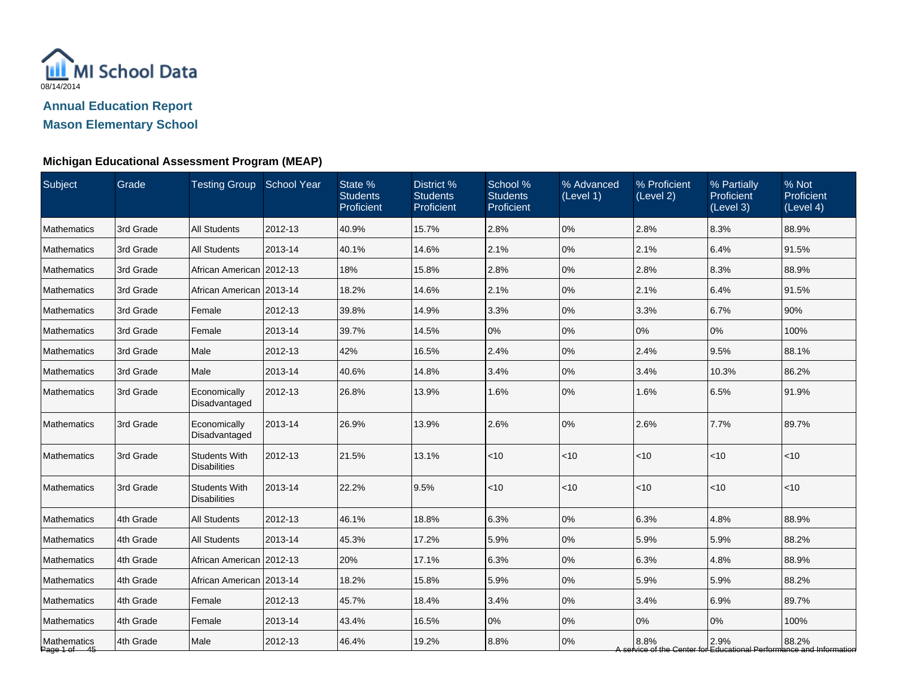

### **Michigan Educational Assessment Program (MEAP)**

| Subject                     | Grade     | <b>Testing Group School Year</b>            |         | State %<br><b>Students</b><br>Proficient | District %<br><b>Students</b><br>Proficient | School %<br><b>Students</b><br>Proficient | % Advanced<br>(Level 1) | % Proficient<br>(Level 2) | % Partially<br>Proficient<br>(Level 3) | % Not<br>Proficient<br>(Level 4)                                             |
|-----------------------------|-----------|---------------------------------------------|---------|------------------------------------------|---------------------------------------------|-------------------------------------------|-------------------------|---------------------------|----------------------------------------|------------------------------------------------------------------------------|
| <b>Mathematics</b>          | 3rd Grade | <b>All Students</b>                         | 2012-13 | 40.9%                                    | 15.7%                                       | 2.8%                                      | 0%                      | 2.8%                      | 8.3%                                   | 88.9%                                                                        |
| Mathematics                 | 3rd Grade | <b>All Students</b>                         | 2013-14 | 40.1%                                    | 14.6%                                       | 2.1%                                      | 0%                      | 2.1%                      | 6.4%                                   | 91.5%                                                                        |
| <b>Mathematics</b>          | 3rd Grade | African American 2012-13                    |         | 18%                                      | 15.8%                                       | 2.8%                                      | 0%                      | 2.8%                      | 8.3%                                   | 88.9%                                                                        |
| <b>Mathematics</b>          | 3rd Grade | African American   2013-14                  |         | 18.2%                                    | 14.6%                                       | 2.1%                                      | 0%                      | 2.1%                      | 6.4%                                   | 91.5%                                                                        |
| Mathematics                 | 3rd Grade | Female                                      | 2012-13 | 39.8%                                    | 14.9%                                       | 3.3%                                      | 0%                      | 3.3%                      | 6.7%                                   | 90%                                                                          |
| Mathematics                 | 3rd Grade | Female                                      | 2013-14 | 39.7%                                    | 14.5%                                       | 0%                                        | 0%                      | 0%                        | 0%                                     | 100%                                                                         |
| Mathematics                 | 3rd Grade | Male                                        | 2012-13 | 42%                                      | 16.5%                                       | 2.4%                                      | 0%                      | 2.4%                      | 9.5%                                   | 88.1%                                                                        |
| <b>Mathematics</b>          | 3rd Grade | Male                                        | 2013-14 | 40.6%                                    | 14.8%                                       | 3.4%                                      | 0%                      | 3.4%                      | 10.3%                                  | 86.2%                                                                        |
| <b>Mathematics</b>          | 3rd Grade | Economically<br>Disadvantaged               | 2012-13 | 26.8%                                    | 13.9%                                       | 1.6%                                      | 0%                      | 1.6%                      | 6.5%                                   | 91.9%                                                                        |
| <b>Mathematics</b>          | 3rd Grade | Economically<br>Disadvantaged               | 2013-14 | 26.9%                                    | 13.9%                                       | 2.6%                                      | 0%                      | 2.6%                      | 7.7%                                   | 89.7%                                                                        |
| Mathematics                 | 3rd Grade | <b>Students With</b><br><b>Disabilities</b> | 2012-13 | 21.5%                                    | 13.1%                                       | $<10$                                     | < 10                    | < 10                      | $<$ 10                                 | < 10                                                                         |
| <b>Mathematics</b>          | 3rd Grade | <b>Students With</b><br><b>Disabilities</b> | 2013-14 | 22.2%                                    | 9.5%                                        | $<10$                                     | <10                     | < 10                      | <10                                    | < 10                                                                         |
| Mathematics                 | 4th Grade | <b>All Students</b>                         | 2012-13 | 46.1%                                    | 18.8%                                       | 6.3%                                      | 0%                      | 6.3%                      | 4.8%                                   | 88.9%                                                                        |
| <b>Mathematics</b>          | 4th Grade | <b>All Students</b>                         | 2013-14 | 45.3%                                    | 17.2%                                       | 5.9%                                      | 0%                      | 5.9%                      | 5.9%                                   | 88.2%                                                                        |
| <b>Mathematics</b>          | 4th Grade | African American 2012-13                    |         | 20%                                      | 17.1%                                       | 6.3%                                      | 0%                      | 6.3%                      | 4.8%                                   | 88.9%                                                                        |
| Mathematics                 | 4th Grade | African American   2013-14                  |         | 18.2%                                    | 15.8%                                       | 5.9%                                      | 0%                      | 5.9%                      | 5.9%                                   | 88.2%                                                                        |
| <b>Mathematics</b>          | 4th Grade | Female                                      | 2012-13 | 45.7%                                    | 18.4%                                       | 3.4%                                      | 0%                      | 3.4%                      | 6.9%                                   | 89.7%                                                                        |
| Mathematics                 | 4th Grade | Female                                      | 2013-14 | 43.4%                                    | 16.5%                                       | 0%                                        | 0%                      | 0%                        | 0%                                     | 100%                                                                         |
| Mathematics<br>Page 1 of 45 | 4th Grade | Male                                        | 2012-13 | 46.4%                                    | 19.2%                                       | 8.8%                                      | 0%                      | 8.8%                      | 2.9%                                   | 88.2%<br>A service of the Center for Educational Performance and Information |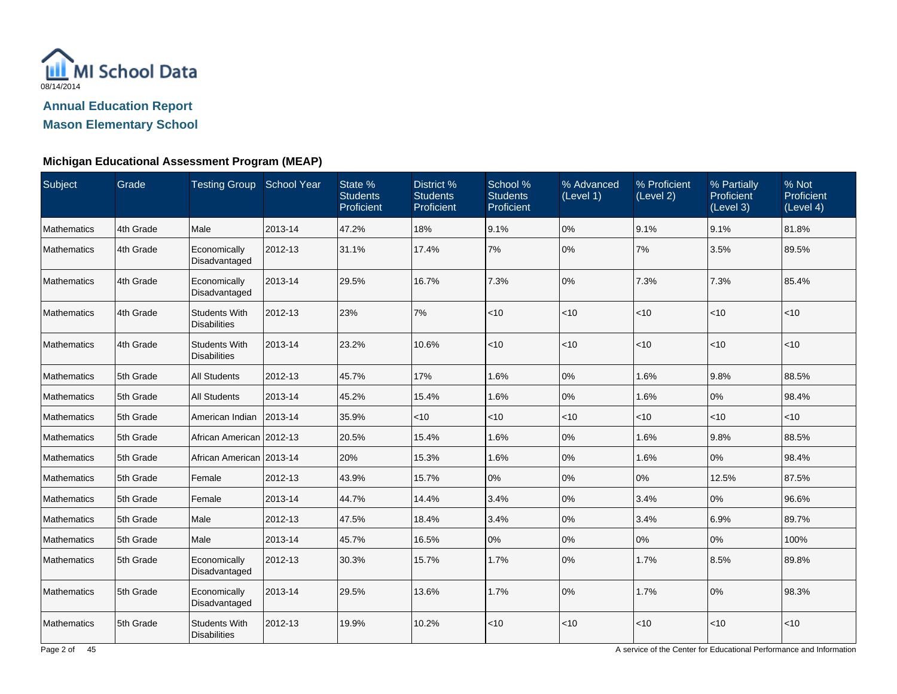

**Mason Elementary School**

### **Michigan Educational Assessment Program (MEAP)**

| <b>Subject</b>     | Grade     | Testing Group School Year                   |         | State %<br><b>Students</b><br>Proficient | District %<br><b>Students</b><br>Proficient | School %<br><b>Students</b><br>Proficient | % Advanced<br>(Level 1) | % Proficient<br>(Level 2) | % Partially<br>Proficient<br>(Level 3) | % Not<br>Proficient<br>(Level 4) |
|--------------------|-----------|---------------------------------------------|---------|------------------------------------------|---------------------------------------------|-------------------------------------------|-------------------------|---------------------------|----------------------------------------|----------------------------------|
| Mathematics        | 4th Grade | Male                                        | 2013-14 | 47.2%                                    | 18%                                         | 9.1%                                      | 0%                      | 9.1%                      | 9.1%                                   | 81.8%                            |
| Mathematics        | 4th Grade | Economically<br>Disadvantaged               | 2012-13 | 31.1%                                    | 17.4%                                       | 7%                                        | 0%                      | 7%                        | 3.5%                                   | 89.5%                            |
| <b>Mathematics</b> | 4th Grade | Economically<br>Disadvantaged               | 2013-14 | 29.5%                                    | 16.7%                                       | 7.3%                                      | 0%                      | 7.3%                      | 7.3%                                   | 85.4%                            |
| Mathematics        | 4th Grade | <b>Students With</b><br><b>Disabilities</b> | 2012-13 | 23%                                      | 7%                                          | < 10                                      | < 10                    | $<10$                     | $<10$                                  | < 10                             |
| <b>Mathematics</b> | 4th Grade | <b>Students With</b><br><b>Disabilities</b> | 2013-14 | 23.2%                                    | 10.6%                                       | < 10                                      | < 10                    | $<$ 10                    | $<10$                                  | $<$ 10                           |
| <b>Mathematics</b> | 5th Grade | <b>All Students</b>                         | 2012-13 | 45.7%                                    | 17%                                         | 1.6%                                      | 0%                      | 1.6%                      | 9.8%                                   | 88.5%                            |
| Mathematics        | 5th Grade | <b>All Students</b>                         | 2013-14 | 45.2%                                    | 15.4%                                       | 1.6%                                      | 0%                      | 1.6%                      | 0%                                     | 98.4%                            |
| <b>Mathematics</b> | 5th Grade | American Indian                             | 2013-14 | 35.9%                                    | <10                                         | $<$ 10                                    | < 10                    | <10                       | $<$ 10                                 | $<$ 10                           |
| <b>Mathematics</b> | 5th Grade | African American   2012-13                  |         | 20.5%                                    | 15.4%                                       | 1.6%                                      | 0%                      | 1.6%                      | 9.8%                                   | 88.5%                            |
| Mathematics        | 5th Grade | African American 2013-14                    |         | 20%                                      | 15.3%                                       | 1.6%                                      | 0%                      | 1.6%                      | 0%                                     | 98.4%                            |
| <b>Mathematics</b> | 5th Grade | Female                                      | 2012-13 | 43.9%                                    | 15.7%                                       | 0%                                        | 0%                      | 0%                        | 12.5%                                  | 87.5%                            |
| Mathematics        | 5th Grade | Female                                      | 2013-14 | 44.7%                                    | 14.4%                                       | 3.4%                                      | 0%                      | 3.4%                      | 0%                                     | 96.6%                            |
| Mathematics        | 5th Grade | Male                                        | 2012-13 | 47.5%                                    | 18.4%                                       | 3.4%                                      | 0%                      | 3.4%                      | 6.9%                                   | 89.7%                            |
| <b>Mathematics</b> | 5th Grade | Male                                        | 2013-14 | 45.7%                                    | 16.5%                                       | 0%                                        | 0%                      | 0%                        | 0%                                     | 100%                             |
| <b>Mathematics</b> | 5th Grade | Economically<br>Disadvantaged               | 2012-13 | 30.3%                                    | 15.7%                                       | 1.7%                                      | 0%                      | 1.7%                      | 8.5%                                   | 89.8%                            |
| <b>Mathematics</b> | 5th Grade | Economically<br>Disadvantaged               | 2013-14 | 29.5%                                    | 13.6%                                       | 1.7%                                      | 0%                      | 1.7%                      | 0%                                     | 98.3%                            |
| Mathematics        | 5th Grade | <b>Students With</b><br><b>Disabilities</b> | 2012-13 | 19.9%                                    | 10.2%                                       | < 10                                      | < 10                    | $<$ 10                    | <10                                    | < 10                             |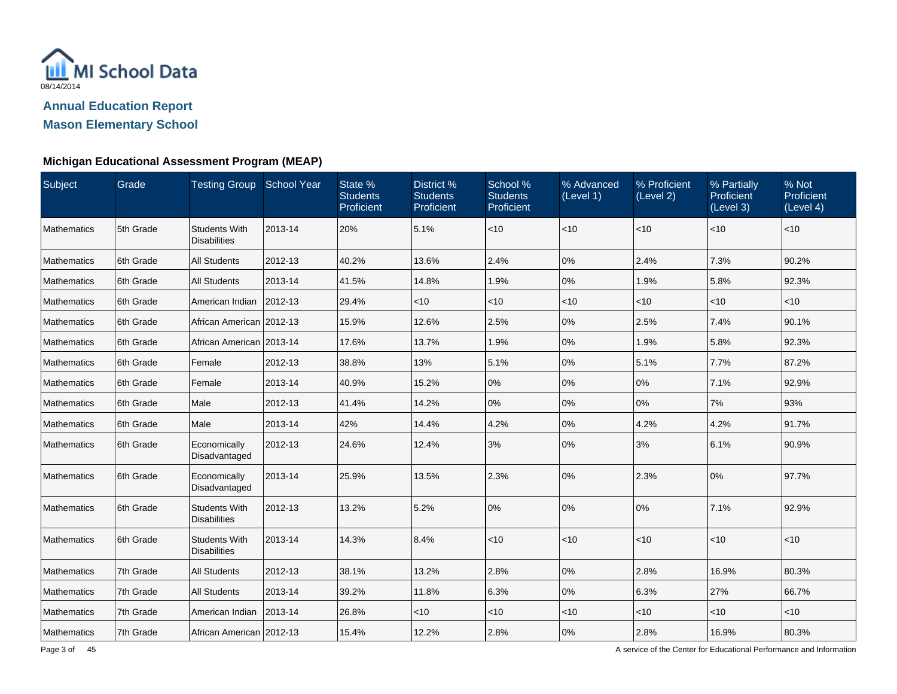

### **Michigan Educational Assessment Program (MEAP)**

| Subject            | Grade     | Testing Group School Year                   |         | State %<br><b>Students</b><br>Proficient | District %<br><b>Students</b><br>Proficient | School %<br><b>Students</b><br>Proficient | % Advanced<br>(Level 1) | % Proficient<br>(Level 2) | % Partially<br><b>Proficient</b><br>(Level 3) | % Not<br>Proficient<br>$\overline{L}$ evel 4) |
|--------------------|-----------|---------------------------------------------|---------|------------------------------------------|---------------------------------------------|-------------------------------------------|-------------------------|---------------------------|-----------------------------------------------|-----------------------------------------------|
| <b>Mathematics</b> | 5th Grade | <b>Students With</b><br><b>Disabilities</b> | 2013-14 | 20%                                      | 5.1%                                        | $<10$                                     | < 10                    | < 10                      | $<$ 10                                        | < 10                                          |
| Mathematics        | 6th Grade | <b>All Students</b>                         | 2012-13 | 40.2%                                    | 13.6%                                       | 2.4%                                      | 0%                      | 2.4%                      | 7.3%                                          | 90.2%                                         |
| <b>Mathematics</b> | 6th Grade | <b>All Students</b>                         | 2013-14 | 41.5%                                    | 14.8%                                       | 1.9%                                      | 0%                      | 1.9%                      | 5.8%                                          | 92.3%                                         |
| <b>Mathematics</b> | 6th Grade | American Indian                             | 2012-13 | 29.4%                                    | $<$ 10                                      | $<$ 10                                    | < 10                    | < 10                      | $<$ 10                                        | $<$ 10                                        |
| Mathematics        | 6th Grade | African American 2012-13                    |         | 15.9%                                    | 12.6%                                       | 2.5%                                      | 0%                      | 2.5%                      | 7.4%                                          | 90.1%                                         |
| <b>Mathematics</b> | 6th Grade | African American 2013-14                    |         | 17.6%                                    | 13.7%                                       | 1.9%                                      | 0%                      | 1.9%                      | 5.8%                                          | 92.3%                                         |
| <b>Mathematics</b> | 6th Grade | Female                                      | 2012-13 | 38.8%                                    | 13%                                         | 5.1%                                      | 0%                      | 5.1%                      | 7.7%                                          | 87.2%                                         |
| Mathematics        | 6th Grade | Female                                      | 2013-14 | 40.9%                                    | 15.2%                                       | 0%                                        | 0%                      | 0%                        | 7.1%                                          | 92.9%                                         |
| <b>Mathematics</b> | 6th Grade | Male                                        | 2012-13 | 41.4%                                    | 14.2%                                       | 0%                                        | 0%                      | 0%                        | 7%                                            | 93%                                           |
| <b>Mathematics</b> | 6th Grade | Male                                        | 2013-14 | 42%                                      | 14.4%                                       | 4.2%                                      | 0%                      | 4.2%                      | 4.2%                                          | 91.7%                                         |
| Mathematics        | 6th Grade | Economically<br>Disadvantaged               | 2012-13 | 24.6%                                    | 12.4%                                       | 3%                                        | 0%                      | 3%                        | 6.1%                                          | 90.9%                                         |
| Mathematics        | 6th Grade | Economically<br>Disadvantaged               | 2013-14 | 25.9%                                    | 13.5%                                       | 2.3%                                      | 0%                      | 2.3%                      | 0%                                            | 97.7%                                         |
| <b>Mathematics</b> | 6th Grade | <b>Students With</b><br><b>Disabilities</b> | 2012-13 | 13.2%                                    | 5.2%                                        | 0%                                        | 0%                      | 0%                        | 7.1%                                          | 92.9%                                         |
| <b>Mathematics</b> | 6th Grade | <b>Students With</b><br><b>Disabilities</b> | 2013-14 | 14.3%                                    | 8.4%                                        | < 10                                      | < 10                    | < 10                      | $<$ 10                                        | $<$ 10                                        |
| <b>Mathematics</b> | 7th Grade | <b>All Students</b>                         | 2012-13 | 38.1%                                    | 13.2%                                       | 2.8%                                      | $0\%$                   | 2.8%                      | 16.9%                                         | 80.3%                                         |
| <b>Mathematics</b> | 7th Grade | <b>All Students</b>                         | 2013-14 | 39.2%                                    | 11.8%                                       | 6.3%                                      | 0%                      | 6.3%                      | 27%                                           | 66.7%                                         |
| Mathematics        | 7th Grade | American Indian                             | 2013-14 | 26.8%                                    | $<$ 10                                      | $<$ 10                                    | < 10                    | $<$ 10                    | $<$ 10                                        | $<$ 10                                        |
| Mathematics        | 7th Grade | African American 2012-13                    |         | 15.4%                                    | 12.2%                                       | 2.8%                                      | 0%                      | 2.8%                      | 16.9%                                         | 80.3%                                         |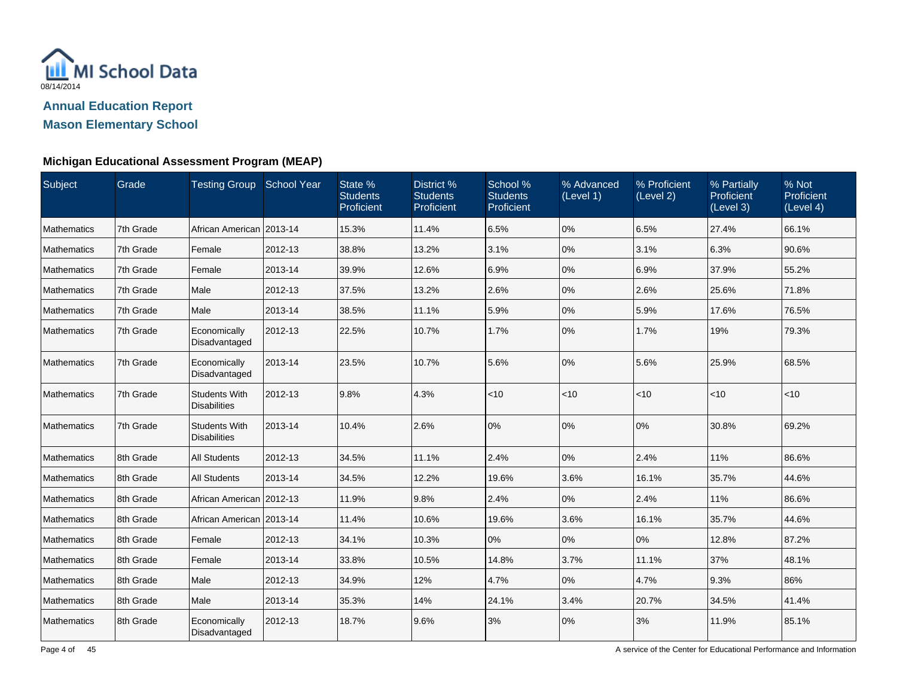

# **Michigan Educational Assessment Program (MEAP)**

| Subject            | Grade     | <b>Testing Group</b>                        | <b>School Year</b> | State %<br><b>Students</b><br>Proficient | District %<br><b>Students</b><br>Proficient | School %<br><b>Students</b><br>Proficient | % Advanced<br>(Level 1) | % Proficient<br>(Level 2) | % Partially<br><b>Proficient</b><br>(Level 3) | % Not<br>Proficient<br>(Level 4) |
|--------------------|-----------|---------------------------------------------|--------------------|------------------------------------------|---------------------------------------------|-------------------------------------------|-------------------------|---------------------------|-----------------------------------------------|----------------------------------|
| Mathematics        | 7th Grade | African American                            | 2013-14            | 15.3%                                    | 11.4%                                       | 6.5%                                      | 0%                      | 6.5%                      | 27.4%                                         | 66.1%                            |
| <b>Mathematics</b> | 7th Grade | Female                                      | 2012-13            | 38.8%                                    | 13.2%                                       | 3.1%                                      | 0%                      | 3.1%                      | 6.3%                                          | 90.6%                            |
| <b>Mathematics</b> | 7th Grade | Female                                      | 2013-14            | 39.9%                                    | 12.6%                                       | 6.9%                                      | 0%                      | 6.9%                      | 37.9%                                         | 55.2%                            |
| <b>Mathematics</b> | 7th Grade | Male                                        | 2012-13            | 37.5%                                    | 13.2%                                       | 2.6%                                      | 0%                      | 2.6%                      | 25.6%                                         | 71.8%                            |
| <b>Mathematics</b> | 7th Grade | Male                                        | 2013-14            | 38.5%                                    | 11.1%                                       | 5.9%                                      | 0%                      | 5.9%                      | 17.6%                                         | 76.5%                            |
| Mathematics        | 7th Grade | Economically<br>Disadvantaged               | 2012-13            | 22.5%                                    | 10.7%                                       | 1.7%                                      | 0%                      | 1.7%                      | 19%                                           | 79.3%                            |
| <b>Mathematics</b> | 7th Grade | Economically<br>Disadvantaged               | 2013-14            | 23.5%                                    | 10.7%                                       | 5.6%                                      | 0%                      | 5.6%                      | 25.9%                                         | 68.5%                            |
| <b>Mathematics</b> | 7th Grade | <b>Students With</b><br><b>Disabilities</b> | 2012-13            | 9.8%                                     | 4.3%                                        | < 10                                      | < 10                    | < 10                      | $<$ 10                                        | $<$ 10                           |
| <b>Mathematics</b> | 7th Grade | <b>Students With</b><br><b>Disabilities</b> | 2013-14            | 10.4%                                    | 2.6%                                        | 0%                                        | 0%                      | 0%                        | 30.8%                                         | 69.2%                            |
| <b>Mathematics</b> | 8th Grade | <b>All Students</b>                         | 2012-13            | 34.5%                                    | 11.1%                                       | 2.4%                                      | 0%                      | 2.4%                      | 11%                                           | 86.6%                            |
| Mathematics        | 8th Grade | <b>All Students</b>                         | 2013-14            | 34.5%                                    | 12.2%                                       | 19.6%                                     | 3.6%                    | 16.1%                     | 35.7%                                         | 44.6%                            |
| Mathematics        | 8th Grade | African American 2012-13                    |                    | 11.9%                                    | 9.8%                                        | 2.4%                                      | 0%                      | 2.4%                      | 11%                                           | 86.6%                            |
| Mathematics        | 8th Grade | African American                            | 2013-14            | 11.4%                                    | 10.6%                                       | 19.6%                                     | 3.6%                    | 16.1%                     | 35.7%                                         | 44.6%                            |
| <b>Mathematics</b> | 8th Grade | Female                                      | 2012-13            | 34.1%                                    | 10.3%                                       | 10%                                       | 0%                      | 0%                        | 12.8%                                         | 87.2%                            |
| <b>Mathematics</b> | 8th Grade | Female                                      | 2013-14            | 33.8%                                    | 10.5%                                       | 14.8%                                     | 3.7%                    | 11.1%                     | 37%                                           | 48.1%                            |
| Mathematics        | 8th Grade | Male                                        | 2012-13            | 34.9%                                    | 12%                                         | 4.7%                                      | $0\%$                   | 4.7%                      | 9.3%                                          | 86%                              |
| Mathematics        | 8th Grade | Male                                        | 2013-14            | 35.3%                                    | 14%                                         | 24.1%                                     | 3.4%                    | 20.7%                     | 34.5%                                         | 41.4%                            |
| <b>Mathematics</b> | 8th Grade | Economically<br>Disadvantaged               | 2012-13            | 18.7%                                    | 9.6%                                        | 3%                                        | 0%                      | 3%                        | 11.9%                                         | 85.1%                            |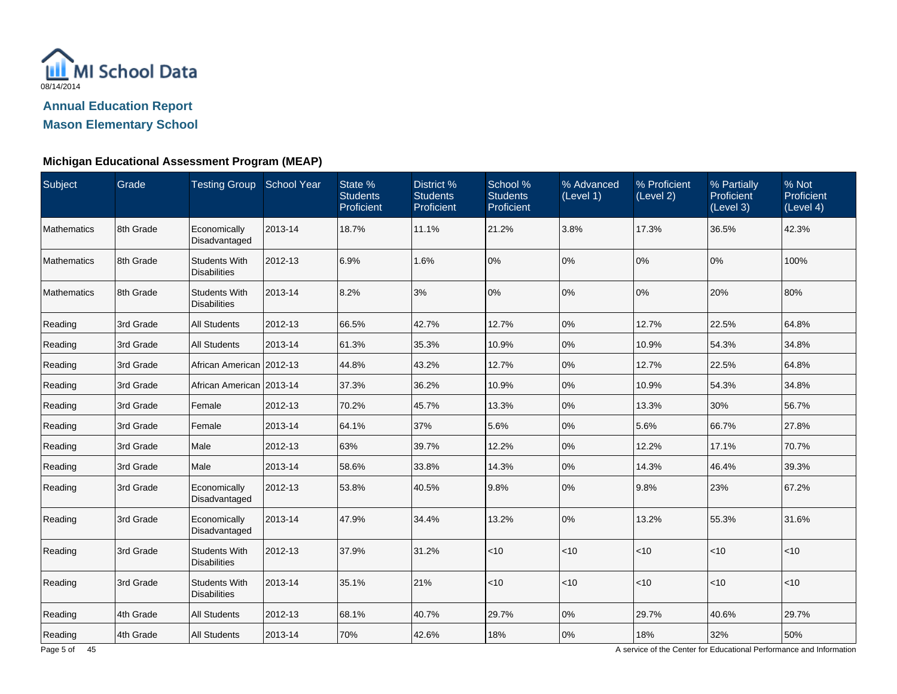

**Mason Elementary School**

### **Michigan Educational Assessment Program (MEAP)**

| Subject            | Grade     | Testing Group School Year                   |         | State %<br><b>Students</b><br>Proficient | District %<br><b>Students</b><br>Proficient | School %<br><b>Students</b><br>Proficient | % Advanced<br>(Level 1) | % Proficient<br>(Level 2) | % Partially<br><b>Proficient</b><br>(Level 3) | % Not<br>Proficient<br>(Level 4) |
|--------------------|-----------|---------------------------------------------|---------|------------------------------------------|---------------------------------------------|-------------------------------------------|-------------------------|---------------------------|-----------------------------------------------|----------------------------------|
| <b>Mathematics</b> | 8th Grade | Economically<br>Disadvantaged               | 2013-14 | 18.7%                                    | 11.1%                                       | 21.2%                                     | 3.8%                    | 17.3%                     | 36.5%                                         | 42.3%                            |
| <b>Mathematics</b> | 8th Grade | <b>Students With</b><br><b>Disabilities</b> | 2012-13 | 6.9%                                     | 1.6%                                        | 0%                                        | 0%                      | 0%                        | 0%                                            | 100%                             |
| <b>Mathematics</b> | 8th Grade | <b>Students With</b><br><b>Disabilities</b> | 2013-14 | 8.2%                                     | 3%                                          | 0%                                        | 0%                      | 0%                        | 20%                                           | 80%                              |
| Reading            | 3rd Grade | <b>All Students</b>                         | 2012-13 | 66.5%                                    | 42.7%                                       | 12.7%                                     | 0%                      | 12.7%                     | 22.5%                                         | 64.8%                            |
| Reading            | 3rd Grade | <b>All Students</b>                         | 2013-14 | 61.3%                                    | 35.3%                                       | 10.9%                                     | 0%                      | 10.9%                     | 54.3%                                         | 34.8%                            |
| Reading            | 3rd Grade | African American 2012-13                    |         | 44.8%                                    | 43.2%                                       | 12.7%                                     | 0%                      | 12.7%                     | 22.5%                                         | 64.8%                            |
| Reading            | 3rd Grade | African American 2013-14                    |         | 37.3%                                    | 36.2%                                       | 10.9%                                     | 0%                      | 10.9%                     | 54.3%                                         | 34.8%                            |
| Reading            | 3rd Grade | Female                                      | 2012-13 | 70.2%                                    | 45.7%                                       | 13.3%                                     | 0%                      | 13.3%                     | 30%                                           | 56.7%                            |
| Reading            | 3rd Grade | Female                                      | 2013-14 | 64.1%                                    | 37%                                         | 5.6%                                      | 0%                      | 5.6%                      | 66.7%                                         | 27.8%                            |
| Reading            | 3rd Grade | Male                                        | 2012-13 | 63%                                      | 39.7%                                       | 12.2%                                     | 0%                      | 12.2%                     | 17.1%                                         | 70.7%                            |
| Reading            | 3rd Grade | Male                                        | 2013-14 | 58.6%                                    | 33.8%                                       | 14.3%                                     | 0%                      | 14.3%                     | 46.4%                                         | 39.3%                            |
| Reading            | 3rd Grade | Economically<br>Disadvantaged               | 2012-13 | 53.8%                                    | 40.5%                                       | 9.8%                                      | 0%                      | 9.8%                      | 23%                                           | 67.2%                            |
| Reading            | 3rd Grade | Economically<br>Disadvantaged               | 2013-14 | 47.9%                                    | 34.4%                                       | 13.2%                                     | 0%                      | 13.2%                     | 55.3%                                         | 31.6%                            |
| Reading            | 3rd Grade | <b>Students With</b><br><b>Disabilities</b> | 2012-13 | 37.9%                                    | 31.2%                                       | $<10$                                     | < 10                    | < 10                      | < 10                                          | < 10                             |
| Reading            | 3rd Grade | <b>Students With</b><br><b>Disabilities</b> | 2013-14 | 35.1%                                    | 21%                                         | $<10$                                     | < 10                    | <10                       | <10                                           | <10                              |
| Reading            | 4th Grade | <b>All Students</b>                         | 2012-13 | 68.1%                                    | 40.7%                                       | 29.7%                                     | 0%                      | 29.7%                     | 40.6%                                         | 29.7%                            |
| Reading            | 4th Grade | <b>All Students</b>                         | 2013-14 | 70%                                      | 42.6%                                       | 18%                                       | 0%                      | 18%                       | 32%                                           | 50%                              |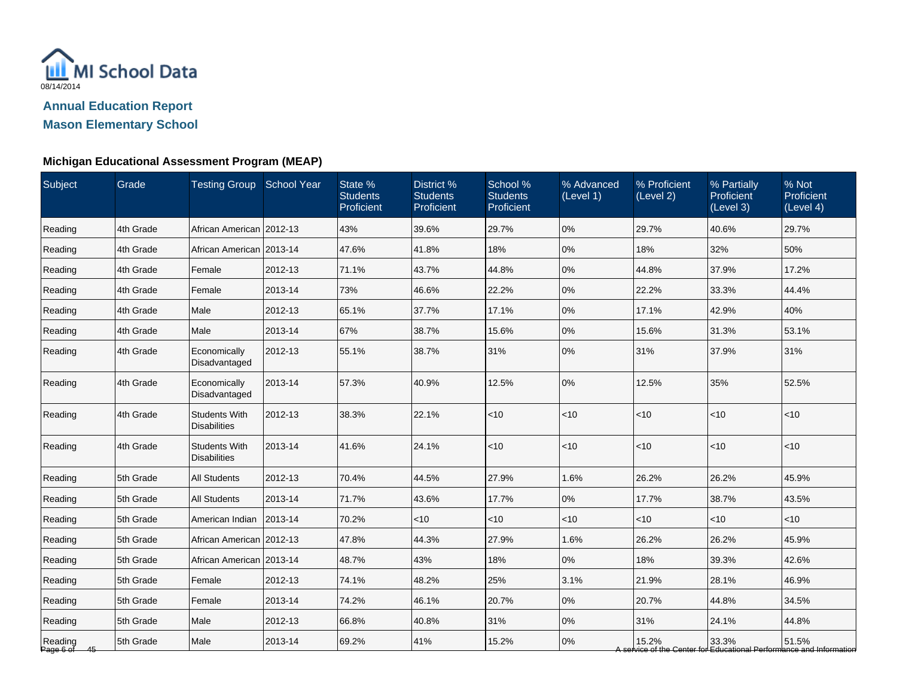

### **Michigan Educational Assessment Program (MEAP)**

| Subject                 | Grade     | <b>Testing Group School Year</b>            |         | State %<br><b>Students</b><br>Proficient | District %<br><b>Students</b><br>Proficient | School %<br><b>Students</b><br>Proficient | % Advanced<br>(Level 1) | % Proficient<br>(Level 2) | % Partially<br>Proficient<br>(Level 3) | % Not<br>Proficient<br>(Level 4)                                             |
|-------------------------|-----------|---------------------------------------------|---------|------------------------------------------|---------------------------------------------|-------------------------------------------|-------------------------|---------------------------|----------------------------------------|------------------------------------------------------------------------------|
| Reading                 | 4th Grade | African American 2012-13                    |         | 43%                                      | 39.6%                                       | 29.7%                                     | 0%                      | 29.7%                     | 40.6%                                  | 29.7%                                                                        |
| Reading                 | 4th Grade | African American 2013-14                    |         | 47.6%                                    | 41.8%                                       | 18%                                       | 0%                      | 18%                       | 32%                                    | 50%                                                                          |
| Reading                 | 4th Grade | Female                                      | 2012-13 | 71.1%                                    | 43.7%                                       | 44.8%                                     | 0%                      | 44.8%                     | 37.9%                                  | 17.2%                                                                        |
| Reading                 | 4th Grade | Female                                      | 2013-14 | 73%                                      | 46.6%                                       | 22.2%                                     | 0%                      | 22.2%                     | 33.3%                                  | 44.4%                                                                        |
| Reading                 | 4th Grade | Male                                        | 2012-13 | 65.1%                                    | 37.7%                                       | 17.1%                                     | 0%                      | 17.1%                     | 42.9%                                  | 40%                                                                          |
| Reading                 | 4th Grade | Male                                        | 2013-14 | 67%                                      | 38.7%                                       | 15.6%                                     | 0%                      | 15.6%                     | 31.3%                                  | 53.1%                                                                        |
| Reading                 | 4th Grade | Economically<br>Disadvantaged               | 2012-13 | 55.1%                                    | 38.7%                                       | 31%                                       | 0%                      | 31%                       | 37.9%                                  | 31%                                                                          |
| Reading                 | 4th Grade | Economically<br>Disadvantaged               | 2013-14 | 57.3%                                    | 40.9%                                       | 12.5%                                     | 0%                      | 12.5%                     | 35%                                    | 52.5%                                                                        |
| Reading                 | 4th Grade | <b>Students With</b><br><b>Disabilities</b> | 2012-13 | 38.3%                                    | 22.1%                                       | $<10$                                     | $<$ 10                  | < 10                      | $<$ 10                                 | < 10                                                                         |
| Reading                 | 4th Grade | <b>Students With</b><br><b>Disabilities</b> | 2013-14 | 41.6%                                    | 24.1%                                       | < 10                                      | $<$ 10                  | < 10                      | $<$ 10                                 | $<$ 10                                                                       |
| Reading                 | 5th Grade | <b>All Students</b>                         | 2012-13 | 70.4%                                    | 44.5%                                       | 27.9%                                     | 1.6%                    | 26.2%                     | 26.2%                                  | 45.9%                                                                        |
| Reading                 | 5th Grade | <b>All Students</b>                         | 2013-14 | 71.7%                                    | 43.6%                                       | 17.7%                                     | 0%                      | 17.7%                     | 38.7%                                  | 43.5%                                                                        |
| Reading                 | 5th Grade | American Indian                             | 2013-14 | 70.2%                                    | <10                                         | < 10                                      | <10                     | $<$ 10                    | $<$ 10                                 | < 10                                                                         |
| Reading                 | 5th Grade | African American 2012-13                    |         | 47.8%                                    | 44.3%                                       | 27.9%                                     | 1.6%                    | 26.2%                     | 26.2%                                  | 45.9%                                                                        |
| Reading                 | 5th Grade | African American   2013-14                  |         | 48.7%                                    | 43%                                         | 18%                                       | 0%                      | 18%                       | 39.3%                                  | 42.6%                                                                        |
| Reading                 | 5th Grade | Female                                      | 2012-13 | 74.1%                                    | 48.2%                                       | 25%                                       | 3.1%                    | 21.9%                     | 28.1%                                  | 46.9%                                                                        |
| Reading                 | 5th Grade | Female                                      | 2013-14 | 74.2%                                    | 46.1%                                       | 20.7%                                     | 0%                      | 20.7%                     | 44.8%                                  | 34.5%                                                                        |
| Reading                 | 5th Grade | Male                                        | 2012-13 | 66.8%                                    | 40.8%                                       | 31%                                       | 0%                      | 31%                       | 24.1%                                  | 44.8%                                                                        |
| Reading<br>Page 6 of 45 | 5th Grade | Male                                        | 2013-14 | 69.2%                                    | 41%                                         | 15.2%                                     | 0%                      | 15.2%                     | 33.3%                                  | 51.5%<br>A service of the Center for Educational Performance and Information |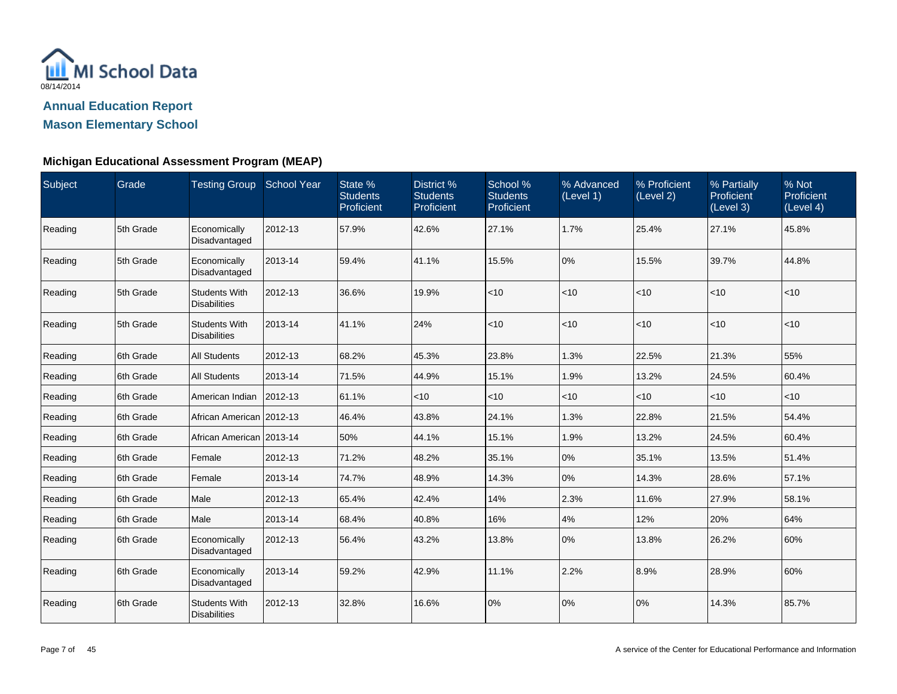

**Mason Elementary School**

### **Michigan Educational Assessment Program (MEAP)**

| Subject | Grade      | Testing Group School Year                   |         | State %<br><b>Students</b><br>Proficient | District %<br><b>Students</b><br>Proficient | School %<br><b>Students</b><br>Proficient | % Advanced<br>(Level 1) | % Proficient<br>(Level 2) | % Partially<br>Proficient<br>(Level 3) | % Not<br>Proficient<br>(Level 4) |
|---------|------------|---------------------------------------------|---------|------------------------------------------|---------------------------------------------|-------------------------------------------|-------------------------|---------------------------|----------------------------------------|----------------------------------|
| Reading | 5th Grade  | Economically<br>Disadvantaged               | 2012-13 | 57.9%                                    | 42.6%                                       | 27.1%                                     | 1.7%                    | 25.4%                     | 27.1%                                  | 45.8%                            |
| Reading | 5th Grade  | Economically<br>Disadvantaged               | 2013-14 | 59.4%                                    | 41.1%                                       | 15.5%                                     | 0%                      | 15.5%                     | 39.7%                                  | 44.8%                            |
| Reading | 5th Grade  | <b>Students With</b><br><b>Disabilities</b> | 2012-13 | 36.6%                                    | 19.9%                                       | < 10                                      | $<$ 10                  | $<$ 10                    | $<$ 10                                 | $<$ 10                           |
| Reading | 5th Grade  | <b>Students With</b><br><b>Disabilities</b> | 2013-14 | 41.1%                                    | 24%                                         | < 10                                      | $<$ 10                  | $<$ 10                    | $<$ 10                                 | $<$ 10                           |
| Reading | 6th Grade  | <b>All Students</b>                         | 2012-13 | 68.2%                                    | 45.3%                                       | 23.8%                                     | 1.3%                    | 22.5%                     | 21.3%                                  | 55%                              |
| Reading | 6th Grade  | <b>All Students</b>                         | 2013-14 | 71.5%                                    | 44.9%                                       | 15.1%                                     | 1.9%                    | 13.2%                     | 24.5%                                  | 60.4%                            |
| Reading | 6th Grade  | American Indian                             | 2012-13 | 61.1%                                    | <10                                         | $<$ 10                                    | <10                     | $<$ 10                    | $<$ 10                                 | $<$ 10                           |
| Reading | 16th Grade | African American 2012-13                    |         | 46.4%                                    | 43.8%                                       | 24.1%                                     | 1.3%                    | 22.8%                     | 21.5%                                  | 54.4%                            |
| Reading | 6th Grade  | African American 2013-14                    |         | 50%                                      | 44.1%                                       | 15.1%                                     | 1.9%                    | 13.2%                     | 24.5%                                  | 60.4%                            |
| Reading | 6th Grade  | Female                                      | 2012-13 | 71.2%                                    | 48.2%                                       | 35.1%                                     | 0%                      | 35.1%                     | 13.5%                                  | 51.4%                            |
| Reading | 6th Grade  | Female                                      | 2013-14 | 74.7%                                    | 48.9%                                       | 14.3%                                     | 0%                      | 14.3%                     | 28.6%                                  | 57.1%                            |
| Reading | 6th Grade  | Male                                        | 2012-13 | 65.4%                                    | 42.4%                                       | 14%                                       | 2.3%                    | 11.6%                     | 27.9%                                  | 58.1%                            |
| Reading | 6th Grade  | Male                                        | 2013-14 | 68.4%                                    | 40.8%                                       | 16%                                       | 4%                      | 12%                       | 20%                                    | 64%                              |
| Reading | 6th Grade  | Economically<br>Disadvantaged               | 2012-13 | 56.4%                                    | 43.2%                                       | 13.8%                                     | 0%                      | 13.8%                     | 26.2%                                  | 60%                              |
| Reading | 6th Grade  | Economically<br>Disadvantaged               | 2013-14 | 59.2%                                    | 42.9%                                       | 11.1%                                     | 2.2%                    | 8.9%                      | 28.9%                                  | 60%                              |
| Reading | 6th Grade  | <b>Students With</b><br><b>Disabilities</b> | 2012-13 | 32.8%                                    | 16.6%                                       | 0%                                        | 0%                      | 0%                        | 14.3%                                  | 85.7%                            |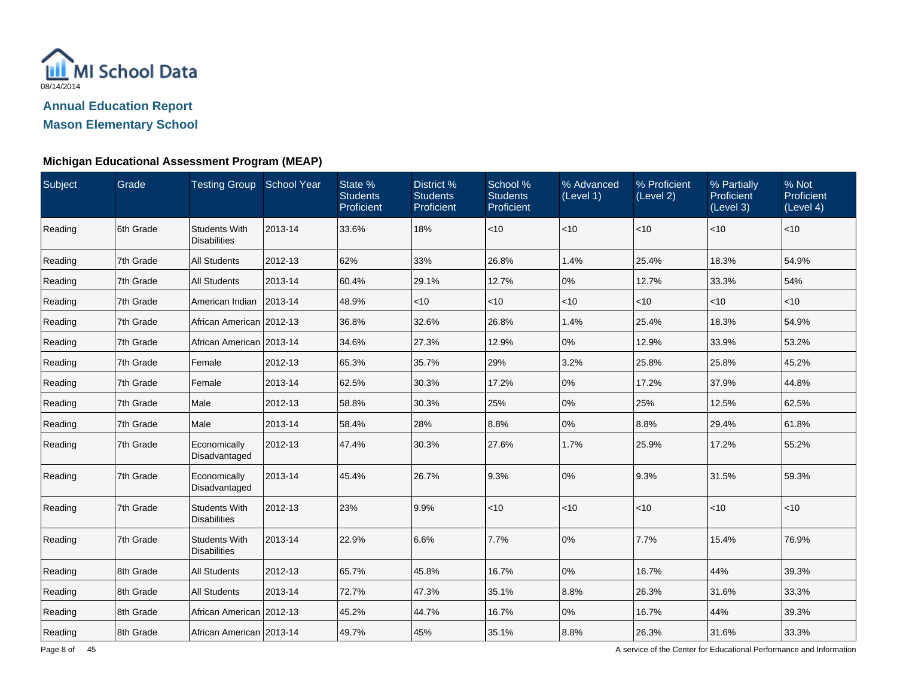

**Mason Elementary School**

### **Michigan Educational Assessment Program (MEAP)**

| Subject | Grade     | Testing Group School Year                   |         | State %<br><b>Students</b><br>Proficient | District %<br><b>Students</b><br>Proficient | School %<br><b>Students</b><br>Proficient | % Advanced<br>(Level 1) | % Proficient<br>(Level 2) | % Partially<br><b>Proficient</b><br>(Level 3) | % Not<br>Proficient<br>(Level 4) |
|---------|-----------|---------------------------------------------|---------|------------------------------------------|---------------------------------------------|-------------------------------------------|-------------------------|---------------------------|-----------------------------------------------|----------------------------------|
| Reading | 6th Grade | <b>Students With</b><br><b>Disabilities</b> | 2013-14 | 33.6%                                    | 18%                                         | < 10                                      | $<$ 10                  | $<$ 10                    | $<$ 10                                        | $<$ 10                           |
| Reading | 7th Grade | <b>All Students</b>                         | 2012-13 | 62%                                      | 33%                                         | 26.8%                                     | 1.4%                    | 25.4%                     | 18.3%                                         | 54.9%                            |
| Reading | 7th Grade | <b>All Students</b>                         | 2013-14 | 60.4%                                    | 29.1%                                       | 12.7%                                     | 0%                      | 12.7%                     | 33.3%                                         | 54%                              |
| Reading | 7th Grade | American Indian                             | 2013-14 | 48.9%                                    | $<$ 10                                      | $<$ 10                                    | $<$ 10                  | $<$ 10                    | $<$ 10                                        | $<$ 10                           |
| Reading | 7th Grade | African American 2012-13                    |         | 36.8%                                    | 32.6%                                       | 26.8%                                     | 1.4%                    | 25.4%                     | 18.3%                                         | 54.9%                            |
| Reading | 7th Grade | African American 2013-14                    |         | 34.6%                                    | 27.3%                                       | 12.9%                                     | 0%                      | 12.9%                     | 33.9%                                         | 53.2%                            |
| Reading | 7th Grade | Female                                      | 2012-13 | 65.3%                                    | 35.7%                                       | 29%                                       | 3.2%                    | 25.8%                     | 25.8%                                         | 45.2%                            |
| Reading | 7th Grade | Female                                      | 2013-14 | 62.5%                                    | 30.3%                                       | 17.2%                                     | 0%                      | 17.2%                     | 37.9%                                         | 44.8%                            |
| Reading | 7th Grade | Male                                        | 2012-13 | 58.8%                                    | 30.3%                                       | 25%                                       | 0%                      | 25%                       | 12.5%                                         | 62.5%                            |
| Reading | 7th Grade | Male                                        | 2013-14 | 58.4%                                    | 28%                                         | 8.8%                                      | 0%                      | 8.8%                      | 29.4%                                         | 61.8%                            |
| Reading | 7th Grade | Economically<br>Disadvantaged               | 2012-13 | 47.4%                                    | 30.3%                                       | 27.6%                                     | 1.7%                    | 25.9%                     | 17.2%                                         | 55.2%                            |
| Reading | 7th Grade | Economically<br>Disadvantaged               | 2013-14 | 45.4%                                    | 26.7%                                       | 9.3%                                      | 0%                      | 9.3%                      | 31.5%                                         | 59.3%                            |
| Reading | 7th Grade | <b>Students With</b><br><b>Disabilities</b> | 2012-13 | 23%                                      | 9.9%                                        | < 10                                      | $<$ 10                  | $<$ 10                    | $<$ 10                                        | $<$ 10                           |
| Reading | 7th Grade | <b>Students With</b><br><b>Disabilities</b> | 2013-14 | 22.9%                                    | 6.6%                                        | 7.7%                                      | 0%                      | 7.7%                      | 15.4%                                         | 76.9%                            |
| Reading | 8th Grade | <b>All Students</b>                         | 2012-13 | 65.7%                                    | 45.8%                                       | 16.7%                                     | $0\%$                   | 16.7%                     | 44%                                           | 39.3%                            |
| Reading | 8th Grade | <b>All Students</b>                         | 2013-14 | 72.7%                                    | 47.3%                                       | 35.1%                                     | 8.8%                    | 26.3%                     | 31.6%                                         | 33.3%                            |
| Reading | 8th Grade | African American   2012-13                  |         | 45.2%                                    | 44.7%                                       | 16.7%                                     | 0%                      | 16.7%                     | 44%                                           | 39.3%                            |
| Reading | 8th Grade | African American   2013-14                  |         | 49.7%                                    | 45%                                         | 35.1%                                     | 8.8%                    | 26.3%                     | 31.6%                                         | 33.3%                            |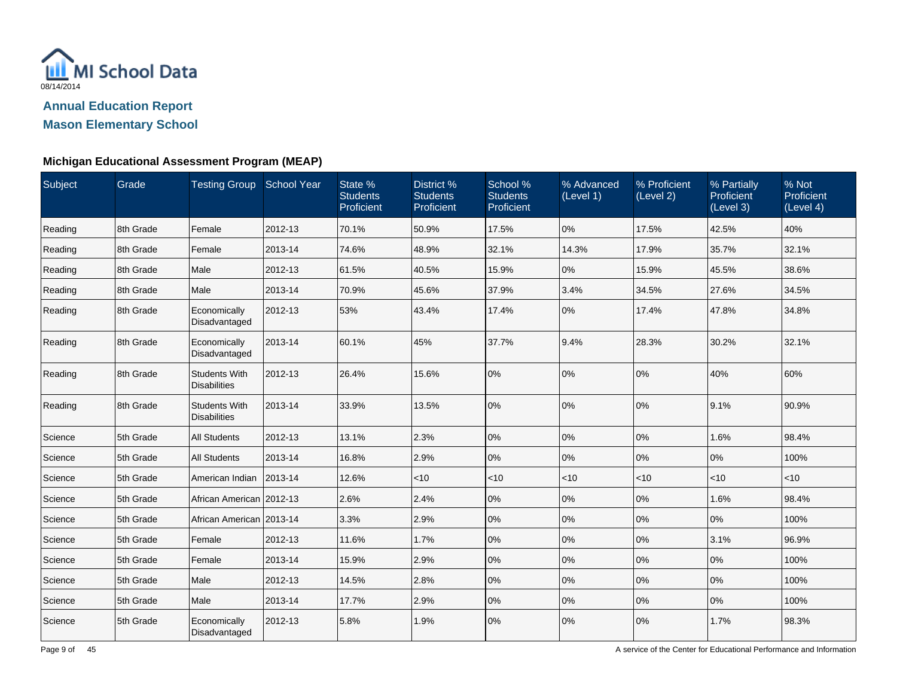

**Mason Elementary School**

### **Michigan Educational Assessment Program (MEAP)**

| Subject | Grade     | Testing Group School Year                   |         | State %<br><b>Students</b><br>Proficient | District %<br><b>Students</b><br>Proficient | School %<br><b>Students</b><br>Proficient | % Advanced<br>(Level 1) | % Proficient<br>(Level 2) | % Partially<br>Proficient<br>(Level 3) | % Not<br>Proficient<br>(Level 4) |
|---------|-----------|---------------------------------------------|---------|------------------------------------------|---------------------------------------------|-------------------------------------------|-------------------------|---------------------------|----------------------------------------|----------------------------------|
| Reading | 8th Grade | Female                                      | 2012-13 | 70.1%                                    | 50.9%                                       | 17.5%                                     | 0%                      | 17.5%                     | 42.5%                                  | 40%                              |
| Reading | 8th Grade | Female                                      | 2013-14 | 74.6%                                    | 48.9%                                       | 32.1%                                     | 14.3%                   | 17.9%                     | 35.7%                                  | 32.1%                            |
| Reading | 8th Grade | Male                                        | 2012-13 | 61.5%                                    | 40.5%                                       | 15.9%                                     | 0%                      | 15.9%                     | 45.5%                                  | 38.6%                            |
| Reading | 8th Grade | Male                                        | 2013-14 | 70.9%                                    | 45.6%                                       | 37.9%                                     | 3.4%                    | 34.5%                     | 27.6%                                  | 34.5%                            |
| Reading | 8th Grade | Economically<br>Disadvantaged               | 2012-13 | 53%                                      | 43.4%                                       | 17.4%                                     | 0%                      | 17.4%                     | 47.8%                                  | 34.8%                            |
| Reading | 8th Grade | Economically<br>Disadvantaged               | 2013-14 | 60.1%                                    | 45%                                         | 37.7%                                     | 9.4%                    | 28.3%                     | 30.2%                                  | 32.1%                            |
| Reading | 8th Grade | <b>Students With</b><br><b>Disabilities</b> | 2012-13 | 26.4%                                    | 15.6%                                       | 0%                                        | 0%                      | 0%                        | 40%                                    | 60%                              |
| Reading | 8th Grade | <b>Students With</b><br><b>Disabilities</b> | 2013-14 | 33.9%                                    | 13.5%                                       | 0%                                        | 0%                      | 0%                        | 9.1%                                   | 90.9%                            |
| Science | 5th Grade | <b>All Students</b>                         | 2012-13 | 13.1%                                    | 2.3%                                        | 0%                                        | 0%                      | 0%                        | 1.6%                                   | 98.4%                            |
| Science | 5th Grade | <b>All Students</b>                         | 2013-14 | 16.8%                                    | 2.9%                                        | 0%                                        | 0%                      | 0%                        | 0%                                     | 100%                             |
| Science | 5th Grade | American Indian   2013-14                   |         | 12.6%                                    | $<$ 10                                      | $<$ 10                                    | < 10                    | $<$ 10                    | $<$ 10                                 | $ $ < 10                         |
| Science | 5th Grade | African American   2012-13                  |         | 2.6%                                     | 2.4%                                        | 0%                                        | 0%                      | 0%                        | 1.6%                                   | 98.4%                            |
| Science | 5th Grade | African American 2013-14                    |         | 3.3%                                     | 2.9%                                        | 0%                                        | 0%                      | 0%                        | 0%                                     | 100%                             |
| Science | 5th Grade | Female                                      | 2012-13 | 11.6%                                    | 1.7%                                        | $0\%$                                     | 0%                      | 0%                        | 3.1%                                   | 96.9%                            |
| Science | 5th Grade | Female                                      | 2013-14 | 15.9%                                    | 2.9%                                        | 0%                                        | 0%                      | 0%                        | 0%                                     | 100%                             |
| Science | 5th Grade | Male                                        | 2012-13 | 14.5%                                    | 2.8%                                        | 0%                                        | 0%                      | 0%                        | 0%                                     | 100%                             |
| Science | 5th Grade | Male                                        | 2013-14 | 17.7%                                    | 2.9%                                        | 0%                                        | 0%                      | 0%                        | 0%                                     | 100%                             |
| Science | 5th Grade | Economically<br>Disadvantaged               | 2012-13 | 5.8%                                     | 1.9%                                        | 0%                                        | 0%                      | 0%                        | 1.7%                                   | 98.3%                            |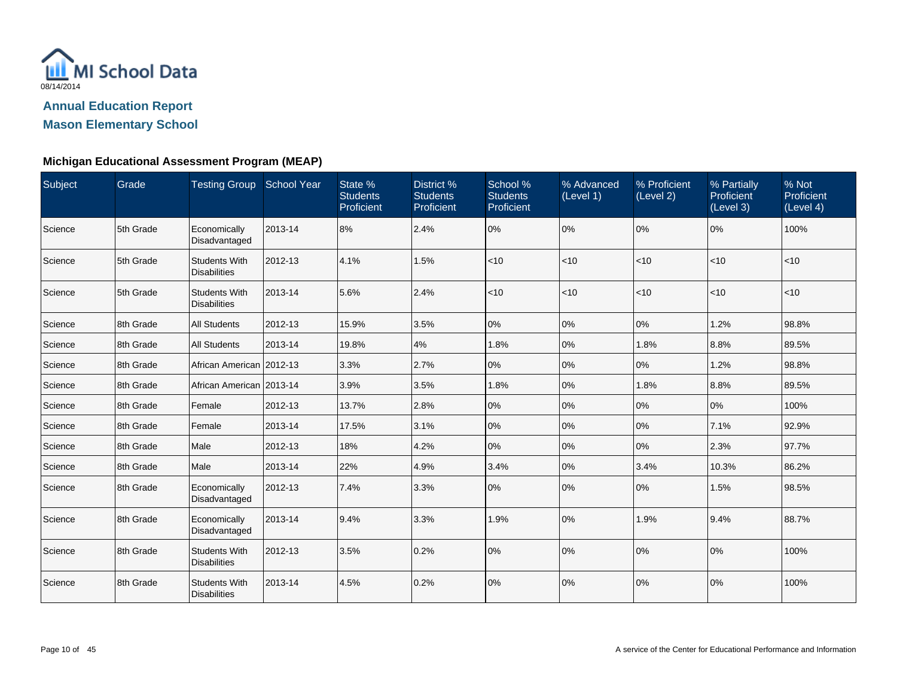

**Mason Elementary School**

### **Michigan Educational Assessment Program (MEAP)**

| Subject | Grade     | <b>Testing Group School Year</b>            |         | State %<br><b>Students</b><br>Proficient | District %<br><b>Students</b><br>Proficient | School %<br><b>Students</b><br>Proficient | % Advanced<br>(Level 1) | % Proficient<br>(Level 2) | % Partially<br><b>Proficient</b><br>(Level 3) | % Not<br>Proficient<br>(Level 4) |
|---------|-----------|---------------------------------------------|---------|------------------------------------------|---------------------------------------------|-------------------------------------------|-------------------------|---------------------------|-----------------------------------------------|----------------------------------|
| Science | 5th Grade | Economically<br>Disadvantaged               | 2013-14 | 8%                                       | 2.4%                                        | 0%                                        | 0%                      | 0%                        | 0%                                            | 100%                             |
| Science | 5th Grade | <b>Students With</b><br><b>Disabilities</b> | 2012-13 | 4.1%                                     | 1.5%                                        | < 10                                      | < 10                    | $<$ 10                    | $ $ < 10                                      | $<$ 10                           |
| Science | 5th Grade | <b>Students With</b><br><b>Disabilities</b> | 2013-14 | 5.6%                                     | 2.4%                                        | < 10                                      | < 10                    | $<$ 10                    | $ $ < 10                                      | $<$ 10                           |
| Science | 8th Grade | <b>All Students</b>                         | 2012-13 | 15.9%                                    | 3.5%                                        | 0%                                        | 0%                      | 0%                        | 1.2%                                          | 98.8%                            |
| Science | 8th Grade | <b>All Students</b>                         | 2013-14 | 19.8%                                    | 4%                                          | 1.8%                                      | 0%                      | 1.8%                      | 8.8%                                          | 89.5%                            |
| Science | 8th Grade | African American 2012-13                    |         | 3.3%                                     | 2.7%                                        | 0%                                        | 0%                      | 0%                        | 1.2%                                          | 98.8%                            |
| Science | 8th Grade | African American   2013-14                  |         | 3.9%                                     | 3.5%                                        | 1.8%                                      | 0%                      | 1.8%                      | 8.8%                                          | 89.5%                            |
| Science | 8th Grade | Female                                      | 2012-13 | 13.7%                                    | 2.8%                                        | 0%                                        | 0%                      | $ 0\%$                    | 0%                                            | 100%                             |
| Science | 8th Grade | Female                                      | 2013-14 | 17.5%                                    | 3.1%                                        | 0%                                        | 0%                      | 0%                        | 7.1%                                          | 92.9%                            |
| Science | 8th Grade | Male                                        | 2012-13 | 18%                                      | 4.2%                                        | 0%                                        | 0%                      | 0%                        | 2.3%                                          | 97.7%                            |
| Science | 8th Grade | Male                                        | 2013-14 | 22%                                      | 4.9%                                        | 3.4%                                      | 0%                      | 3.4%                      | 10.3%                                         | 86.2%                            |
| Science | 8th Grade | Economically<br>Disadvantaged               | 2012-13 | 7.4%                                     | 3.3%                                        | 0%                                        | 0%                      | 10%                       | 1.5%                                          | 98.5%                            |
| Science | 8th Grade | Economically<br>Disadvantaged               | 2013-14 | 9.4%                                     | 3.3%                                        | 1.9%                                      | 0%                      | 1.9%                      | 9.4%                                          | 88.7%                            |
| Science | 8th Grade | <b>Students With</b><br><b>Disabilities</b> | 2012-13 | 3.5%                                     | 0.2%                                        | 0%                                        | 0%                      | 0%                        | 0%                                            | 100%                             |
| Science | 8th Grade | <b>Students With</b><br><b>Disabilities</b> | 2013-14 | 4.5%                                     | 0.2%                                        | 0%                                        | 0%                      | $ 0\%$                    | 0%                                            | 100%                             |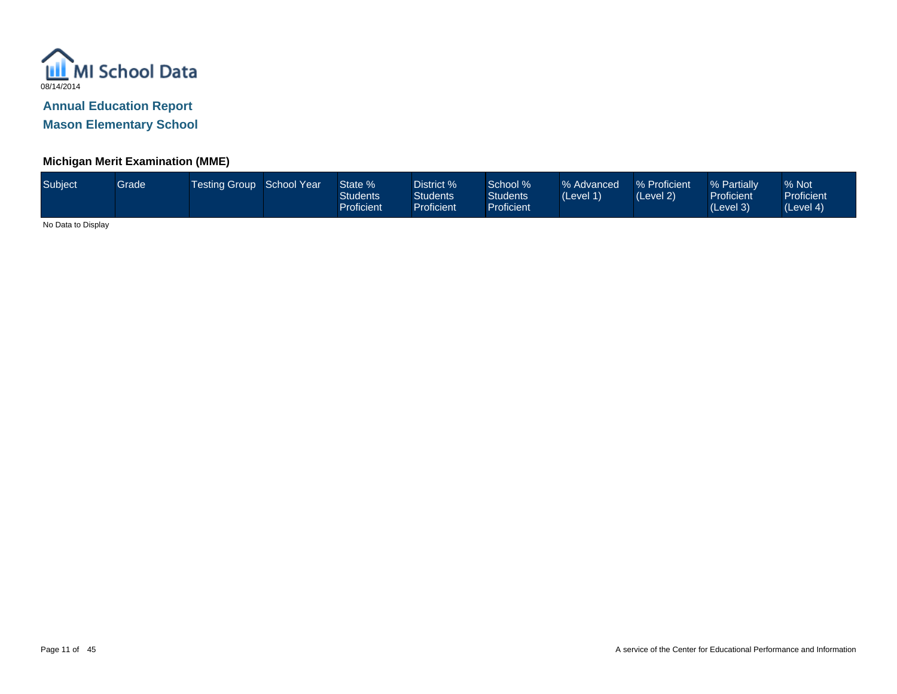

**Mason Elementary School**

### **Michigan Merit Examination (MME)**

| Subject | Grade | <b>Testing Group School Year</b> |  | State %<br>Students<br>Proficient | District %<br><b>Students</b><br><b>Proficient</b> | School %<br><b>Students</b><br><b>Proficient</b> | % Advanced<br>(Level 1) | % Proficient<br>(Level 2) | % Partially<br><b>Proficient</b><br>(Level 3) | % Not<br><b>Proficient</b><br>(Level 4) |
|---------|-------|----------------------------------|--|-----------------------------------|----------------------------------------------------|--------------------------------------------------|-------------------------|---------------------------|-----------------------------------------------|-----------------------------------------|
|---------|-------|----------------------------------|--|-----------------------------------|----------------------------------------------------|--------------------------------------------------|-------------------------|---------------------------|-----------------------------------------------|-----------------------------------------|

No Data to Display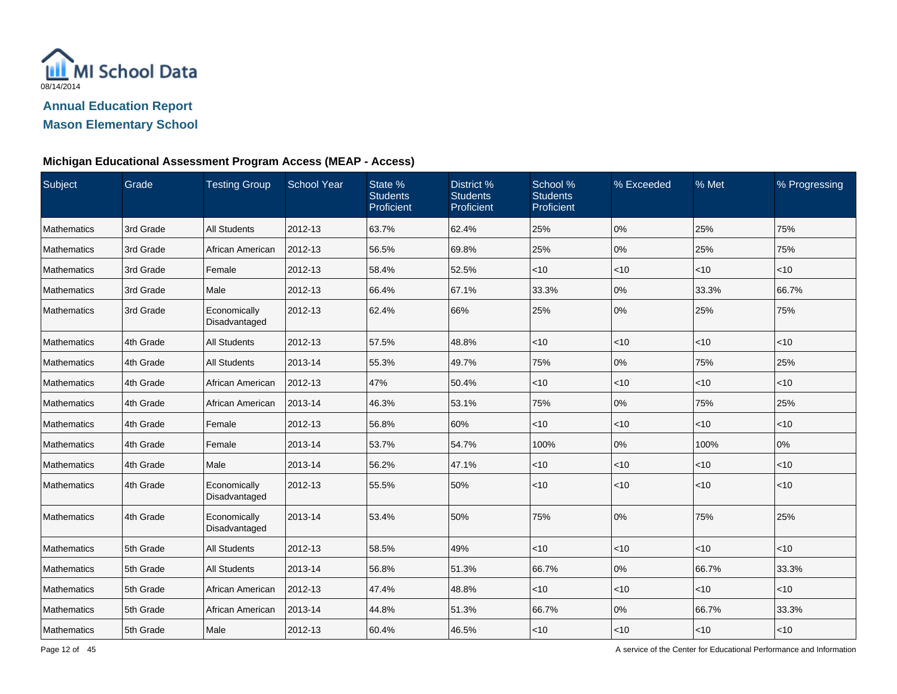

### **Michigan Educational Assessment Program Access (MEAP - Access)**

| Subject       | Grade     | <b>Testing Group</b>          | <b>School Year</b> | State %<br><b>Students</b><br>Proficient | District %<br><b>Students</b><br>Proficient | School %<br><b>Students</b><br>Proficient | % Exceeded | % Met  | % Progressing |
|---------------|-----------|-------------------------------|--------------------|------------------------------------------|---------------------------------------------|-------------------------------------------|------------|--------|---------------|
| Mathematics   | 3rd Grade | <b>All Students</b>           | 2012-13            | 63.7%                                    | 62.4%                                       | 25%                                       | 0%         | 25%    | 75%           |
| Mathematics   | 3rd Grade | African American              | 2012-13            | 56.5%                                    | 69.8%                                       | 25%                                       | 0%         | 25%    | 75%           |
| Mathematics   | 3rd Grade | Female                        | 2012-13            | 58.4%                                    | 52.5%                                       | $<$ 10                                    | $<$ 10     | < 10   | $<$ 10        |
| Mathematics   | 3rd Grade | Male                          | 2012-13            | 66.4%                                    | 67.1%                                       | 33.3%                                     | 0%         | 33.3%  | 66.7%         |
| Mathematics   | 3rd Grade | Economically<br>Disadvantaged | 2012-13            | 62.4%                                    | 66%                                         | 25%                                       | 0%         | 25%    | 75%           |
| Mathematics   | 4th Grade | <b>All Students</b>           | 2012-13            | 57.5%                                    | 48.8%                                       | $<$ 10                                    | <10        | <10    | $<$ 10        |
| Mathematics   | 4th Grade | <b>All Students</b>           | 2013-14            | 55.3%                                    | 49.7%                                       | 75%                                       | 0%         | 75%    | 25%           |
| Mathematics   | 4th Grade | African American              | 2012-13            | 47%                                      | 50.4%                                       | $<$ 10                                    | $<$ 10     | < 10   | $<$ 10        |
| Mathematics   | 4th Grade | African American              | 2013-14            | 46.3%                                    | 53.1%                                       | 75%                                       | 0%         | 75%    | 25%           |
| Mathematics   | 4th Grade | Female                        | 2012-13            | 56.8%                                    | 60%                                         | $<$ 10                                    | < 10       | $<$ 10 | $<$ 10        |
| Mathematics   | 4th Grade | Female                        | 2013-14            | 53.7%                                    | 54.7%                                       | 100%                                      | $0\%$      | 100%   | 0%            |
| Mathematics   | 4th Grade | Male                          | 2013-14            | 56.2%                                    | 47.1%                                       | $<$ 10                                    | $<$ 10     | < 10   | $<$ 10        |
| Mathematics   | 4th Grade | Economically<br>Disadvantaged | 2012-13            | 55.5%                                    | 50%                                         | $<$ 10                                    | < 10       | < 10   | $<10$         |
| l Mathematics | 4th Grade | Economically<br>Disadvantaged | 2013-14            | 53.4%                                    | 50%                                         | 75%                                       | 0%         | 75%    | 25%           |
| Mathematics   | 5th Grade | <b>All Students</b>           | 2012-13            | 58.5%                                    | 49%                                         | $<$ 10                                    | <10        | $<$ 10 | < 10          |
| Mathematics   | 5th Grade | <b>All Students</b>           | 2013-14            | 56.8%                                    | 51.3%                                       | 66.7%                                     | 0%         | 66.7%  | 33.3%         |
| Mathematics   | 5th Grade | African American              | 2012-13            | 47.4%                                    | 48.8%                                       | $<$ 10                                    | < 10       | < 10   | $<$ 10        |
| Mathematics   | 5th Grade | African American              | 2013-14            | 44.8%                                    | 51.3%                                       | 66.7%                                     | 0%         | 66.7%  | 33.3%         |
| Mathematics   | 5th Grade | Male                          | 2012-13            | 60.4%                                    | 46.5%                                       | $<$ 10                                    | $<$ 10     | $<$ 10 | $<$ 10        |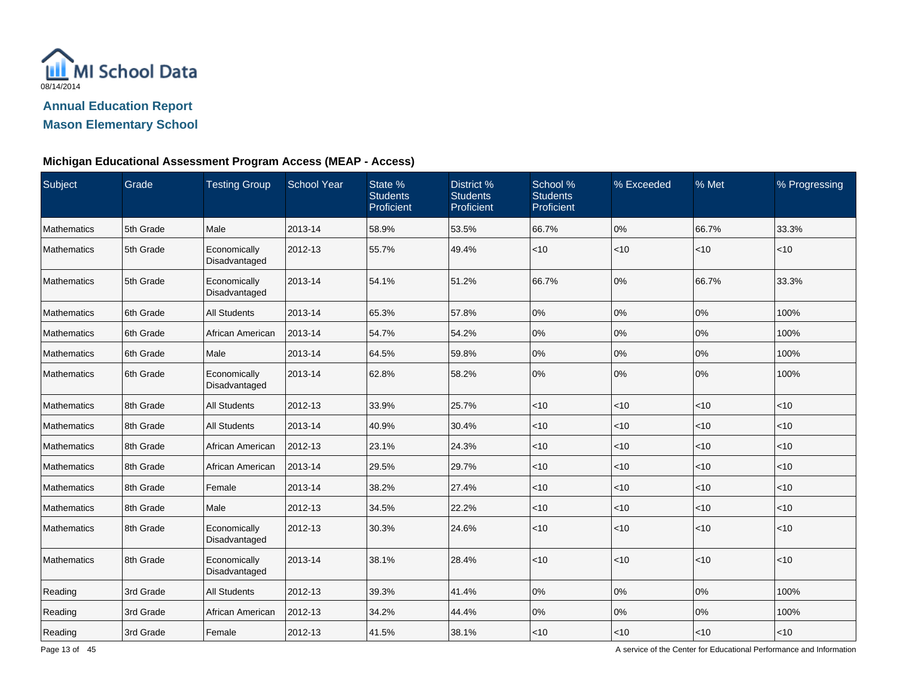

# **Mason Elementary School**

### **Michigan Educational Assessment Program Access (MEAP - Access)**

| Subject            | Grade     | <b>Testing Group</b>          | <b>School Year</b> | State %<br><b>Students</b><br>Proficient | District %<br><b>Students</b><br>Proficient | School %<br><b>Students</b><br>Proficient | % Exceeded | % Met | % Progressing |
|--------------------|-----------|-------------------------------|--------------------|------------------------------------------|---------------------------------------------|-------------------------------------------|------------|-------|---------------|
| Mathematics        | 5th Grade | Male                          | 2013-14            | 58.9%                                    | 53.5%                                       | 66.7%                                     | 0%         | 66.7% | 33.3%         |
| Mathematics        | 5th Grade | Economically<br>Disadvantaged | 2012-13            | 55.7%                                    | 49.4%                                       | < 10                                      | < 10       | < 10  | < 10          |
| Mathematics        | 5th Grade | Economically<br>Disadvantaged | 2013-14            | 54.1%                                    | 51.2%                                       | 66.7%                                     | 0%         | 66.7% | 33.3%         |
| <b>Mathematics</b> | 6th Grade | <b>All Students</b>           | 2013-14            | 65.3%                                    | 57.8%                                       | 0%                                        | 0%         | 0%    | 100%          |
| Mathematics        | 6th Grade | African American              | 2013-14            | 54.7%                                    | 54.2%                                       | 0%                                        | 0%         | 0%    | 100%          |
| <b>Mathematics</b> | 6th Grade | Male                          | 2013-14            | 64.5%                                    | 59.8%                                       | $0\%$                                     | 0%         | 0%    | 100%          |
| Mathematics        | 6th Grade | Economically<br>Disadvantaged | 2013-14            | 62.8%                                    | 58.2%                                       | 0%                                        | 0%         | 0%    | 100%          |
| Mathematics        | 8th Grade | All Students                  | 2012-13            | 33.9%                                    | 25.7%                                       | $<$ 10                                    | $<$ 10     | < 10  | < 10          |
| Mathematics        | 8th Grade | <b>All Students</b>           | 2013-14            | 40.9%                                    | 30.4%                                       | $<$ 10                                    | $<$ 10     | < 10  | $<$ 10        |
| Mathematics        | 8th Grade | African American              | 2012-13            | 23.1%                                    | 24.3%                                       | < 10                                      | $<$ 10     | < 10  | $<$ 10        |
| <b>Mathematics</b> | 8th Grade | African American              | 2013-14            | 29.5%                                    | 29.7%                                       | < 10                                      | $<$ 10     | < 10  | < 10          |
| Mathematics        | 8th Grade | Female                        | 2013-14            | 38.2%                                    | 27.4%                                       | < 10                                      | $<$ 10     | < 10  | < 10          |
| Mathematics        | 8th Grade | Male                          | 2012-13            | 34.5%                                    | 22.2%                                       | $<$ 10                                    | $<$ 10     | < 10  | $<$ 10        |
| Mathematics        | 8th Grade | Economically<br>Disadvantaged | 2012-13            | 30.3%                                    | 24.6%                                       | $<$ 10                                    | $<$ 10     | < 10  | $<$ 10        |
| Mathematics        | 8th Grade | Economically<br>Disadvantaged | 2013-14            | 38.1%                                    | 28.4%                                       | < 10                                      | $<$ 10     | < 10  | < 10          |
| Reading            | 3rd Grade | All Students                  | 2012-13            | 39.3%                                    | 41.4%                                       | 0%                                        | 0%         | 0%    | 100%          |
| Reading            | 3rd Grade | African American              | 2012-13            | 34.2%                                    | 44.4%                                       | $0\%$                                     | 0%         | 0%    | 100%          |
| Reading            | 3rd Grade | Female                        | 2012-13            | 41.5%                                    | 38.1%                                       | $<$ 10                                    | $ $ < 10   | < 10  | $<10$         |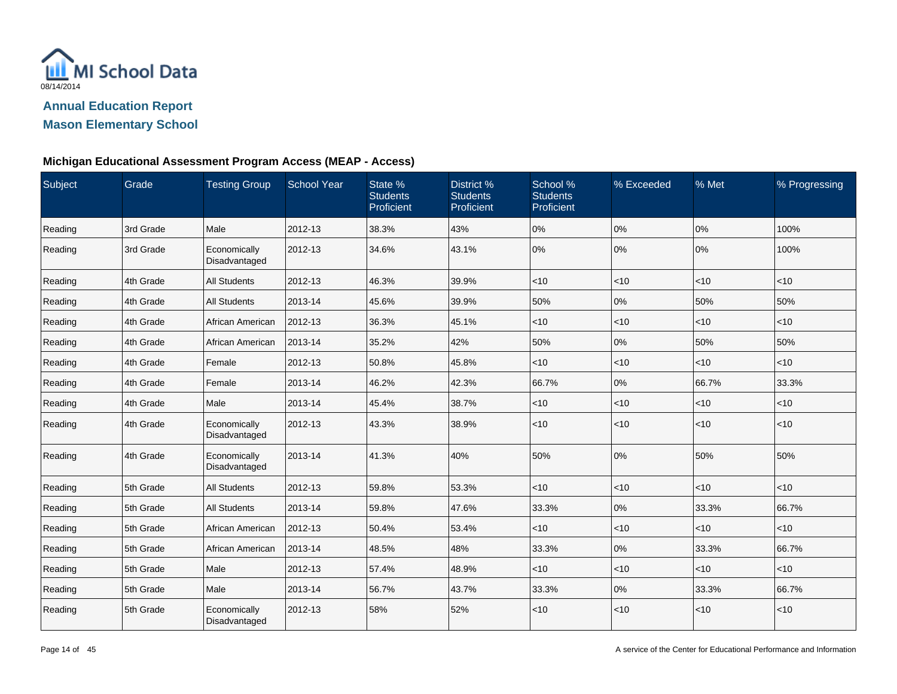

# **Mason Elementary School**

### **Michigan Educational Assessment Program Access (MEAP - Access)**

| Subject | Grade     | <b>Testing Group</b>          | <b>School Year</b> | State %<br><b>Students</b><br>Proficient | District %<br><b>Students</b><br>Proficient | School %<br><b>Students</b><br>Proficient | % Exceeded | % Met | % Progressing |
|---------|-----------|-------------------------------|--------------------|------------------------------------------|---------------------------------------------|-------------------------------------------|------------|-------|---------------|
| Reading | 3rd Grade | Male                          | 2012-13            | 38.3%                                    | 43%                                         | 0%                                        | 0%         | 0%    | 100%          |
| Reading | 3rd Grade | Economically<br>Disadvantaged | 2012-13            | 34.6%                                    | 43.1%                                       | 0%                                        | 0%         | 0%    | 100%          |
| Reading | 4th Grade | All Students                  | 2012-13            | 46.3%                                    | 39.9%                                       | $ $ < 10                                  | <10        | <10   | < 10          |
| Reading | 4th Grade | <b>All Students</b>           | 2013-14            | 45.6%                                    | 39.9%                                       | 50%                                       | 0%         | 50%   | 50%           |
| Reading | 4th Grade | African American              | 2012-13            | 36.3%                                    | 45.1%                                       | $<$ 10                                    | <10        | < 10  | $<$ 10        |
| Reading | 4th Grade | African American              | 2013-14            | 35.2%                                    | 42%                                         | 50%                                       | 0%         | 50%   | 50%           |
| Reading | 4th Grade | Female                        | 2012-13            | 50.8%                                    | 45.8%                                       | $<$ 10                                    | <10        | <10   | $<$ 10        |
| Reading | 4th Grade | Female                        | 2013-14            | 46.2%                                    | 42.3%                                       | 66.7%                                     | 0%         | 66.7% | 33.3%         |
| Reading | 4th Grade | Male                          | 2013-14            | 45.4%                                    | 38.7%                                       | $ $ < 10                                  | <10        | <10   | $<$ 10        |
| Reading | 4th Grade | Economically<br>Disadvantaged | 2012-13            | 43.3%                                    | 38.9%                                       | $<$ 10                                    | <10        | <10   | < 10          |
| Reading | 4th Grade | Economically<br>Disadvantaged | 2013-14            | 41.3%                                    | 40%                                         | 50%                                       | 0%         | 50%   | 50%           |
| Reading | 5th Grade | <b>All Students</b>           | 2012-13            | 59.8%                                    | 53.3%                                       | $<$ 10                                    | $<$ 10     | <10   | $<$ 10        |
| Reading | 5th Grade | <b>All Students</b>           | 2013-14            | 59.8%                                    | 47.6%                                       | 33.3%                                     | 0%         | 33.3% | 66.7%         |
| Reading | 5th Grade | African American              | 2012-13            | 50.4%                                    | 53.4%                                       | $ $ < 10                                  | $<$ 10     | <10   | $<$ 10        |
| Reading | 5th Grade | African American              | 2013-14            | 48.5%                                    | 48%                                         | 33.3%                                     | 0%         | 33.3% | 66.7%         |
| Reading | 5th Grade | Male                          | 2012-13            | 57.4%                                    | 48.9%                                       | $<$ 10                                    | <10        | <10   | $<$ 10        |
| Reading | 5th Grade | Male                          | 2013-14            | 56.7%                                    | 43.7%                                       | 33.3%                                     | 0%         | 33.3% | 66.7%         |
| Reading | 5th Grade | Economically<br>Disadvantaged | 2012-13            | 58%                                      | 52%                                         | < 10                                      | $<$ 10     | <10   | < 10          |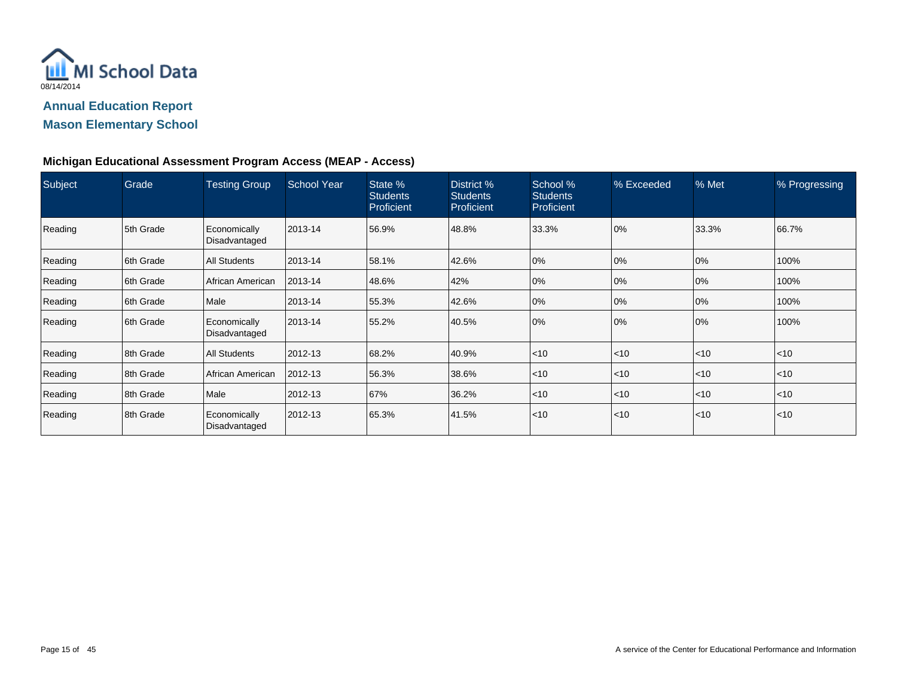

# **Mason Elementary School**

### **Michigan Educational Assessment Program Access (MEAP - Access)**

| Subject | Grade     | <b>Testing Group</b>          | <b>School Year</b> | State %<br><b>Students</b><br><b>Proficient</b> | District %<br><b>Students</b><br><b>Proficient</b> | School %<br><b>Students</b><br><b>Proficient</b> | % Exceeded       | $%$ Met | % Progressing |
|---------|-----------|-------------------------------|--------------------|-------------------------------------------------|----------------------------------------------------|--------------------------------------------------|------------------|---------|---------------|
| Reading | 5th Grade | Economically<br>Disadvantaged | 2013-14            | 56.9%                                           | 48.8%                                              | 33.3%                                            | 0%               | 33.3%   | 66.7%         |
| Reading | 6th Grade | All Students                  | 2013-14            | 58.1%                                           | 42.6%                                              | 0%                                               | 0%               | 0%      | 100%          |
| Reading | 6th Grade | African American              | 2013-14            | 48.6%                                           | 42%                                                | 0%                                               | 0%               | 0%      | 100%          |
| Reading | 6th Grade | Male                          | 2013-14            | 55.3%                                           | 42.6%                                              | 0%                                               | 0%               | 0%      | 100%          |
| Reading | 6th Grade | Economically<br>Disadvantaged | 2013-14            | 55.2%                                           | 40.5%                                              | 0%                                               | 0%               | 0%      | 100%          |
| Reading | 8th Grade | <b>All Students</b>           | 2012-13            | 68.2%                                           | 40.9%                                              | $\leq 10$                                        | $<$ 10           | < 10    | $<$ 10        |
| Reading | 8th Grade | African American              | 2012-13            | 56.3%                                           | 38.6%                                              | $\leq 10$                                        | $\mathsf{I}$ <10 | < 10    | < 10          |
| Reading | 8th Grade | Male                          | 2012-13            | 67%                                             | 36.2%                                              | $\leq 10$                                        | $\mathsf{I}$ <10 | < 10    | < 10          |
| Reading | 8th Grade | Economically<br>Disadvantaged | 2012-13            | 65.3%                                           | 41.5%                                              | $\leq 10$                                        | $\mathsf{I}$ <10 | < 10    | < 10          |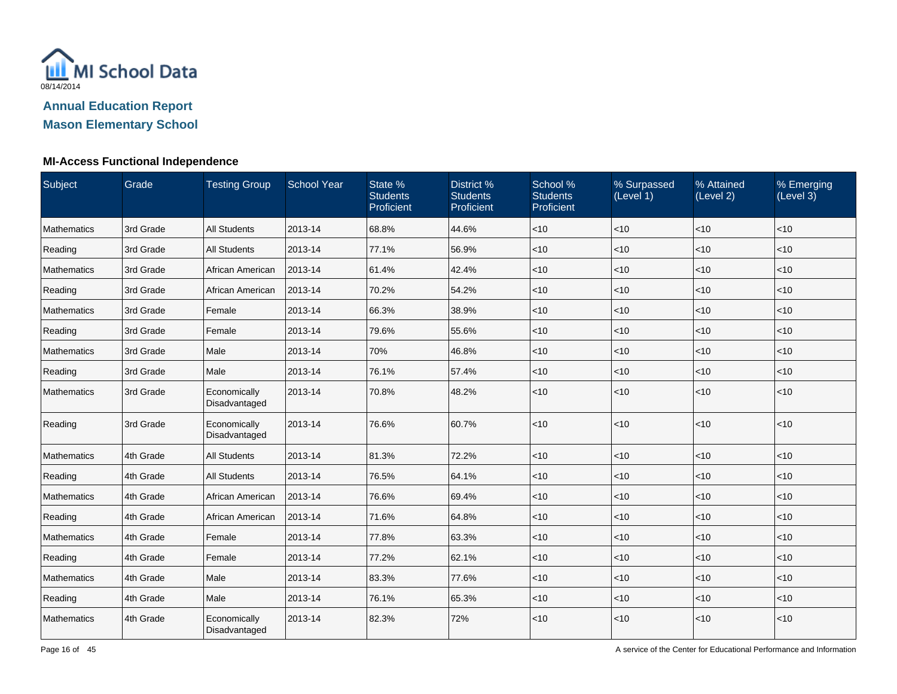

| Subject            | Grade     | <b>Testing Group</b>          | <b>School Year</b> | State %<br><b>Students</b><br>Proficient | District %<br><b>Students</b><br>Proficient | School %<br><b>Students</b><br>Proficient | % Surpassed<br>(Level 1) | % Attained<br>(Level 2) | % Emerging<br>(Level 3) |
|--------------------|-----------|-------------------------------|--------------------|------------------------------------------|---------------------------------------------|-------------------------------------------|--------------------------|-------------------------|-------------------------|
| Mathematics        | 3rd Grade | <b>All Students</b>           | 2013-14            | 68.8%                                    | 44.6%                                       | $<$ 10                                    | < 10                     | < 10                    | <10                     |
| Reading            | 3rd Grade | All Students                  | 2013-14            | 77.1%                                    | 56.9%                                       | $<$ 10                                    | $<$ 10                   | < 10                    | $<$ 10                  |
| Mathematics        | 3rd Grade | African American              | 2013-14            | 61.4%                                    | 42.4%                                       | $ $ < 10                                  | <10                      | < 10                    | $<$ 10                  |
| Reading            | 3rd Grade | African American              | 2013-14            | 70.2%                                    | 54.2%                                       | <10                                       | <10                      | $<10$                   | $<10$                   |
| Mathematics        | 3rd Grade | Female                        | 2013-14            | 66.3%                                    | 38.9%                                       | $<$ 10                                    | $<$ 10                   | $<$ 10                  | $<$ 10                  |
| Reading            | 3rd Grade | Female                        | 2013-14            | 79.6%                                    | 55.6%                                       | < 10                                      | $<$ 10                   | < 10                    | $<$ 10                  |
| <b>Mathematics</b> | 3rd Grade | Male                          | 2013-14            | 70%                                      | 46.8%                                       | < 10                                      | $<$ 10                   | < 10                    | < 10                    |
| Reading            | 3rd Grade | Male                          | 2013-14            | 76.1%                                    | 57.4%                                       | < 10                                      | <10                      | < 10                    | < 10                    |
| Mathematics        | 3rd Grade | Economically<br>Disadvantaged | 2013-14            | 70.8%                                    | 48.2%                                       | < 10                                      | <10                      | < 10                    | $<$ 10                  |
| Reading            | 3rd Grade | Economically<br>Disadvantaged | 2013-14            | 76.6%                                    | 60.7%                                       | < 10                                      | <10                      | $<10$                   | <10                     |
| Mathematics        | 4th Grade | <b>All Students</b>           | 2013-14            | 81.3%                                    | 72.2%                                       | < 10                                      | <10                      | < 10                    | $<$ 10                  |
| Reading            | 4th Grade | <b>All Students</b>           | 2013-14            | 76.5%                                    | 64.1%                                       | $<$ 10                                    | $<$ 10                   | < 10                    | $<$ 10                  |
| Mathematics        | 4th Grade | African American              | 2013-14            | 76.6%                                    | 69.4%                                       | $ $ < 10                                  | < 10                     | < 10                    | $<$ 10                  |
| Reading            | 4th Grade | African American              | 2013-14            | 71.6%                                    | 64.8%                                       | $<$ 10                                    | <10                      | < 10                    | $<$ 10                  |
| Mathematics        | 4th Grade | Female                        | 2013-14            | 77.8%                                    | 63.3%                                       | $ $ < 10                                  | <10                      | $\vert$ < 10            | < 10                    |
| Reading            | 4th Grade | Female                        | 2013-14            | 77.2%                                    | 62.1%                                       | $<10$                                     | <10                      | $<10$                   | <10                     |
| Mathematics        | 4th Grade | Male                          | 2013-14            | 83.3%                                    | 77.6%                                       | $<$ 10                                    | $<$ 10                   | < 10                    | $<$ 10                  |
| Reading            | 4th Grade | Male                          | 2013-14            | 76.1%                                    | 65.3%                                       | < 10                                      | <10                      | < 10                    | $<$ 10                  |
| Mathematics        | 4th Grade | Economically<br>Disadvantaged | 2013-14            | 82.3%                                    | 72%                                         | $<10$                                     | $<$ 10                   | < 10                    | $<10$                   |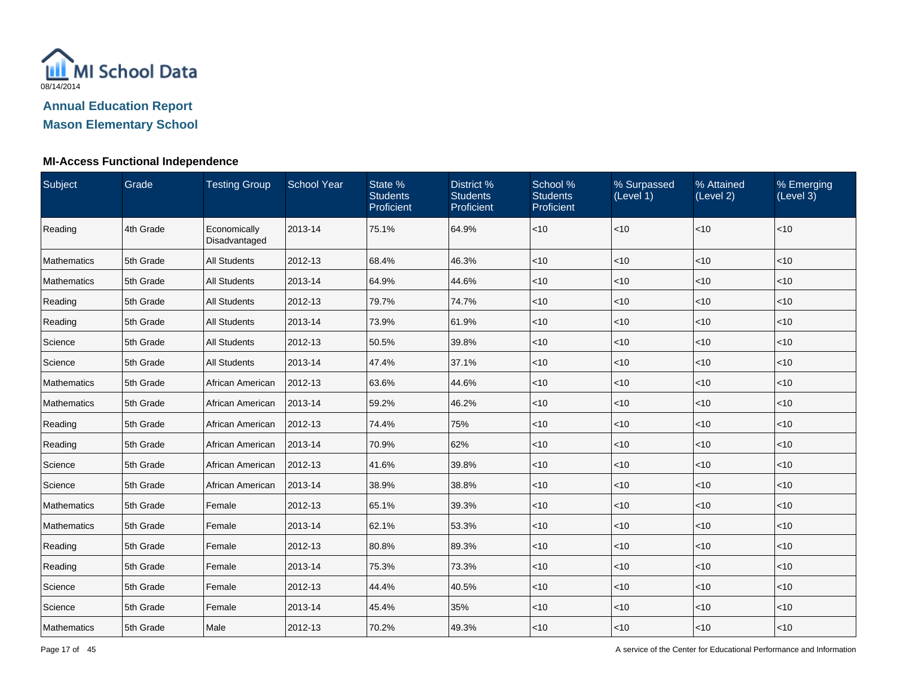

# **Mason Elementary School**

| Subject     | Grade     | <b>Testing Group</b>          | <b>School Year</b> | State %<br><b>Students</b><br>Proficient | District %<br><b>Students</b><br>Proficient | School %<br><b>Students</b><br>Proficient | % Surpassed<br>(Level 1) | % Attained<br>(Level 2) | % Emerging<br>(Level 3) |
|-------------|-----------|-------------------------------|--------------------|------------------------------------------|---------------------------------------------|-------------------------------------------|--------------------------|-------------------------|-------------------------|
| Reading     | 4th Grade | Economically<br>Disadvantaged | 2013-14            | 75.1%                                    | 64.9%                                       | < 10                                      | $ $ < 10                 | $ $ < 10                | <10                     |
| Mathematics | 5th Grade | <b>All Students</b>           | 2012-13            | 68.4%                                    | 46.3%                                       | < 10                                      | $ $ < 10                 | $\vert$ < 10            | < 10                    |
| Mathematics | 5th Grade | <b>All Students</b>           | 2013-14            | 64.9%                                    | 44.6%                                       | < 10                                      | $<$ 10                   | $ $ < 10                | < 10                    |
| Reading     | 5th Grade | <b>All Students</b>           | 2012-13            | 79.7%                                    | 74.7%                                       | $<$ 10                                    | < 10                     | $\vert$ < 10            | $<$ 10                  |
| Reading     | 5th Grade | <b>All Students</b>           | 2013-14            | 73.9%                                    | 61.9%                                       | $<$ 10                                    | < 10                     | $ $ < 10                | $<10$                   |
| Science     | 5th Grade | <b>All Students</b>           | 2012-13            | 50.5%                                    | 39.8%                                       | $<$ 10                                    | $<$ 10                   | $\vert$ < 10            | < 10                    |
| Science     | 5th Grade | <b>All Students</b>           | 2013-14            | 47.4%                                    | 37.1%                                       | < 10                                      | $<$ 10                   | $ $ < 10                | <10                     |
| Mathematics | 5th Grade | African American              | 2012-13            | 63.6%                                    | 44.6%                                       | < 10                                      | < 10                     | $\vert$ < 10            | < 10                    |
| Mathematics | 5th Grade | African American              | 2013-14            | 59.2%                                    | 46.2%                                       | $<$ 10                                    | $ $ < 10                 | $\vert$ < 10            | < 10                    |
| Reading     | 5th Grade | African American              | 2012-13            | 74.4%                                    | 75%                                         | $<$ 10                                    | $<$ 10                   | $ $ < 10                | $<$ 10                  |
| Reading     | 5th Grade | African American              | 2013-14            | 70.9%                                    | 62%                                         | $<$ 10                                    | $<$ 10                   | $\vert$ < 10            | <10                     |
| Science     | 5th Grade | African American              | 2012-13            | 41.6%                                    | 39.8%                                       | < 10                                      | $ $ < 10                 | $ $ < 10                | < 10                    |
| Science     | 5th Grade | African American              | 2013-14            | 38.9%                                    | 38.8%                                       | $<10$                                     | $ $ < 10                 | $\vert$ < 10            | < 10                    |
| Mathematics | 5th Grade | Female                        | 2012-13            | 65.1%                                    | 39.3%                                       | $<$ 10                                    | $<$ 10                   | $ $ < 10                | $<$ 10                  |
| Mathematics | 5th Grade | Female                        | 2013-14            | 62.1%                                    | 53.3%                                       | < 10                                      | $<$ 10                   | $\vert$ < 10            | < 10                    |
| Reading     | 5th Grade | Female                        | 2012-13            | 80.8%                                    | 89.3%                                       | < 10                                      | $ $ < 10                 | $ $ < 10                | < 10                    |
| Reading     | 5th Grade | Female                        | 2013-14            | 75.3%                                    | 73.3%                                       | $<$ 10                                    | $<$ 10                   | $ $ < 10                | < 10                    |
| Science     | 5th Grade | Female                        | 2012-13            | 44.4%                                    | 40.5%                                       | $<$ 10                                    | < 10                     | $\vert$ < 10            | $<$ 10                  |
| Science     | 5th Grade | Female                        | 2013-14            | 45.4%                                    | 35%                                         | < 10                                      | $<$ 10                   | $ $ < 10                | $<10$                   |
| Mathematics | 5th Grade | Male                          | 2012-13            | 70.2%                                    | 49.3%                                       | $<$ 10                                    | $<$ 10                   | $\vert$ < 10            | $<$ 10                  |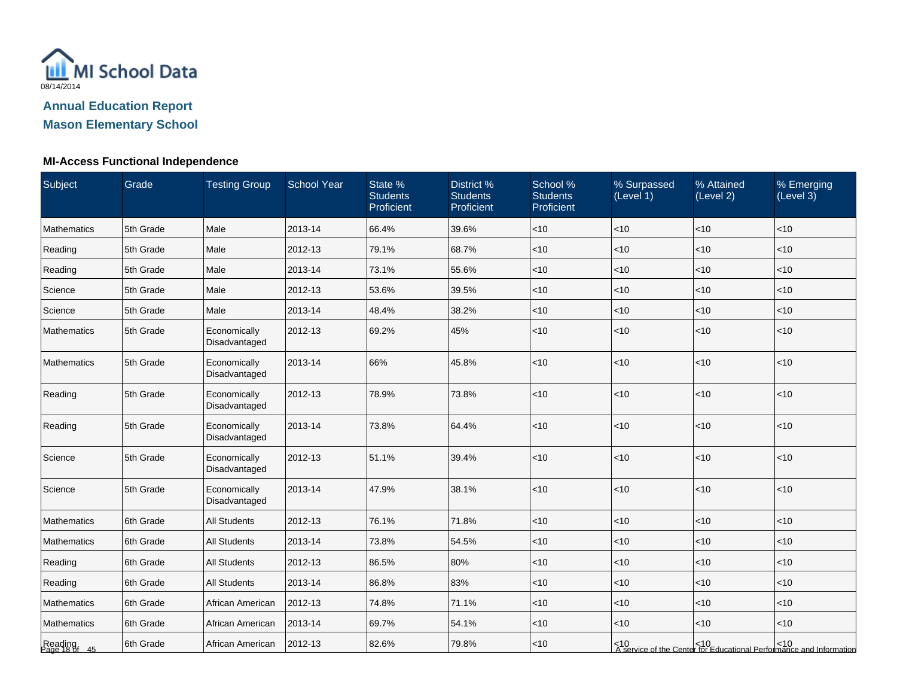

# **Mason Elementary School**

| Subject                  | Grade     | <b>Testing Group</b>          | <b>School Year</b> | State %<br><b>Students</b><br>Proficient | District %<br><b>Students</b><br>Proficient | School %<br><b>Students</b><br>Proficient | % Surpassed<br>(Level 1) | % Attained<br>(Level 2) | % Emerging<br>(Level 3)                                                      |
|--------------------------|-----------|-------------------------------|--------------------|------------------------------------------|---------------------------------------------|-------------------------------------------|--------------------------|-------------------------|------------------------------------------------------------------------------|
| Mathematics              | 5th Grade | Male                          | 2013-14            | 66.4%                                    | 39.6%                                       | < 10                                      | $<$ 10                   | < 10                    | < 10                                                                         |
| Reading                  | 5th Grade | Male                          | 2012-13            | 79.1%                                    | 68.7%                                       | < 10                                      | < 10                     | < 10                    | $<$ 10                                                                       |
| Reading                  | 5th Grade | Male                          | 2013-14            | 73.1%                                    | 55.6%                                       | < 10                                      | $<$ 10                   | <10                     | < 10                                                                         |
| Science                  | 5th Grade | Male                          | 2012-13            | 53.6%                                    | 39.5%                                       | < 10                                      | < 10                     | < 10                    | < 10                                                                         |
| Science                  | 5th Grade | Male                          | 2013-14            | 48.4%                                    | 38.2%                                       | $<$ 10                                    | $<$ 10                   | < 10                    | $<$ 10                                                                       |
| <b>Mathematics</b>       | 5th Grade | Economically<br>Disadvantaged | 2012-13            | 69.2%                                    | 45%                                         | < 10                                      | $<$ 10                   | <10                     | < 10                                                                         |
| <b>Mathematics</b>       | 5th Grade | Economically<br>Disadvantaged | 2013-14            | 66%                                      | 45.8%                                       | <10                                       | $<$ 10                   | <10                     | $<10$                                                                        |
| Reading                  | 5th Grade | Economically<br>Disadvantaged | 2012-13            | 78.9%                                    | 73.8%                                       | < 10                                      | < 10                     | < 10                    | < 10                                                                         |
| Reading                  | 5th Grade | Economically<br>Disadvantaged | 2013-14            | 73.8%                                    | 64.4%                                       | <10                                       | $<$ 10                   | <10                     | < 10                                                                         |
| Science                  | 5th Grade | Economically<br>Disadvantaged | 2012-13            | 51.1%                                    | 39.4%                                       | < 10                                      | $<10$                    | < 10                    | < 10                                                                         |
| Science                  | 5th Grade | Economically<br>Disadvantaged | 2013-14            | 47.9%                                    | 38.1%                                       | < 10                                      | < 10                     | < 10                    | $<10$                                                                        |
| Mathematics              | 6th Grade | <b>All Students</b>           | 2012-13            | 76.1%                                    | 71.8%                                       | <10                                       | $<10$                    | <10                     | < 10                                                                         |
| Mathematics              | 6th Grade | <b>All Students</b>           | 2013-14            | 73.8%                                    | 54.5%                                       | $<$ 10                                    | $<$ 10                   | $<$ 10                  | $<$ 10                                                                       |
| Reading                  | 6th Grade | <b>All Students</b>           | 2012-13            | 86.5%                                    | 80%                                         | $<$ 10                                    | $<$ 10                   | < 10                    | $<$ 10                                                                       |
| Reading                  | 6th Grade | All Students                  | 2013-14            | 86.8%                                    | 83%                                         | < 10                                      | $<$ 10                   | < 10                    | < 10                                                                         |
| <b>Mathematics</b>       | 6th Grade | African American              | 2012-13            | 74.8%                                    | 71.1%                                       | <10                                       | $<$ 10                   | <10                     | < 10                                                                         |
| Mathematics              | 6th Grade | African American              | 2013-14            | 69.7%                                    | 54.1%                                       | <10                                       | $<$ 10                   | <10                     | < 10                                                                         |
| Reading<br>Page 18 of 45 | 6th Grade | African American              | 2012-13            | 82.6%                                    | 79.8%                                       | < 10                                      |                          |                         | <10<br>  A service of the Center for Educational Performance and Information |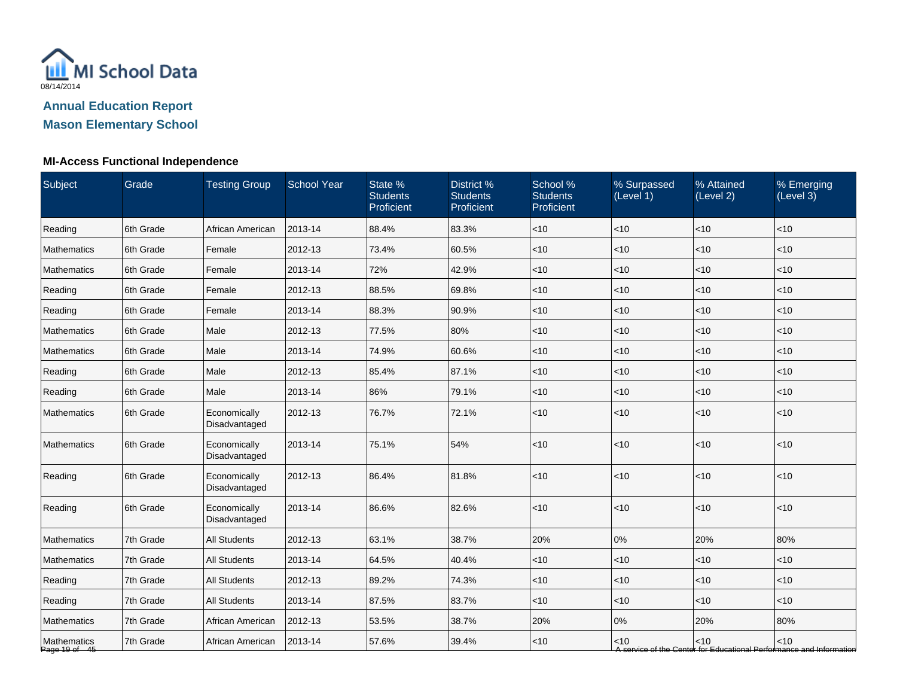

# **Mason Elementary School**

| Subject                      | Grade     | <b>Testing Group</b>          | <b>School Year</b> | State %<br><b>Students</b><br>Proficient | District %<br><b>Students</b><br>Proficient | School %<br><b>Students</b><br>Proficient | % Surpassed<br>(Level 1) | % Attained<br>(Level 2) | % Emerging<br>(Level 3)                                                       |
|------------------------------|-----------|-------------------------------|--------------------|------------------------------------------|---------------------------------------------|-------------------------------------------|--------------------------|-------------------------|-------------------------------------------------------------------------------|
| Reading                      | 6th Grade | African American              | 2013-14            | 88.4%                                    | 83.3%                                       | $<10$                                     | < 10                     | $<10$                   | <10                                                                           |
| <b>Mathematics</b>           | 6th Grade | Female                        | 2012-13            | 73.4%                                    | 60.5%                                       | $<10$                                     | $<$ 10                   | < 10                    | $<$ 10                                                                        |
| <b>Mathematics</b>           | 6th Grade | Female                        | 2013-14            | 72%                                      | 42.9%                                       | $<10$                                     | $<$ 10                   | $<10$                   | <10                                                                           |
| Reading                      | 6th Grade | Female                        | 2012-13            | 88.5%                                    | 69.8%                                       | $<10$                                     | $<$ 10                   | < 10                    | < 10                                                                          |
| Reading                      | 6th Grade | Female                        | 2013-14            | 88.3%                                    | 90.9%                                       | $<$ 10                                    | $<$ 10                   | $<$ 10                  | $<$ 10                                                                        |
| <b>Mathematics</b>           | 6th Grade | Male                          | 2012-13            | 77.5%                                    | 80%                                         | $<10$                                     | $<$ 10                   | $<$ 10                  | <10                                                                           |
| Mathematics                  | 6th Grade | Male                          | 2013-14            | 74.9%                                    | 60.6%                                       | $<10$                                     | $<$ 10                   | < 10                    | $<$ 10                                                                        |
| Reading                      | 6th Grade | Male                          | 2012-13            | 85.4%                                    | 87.1%                                       | <10                                       | <10                      | $<10$                   | <10                                                                           |
| Reading                      | 6th Grade | Male                          | 2013-14            | 86%                                      | 79.1%                                       | $<10$                                     | $<$ 10                   | $<10$                   | <10                                                                           |
| Mathematics                  | 6th Grade | Economically<br>Disadvantaged | 2012-13            | 76.7%                                    | 72.1%                                       | $<10$                                     | $<$ 10                   | < 10                    | $<$ 10                                                                        |
| Mathematics                  | 6th Grade | Economically<br>Disadvantaged | 2013-14            | 75.1%                                    | 54%                                         | $<10$                                     | $<$ 10                   | < 10                    | <10                                                                           |
| Reading                      | 6th Grade | Economically<br>Disadvantaged | 2012-13            | 86.4%                                    | 81.8%                                       | $<10$                                     | $<$ 10                   | < 10                    | <10                                                                           |
| Reading                      | 6th Grade | Economically<br>Disadvantaged | 2013-14            | 86.6%                                    | 82.6%                                       | $<10$                                     | <10                      | < 10                    | <10                                                                           |
| Mathematics                  | 7th Grade | <b>All Students</b>           | 2012-13            | 63.1%                                    | 38.7%                                       | 20%                                       | $0\%$                    | 20%                     | 80%                                                                           |
| <b>Mathematics</b>           | 7th Grade | All Students                  | 2013-14            | 64.5%                                    | 40.4%                                       | $<10$                                     | $<$ 10                   | < 10                    | $<$ 10                                                                        |
| Reading                      | 7th Grade | <b>All Students</b>           | 2012-13            | 89.2%                                    | 74.3%                                       | $<$ 10                                    | $<$ 10                   | < 10                    | $<$ 10                                                                        |
| Reading                      | 7th Grade | <b>All Students</b>           | 2013-14            | 87.5%                                    | 83.7%                                       | < 10                                      | $<$ 10                   | $<$ 10                  | <10                                                                           |
| Mathematics                  | 7th Grade | African American              | 2012-13            | 53.5%                                    | 38.7%                                       | 20%                                       | $0\%$                    | 20%                     | 80%                                                                           |
| Mathematics<br>Page 19 of 45 | 7th Grade | African American              | 2013-14            | 57.6%                                    | 39.4%                                       | $<10$                                     | $<$ 10                   | < 10                    | $<$ 10<br>A service of the Center for Educational Performance and Information |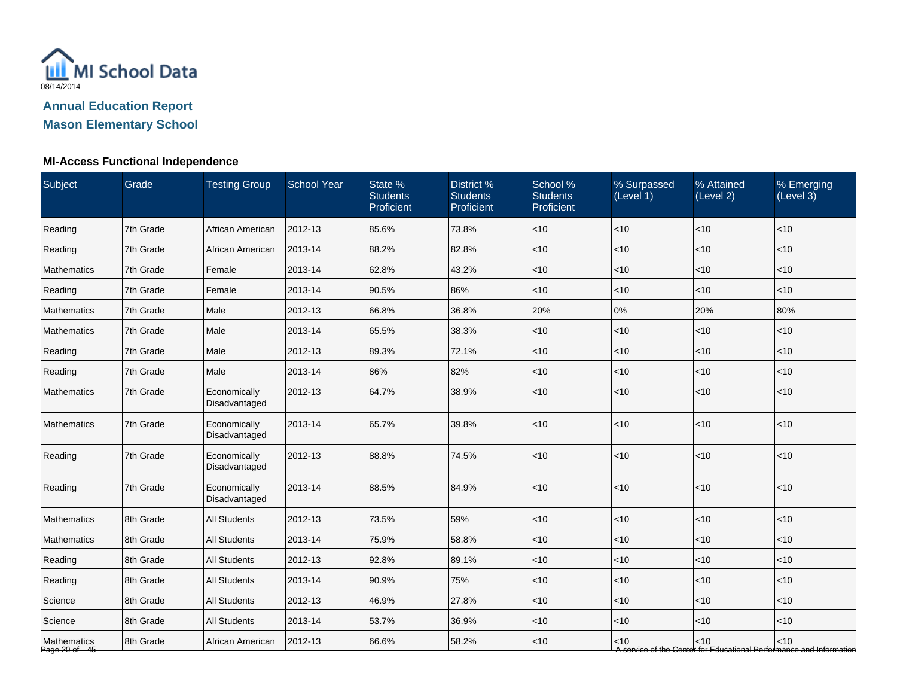

| Subject                      | Grade     | <b>Testing Group</b>          | <b>School Year</b> | State %<br><b>Students</b><br>Proficient | District %<br><b>Students</b><br>Proficient | School %<br><b>Students</b><br>Proficient | % Surpassed<br>(Level 1) | % Attained<br>(Level 2) | % Emerging<br>(Level 3)                                                       |
|------------------------------|-----------|-------------------------------|--------------------|------------------------------------------|---------------------------------------------|-------------------------------------------|--------------------------|-------------------------|-------------------------------------------------------------------------------|
| Reading                      | 7th Grade | African American              | 2012-13            | 85.6%                                    | 73.8%                                       | < 10                                      | < 10                     | < 10                    | < 10                                                                          |
| Reading                      | 7th Grade | African American              | 2013-14            | 88.2%                                    | 82.8%                                       | $<$ 10                                    | <10                      | < 10                    | < 10                                                                          |
| Mathematics                  | 7th Grade | Female                        | 2013-14            | 62.8%                                    | 43.2%                                       | $<$ 10                                    | < 10                     | < 10                    | $<$ 10                                                                        |
| Reading                      | 7th Grade | Female                        | 2013-14            | 90.5%                                    | 86%                                         | $<$ 10                                    | < 10                     | < 10                    | < 10                                                                          |
| Mathematics                  | 7th Grade | Male                          | 2012-13            | 66.8%                                    | 36.8%                                       | 20%                                       | 0%                       | 20%                     | 80%                                                                           |
| Mathematics                  | 7th Grade | Male                          | 2013-14            | 65.5%                                    | 38.3%                                       | $<$ 10                                    | $<$ 10                   | < 10                    | $<$ 10                                                                        |
| Reading                      | 7th Grade | Male                          | 2012-13            | 89.3%                                    | 72.1%                                       | $<$ 10                                    | <10                      | < 10                    | < 10                                                                          |
| Reading                      | 7th Grade | Male                          | 2013-14            | 86%                                      | 82%                                         | $<$ 10                                    | $<$ 10                   | <10                     | < 10                                                                          |
| Mathematics                  | 7th Grade | Economically<br>Disadvantaged | 2012-13            | 64.7%                                    | 38.9%                                       | $<$ 10                                    | < 10                     | <10                     | < 10                                                                          |
| Mathematics                  | 7th Grade | Economically<br>Disadvantaged | 2013-14            | 65.7%                                    | 39.8%                                       | $<$ 10                                    | <10                      | <10                     | $<10$                                                                         |
| Reading                      | 7th Grade | Economically<br>Disadvantaged | 2012-13            | 88.8%                                    | 74.5%                                       | $<$ 10                                    | <10                      | <10                     | < 10                                                                          |
| Reading                      | 7th Grade | Economically<br>Disadvantaged | 2013-14            | 88.5%                                    | 84.9%                                       | $<$ 10                                    | $<$ 10                   | <10                     | $<10$                                                                         |
| Mathematics                  | 8th Grade | <b>All Students</b>           | 2012-13            | 73.5%                                    | 59%                                         | $<$ 10                                    | <10                      | <10                     | <10                                                                           |
| Mathematics                  | 8th Grade | <b>All Students</b>           | 2013-14            | 75.9%                                    | 58.8%                                       | $<$ 10                                    | $<$ 10                   | < 10                    | $<10$                                                                         |
| Reading                      | 8th Grade | <b>All Students</b>           | 2012-13            | 92.8%                                    | 89.1%                                       | $<$ 10                                    | $<$ 10                   | < 10                    | $<$ 10                                                                        |
| Reading                      | 8th Grade | <b>All Students</b>           | 2013-14            | 90.9%                                    | 75%                                         | $<$ 10                                    | $<$ 10                   | < 10                    | $<$ 10                                                                        |
| Science                      | 8th Grade | <b>All Students</b>           | 2012-13            | 46.9%                                    | 27.8%                                       | $<$ 10                                    | $<$ 10                   | $<$ 10                  | $<$ 10                                                                        |
| Science                      | 8th Grade | <b>All Students</b>           | 2013-14            | 53.7%                                    | 36.9%                                       | $<$ 10                                    | <10                      | < 10                    | < 10                                                                          |
| Mathematics<br>Page 20 of 45 | 8th Grade | African American              | 2012-13            | 66.6%                                    | 58.2%                                       | $<$ 10                                    | $<$ 10                   | < 10                    | $<$ 10<br>A service of the Center for Educational Performance and Information |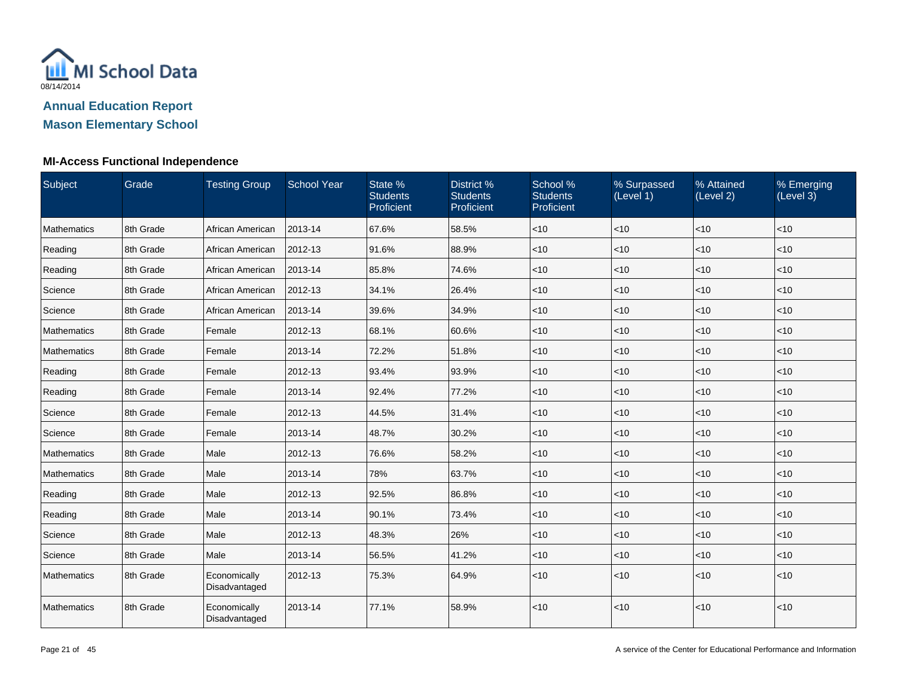

| Subject     | Grade     | <b>Testing Group</b>          | <b>School Year</b> | State %<br><b>Students</b><br>Proficient | District %<br><b>Students</b><br>Proficient | School %<br><b>Students</b><br>Proficient | % Surpassed<br>(Level 1) | % Attained<br>(Level 2) | % Emerging<br>(Level 3) |
|-------------|-----------|-------------------------------|--------------------|------------------------------------------|---------------------------------------------|-------------------------------------------|--------------------------|-------------------------|-------------------------|
| Mathematics | 8th Grade | African American              | 2013-14            | 67.6%                                    | 58.5%                                       | $<$ 10                                    | < 10                     | <10                     | $<$ 10                  |
| Reading     | 8th Grade | African American              | 2012-13            | 91.6%                                    | 88.9%                                       | $<$ 10                                    | $<$ 10                   | < 10                    | < 10                    |
| Reading     | 8th Grade | African American              | 2013-14            | 85.8%                                    | 74.6%                                       | $<$ 10                                    | $<$ 10                   | < 10                    | < 10                    |
| Science     | 8th Grade | African American              | 2012-13            | 34.1%                                    | 26.4%                                       | $<$ 10                                    | $<$ 10                   | < 10                    | < 10                    |
| Science     | 8th Grade | African American              | 2013-14            | 39.6%                                    | 34.9%                                       | $<$ 10                                    | < 10                     | < 10                    | $<$ 10                  |
| Mathematics | 8th Grade | Female                        | 2012-13            | 68.1%                                    | 60.6%                                       | $<$ 10                                    | $<$ 10                   | < 10                    | < 10                    |
| Mathematics | 8th Grade | Female                        | 2013-14            | 72.2%                                    | 51.8%                                       | $<$ 10                                    | $<$ 10                   | $<$ 10                  | $<$ 10                  |
| Reading     | 8th Grade | Female                        | 2012-13            | 93.4%                                    | 93.9%                                       | $<$ 10                                    | < 10                     | < 10                    | < 10                    |
| Reading     | 8th Grade | Female                        | 2013-14            | 92.4%                                    | 77.2%                                       | $<$ 10                                    | $<$ 10                   | < 10                    | < 10                    |
| Science     | 8th Grade | Female                        | 2012-13            | 44.5%                                    | 31.4%                                       | $<$ 10                                    | $<$ 10                   | $<$ 10                  | < 10                    |
| Science     | 8th Grade | Female                        | 2013-14            | 48.7%                                    | 30.2%                                       | $<$ 10                                    | <10                      | < 10                    | < 10                    |
| Mathematics | 8th Grade | Male                          | 2012-13            | 76.6%                                    | 58.2%                                       | $<$ 10                                    | $<$ 10                   | < 10                    | $<$ 10                  |
| Mathematics | 8th Grade | Male                          | 2013-14            | 78%                                      | 63.7%                                       | $<$ 10                                    | $<$ 10                   | < 10                    | $<$ 10                  |
| Reading     | 8th Grade | Male                          | 2012-13            | 92.5%                                    | 86.8%                                       | $<$ 10                                    | < 10                     | < 10                    | < 10                    |
| Reading     | 8th Grade | Male                          | 2013-14            | 90.1%                                    | 73.4%                                       | $<$ 10                                    | $<$ 10                   | < 10                    | $<$ 10                  |
| Science     | 8th Grade | Male                          | 2012-13            | 48.3%                                    | 26%                                         | $<$ 10                                    | $<$ 10                   | < 10                    | < 10                    |
| Science     | 8th Grade | Male                          | 2013-14            | 56.5%                                    | 41.2%                                       | $<$ 10                                    | $<$ 10                   | < 10                    | < 10                    |
| Mathematics | 8th Grade | Economically<br>Disadvantaged | 2012-13            | 75.3%                                    | 64.9%                                       | $<$ 10                                    | < 10                     | < 10                    | $<$ 10                  |
| Mathematics | 8th Grade | Economically<br>Disadvantaged | 2013-14            | 77.1%                                    | 58.9%                                       | < 10                                      | $<$ 10                   | < 10                    | < 10                    |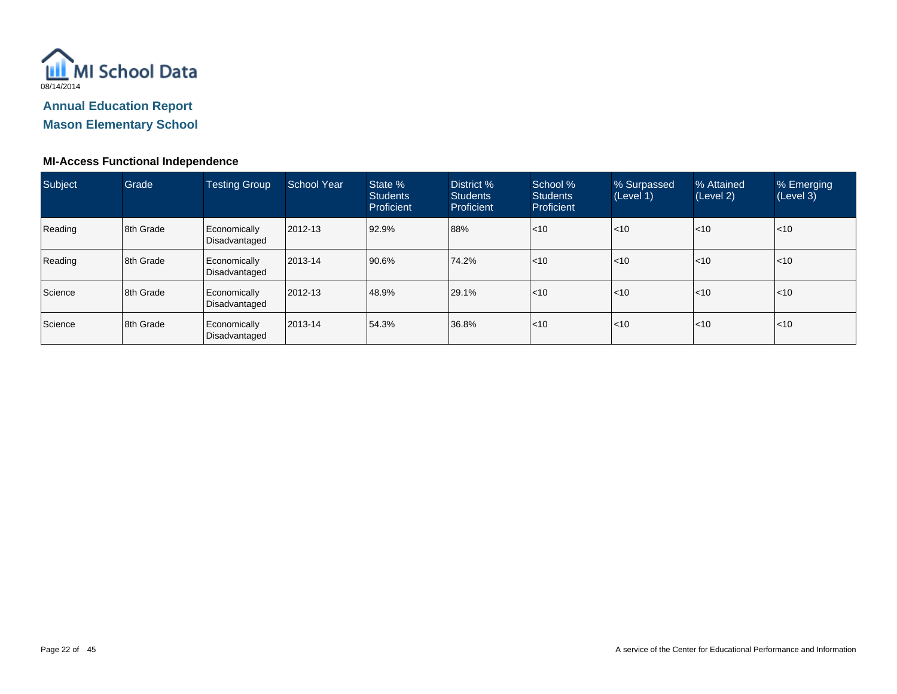

**Mason Elementary School**

| Subject | Grade     | <b>Testing Group</b>          | School Year | State %<br><b>Students</b><br>Proficient | District %<br><b>Students</b><br>Proficient | School %<br><b>Students</b><br>Proficient | % Surpassed<br>(Level 1) | % Attained<br>(Level 2) | % Emerging<br>(Level 3) |
|---------|-----------|-------------------------------|-------------|------------------------------------------|---------------------------------------------|-------------------------------------------|--------------------------|-------------------------|-------------------------|
| Reading | 8th Grade | Economically<br>Disadvantaged | 2012-13     | 92.9%                                    | 88%                                         | $ $ < 10                                  | < 10                     | $\mathsf{I}$ <10        | $\leq 10$               |
| Reading | 8th Grade | Economically<br>Disadvantaged | 2013-14     | 90.6%                                    | 74.2%                                       | $ $ < 10                                  | < 10                     | $\mathsf{I}$ <10        | $\leq 10$               |
| Science | 8th Grade | Economically<br>Disadvantaged | 2012-13     | 48.9%                                    | 29.1%                                       | $ $ < 10                                  | < 10                     | $\mathsf{I}$ <10        | $\leq 10$               |
| Science | 8th Grade | Economically<br>Disadvantaged | 2013-14     | 54.3%                                    | 36.8%                                       | $ $ < 10                                  | < 10                     | $\mathsf{I}$ <10        | $\leq 10$               |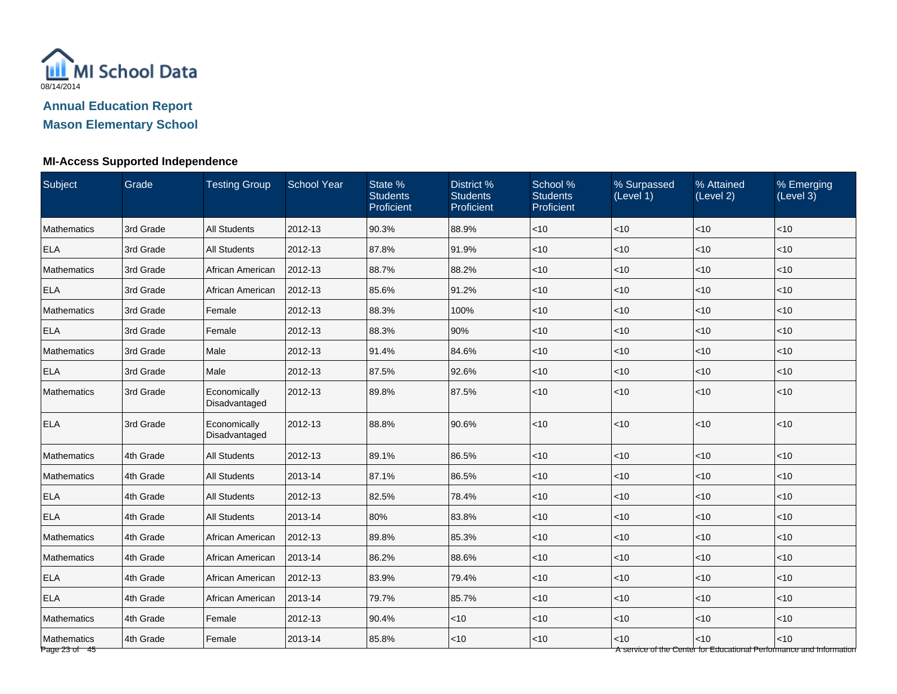

# **Mason Elementary School**

# **MI-Access Supported Independence**

| Subject                      | Grade     | <b>Testing Group</b>          | <b>School Year</b> | State %<br><b>Students</b><br>Proficient | District %<br><b>Students</b><br>Proficient | School %<br><b>Students</b><br>Proficient | % Surpassed<br>(Level 1) | % Attained<br>(Level 2) | % Emerging<br>(Level 3)                                                     |
|------------------------------|-----------|-------------------------------|--------------------|------------------------------------------|---------------------------------------------|-------------------------------------------|--------------------------|-------------------------|-----------------------------------------------------------------------------|
| Mathematics                  | 3rd Grade | <b>All Students</b>           | 2012-13            | 90.3%                                    | 88.9%                                       | $ $ < 10                                  | <10                      | < 10                    | $<$ 10                                                                      |
| <b>ELA</b>                   | 3rd Grade | <b>All Students</b>           | 2012-13            | 87.8%                                    | 91.9%                                       | $<10$                                     | <10                      | < 10                    | <10                                                                         |
| <b>Mathematics</b>           | 3rd Grade | African American              | 2012-13            | 88.7%                                    | 88.2%                                       | <10                                       | <10                      | $<10$                   | < 10                                                                        |
| <b>ELA</b>                   | 3rd Grade | African American              | 2012-13            | 85.6%                                    | 91.2%                                       | $ $ < 10                                  | <10                      | < 10                    | < 10                                                                        |
| Mathematics                  | 3rd Grade | Female                        | 2012-13            | 88.3%                                    | 100%                                        | $<$ 10                                    | $<$ 10                   | $<$ 10                  | $<$ 10                                                                      |
| <b>ELA</b>                   | 3rd Grade | Female                        | 2012-13            | 88.3%                                    | 90%                                         | < 10                                      | $<$ 10                   | $<$ 10                  | $<$ 10                                                                      |
| Mathematics                  | 3rd Grade | Male                          | 2012-13            | 91.4%                                    | 84.6%                                       | $ $ < 10                                  | <10                      | $<10$                   | < 10                                                                        |
| <b>ELA</b>                   | 3rd Grade | Male                          | 2012-13            | 87.5%                                    | 92.6%                                       | $<10$                                     | <10                      | $<10$                   | $<10$                                                                       |
| Mathematics                  | 3rd Grade | Economically<br>Disadvantaged | 2012-13            | 89.8%                                    | 87.5%                                       | < 10                                      | <10                      | <10                     | < 10                                                                        |
| <b>ELA</b>                   | 3rd Grade | Economically<br>Disadvantaged | 2012-13            | 88.8%                                    | 90.6%                                       | $<10$                                     | <10                      | < 10                    | <10                                                                         |
| Mathematics                  | 4th Grade | <b>All Students</b>           | 2012-13            | 89.1%                                    | 86.5%                                       | <10                                       | <10                      | $<10$                   | <10                                                                         |
| Mathematics                  | 4th Grade | <b>All Students</b>           | 2013-14            | 87.1%                                    | 86.5%                                       | $<$ 10                                    | $<$ 10                   | < 10                    | < 10                                                                        |
| <b>ELA</b>                   | 4th Grade | <b>All Students</b>           | 2012-13            | 82.5%                                    | 78.4%                                       | $<$ 10                                    | $<$ 10                   | < 10                    | $<$ 10                                                                      |
| <b>ELA</b>                   | 4th Grade | <b>All Students</b>           | 2013-14            | 80%                                      | 83.8%                                       | $<$ 10                                    | $<$ 10                   | < 10                    | $<$ 10                                                                      |
| Mathematics                  | 4th Grade | African American              | 2012-13            | 89.8%                                    | 85.3%                                       | $ $ < 10                                  | $<$ 10                   | < 10                    | < 10                                                                        |
| Mathematics                  | 4th Grade | African American              | 2013-14            | 86.2%                                    | 88.6%                                       | $<10$                                     | <10                      | < 10                    | <10                                                                         |
| <b>ELA</b>                   | 4th Grade | African American              | 2012-13            | 83.9%                                    | 79.4%                                       | $<$ 10                                    | $<$ 10                   | < 10                    | < 10                                                                        |
| <b>ELA</b>                   | 4th Grade | African American              | 2013-14            | 79.7%                                    | 85.7%                                       | < 10                                      | $<$ 10                   | < 10                    | < 10                                                                        |
| Mathematics                  | 4th Grade | Female                        | 2012-13            | 90.4%                                    | $<$ 10                                      | $<$ 10                                    | <10                      | $<$ 10                  | $<$ 10                                                                      |
| Mathematics<br>Page 23 of 45 | 4th Grade | Female                        | 2013-14            | 85.8%                                    | < 10                                        | < 10                                      | <10                      | $<10$                   | < 10<br>A service of the Center for Educational Performance and Information |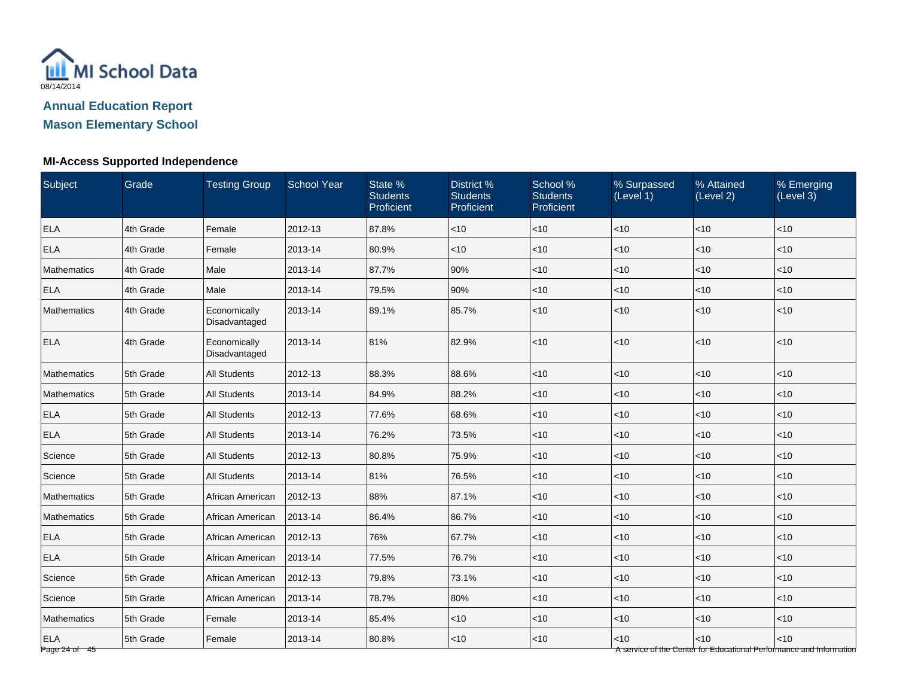

**Mason Elementary School**

### **MI-Access Supported Independence**

| Subject                       | Grade     | <b>Testing Group</b>          | <b>School Year</b> | State %<br><b>Students</b><br>Proficient | District %<br><b>Students</b><br>Proficient | School %<br><b>Students</b><br>Proficient | % Surpassed<br>(Level 1) | % Attained<br>(Level 2)                                                      | % Emerging<br>(Level 3) |
|-------------------------------|-----------|-------------------------------|--------------------|------------------------------------------|---------------------------------------------|-------------------------------------------|--------------------------|------------------------------------------------------------------------------|-------------------------|
| <b>ELA</b>                    | 4th Grade | Female                        | 2012-13            | 87.8%                                    | $<$ 10                                      | < 10                                      | $<$ 10                   | < 10                                                                         | $<$ 10                  |
| <b>ELA</b>                    | 4th Grade | Female                        | 2013-14            | 80.9%                                    | $<$ 10                                      | < 10                                      | < 10                     | < 10                                                                         | < 10                    |
| <b>Mathematics</b>            | 4th Grade | Male                          | 2013-14            | 87.7%                                    | 90%                                         | $<10$                                     | <10                      | $<10$                                                                        | $<10$                   |
| <b>ELA</b>                    | 4th Grade | Male                          | 2013-14            | 79.5%                                    | 90%                                         | < 10                                      | < 10                     | < 10                                                                         | < 10                    |
| <b>Mathematics</b>            | 4th Grade | Economically<br>Disadvantaged | 2013-14            | 89.1%                                    | 85.7%                                       | < 10                                      | $<$ 10                   | < 10                                                                         | < 10                    |
| <b>ELA</b>                    | 4th Grade | Economically<br>Disadvantaged | 2013-14            | 81%                                      | 82.9%                                       | < 10                                      | <10                      | < 10                                                                         | < 10                    |
| <b>Mathematics</b>            | 5th Grade | <b>All Students</b>           | 2012-13            | 88.3%                                    | 88.6%                                       | < 10                                      | <10                      | < 10                                                                         | < 10                    |
| <b>Mathematics</b>            | 5th Grade | <b>All Students</b>           | 2013-14            | 84.9%                                    | 88.2%                                       | < 10                                      | $<$ 10                   | < 10                                                                         | $<$ 10                  |
| <b>ELA</b>                    | 5th Grade | <b>All Students</b>           | 2012-13            | 77.6%                                    | 68.6%                                       | $<10$                                     | $<$ 10                   | < 10                                                                         | < 10                    |
| <b>ELA</b>                    | 5th Grade | <b>All Students</b>           | 2013-14            | 76.2%                                    | 73.5%                                       | < 10                                      | $<$ 10                   | < 10                                                                         | < 10                    |
| Science                       | 5th Grade | <b>All Students</b>           | 2012-13            | 80.8%                                    | 75.9%                                       | < 10                                      | <10                      | < 10                                                                         | < 10                    |
| Science                       | 5th Grade | <b>All Students</b>           | 2013-14            | 81%                                      | 76.5%                                       | < 10                                      | < 10                     | < 10                                                                         | < 10                    |
| <b>Mathematics</b>            | 5th Grade | African American              | 2012-13            | 88%                                      | 87.1%                                       | < 10                                      | <10                      | < 10                                                                         | $<$ 10                  |
| <b>Mathematics</b>            | 5th Grade | African American              | 2013-14            | 86.4%                                    | 86.7%                                       | < 10                                      | $<$ 10                   | < 10                                                                         | < 10                    |
| <b>ELA</b>                    | 5th Grade | African American              | 2012-13            | 76%                                      | 67.7%                                       | < 10                                      | $<$ 10                   | < 10                                                                         | < 10                    |
| <b>ELA</b>                    | 5th Grade | African American              | 2013-14            | 77.5%                                    | 76.7%                                       | < 10                                      | $<$ 10                   | < 10                                                                         | < 10                    |
| Science                       | 5th Grade | African American              | 2012-13            | 79.8%                                    | 73.1%                                       | < 10                                      | < 10                     | < 10                                                                         | < 10                    |
| Science                       | 5th Grade | African American              | 2013-14            | 78.7%                                    | 80%                                         | $<$ 10                                    | $<$ 10                   | < 10                                                                         | $<$ 10                  |
| Mathematics                   | 5th Grade | Female                        | 2013-14            | 85.4%                                    | $<$ 10                                      | < 10                                      | $<$ 10                   | < 10                                                                         | < 10                    |
| <b>ELA</b><br>Page 24 of $45$ | 5th Grade | Female                        | 2013-14            | 80.8%                                    | $<$ 10                                      | < 10                                      | $<$ 10                   | $<10$<br>A service of the Center for Educational Performance and Information | $<10$                   |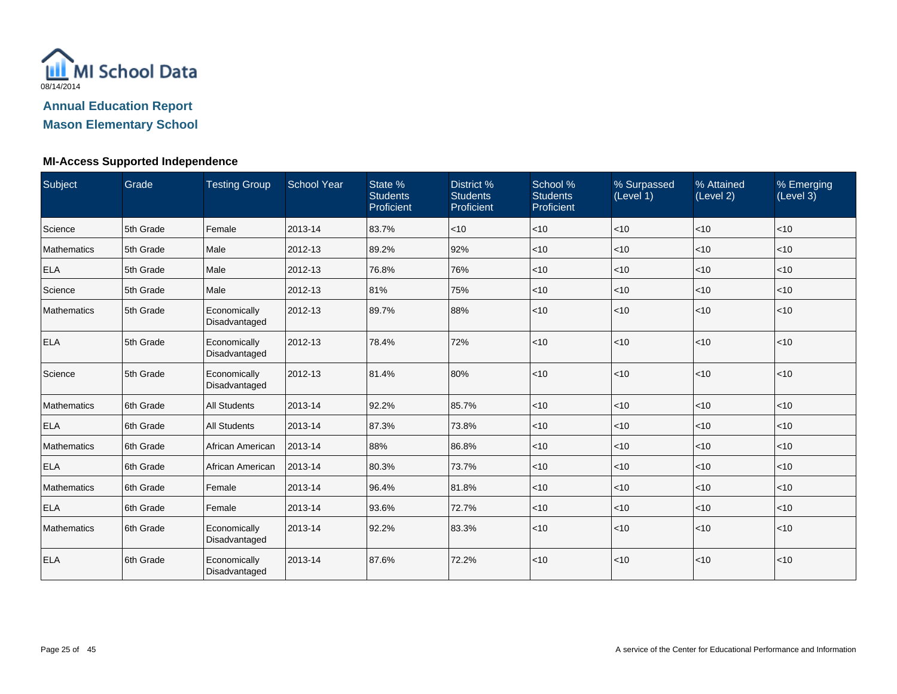

**Mason Elementary School**

### **MI-Access Supported Independence**

| Subject            | Grade     | <b>Testing Group</b><br><b>School Year</b> |         | State %<br><b>Students</b><br>Proficient | District %<br><b>Students</b><br>Proficient | School %<br><b>Students</b><br>Proficient | % Surpassed<br>(Level 1) | % Attained<br>(Level 2) | % Emerging<br>(Level 3) |  |
|--------------------|-----------|--------------------------------------------|---------|------------------------------------------|---------------------------------------------|-------------------------------------------|--------------------------|-------------------------|-------------------------|--|
| Science            | 5th Grade | Female                                     | 2013-14 | 83.7%                                    | $<$ 10                                      | <10                                       | <10                      | <10                     | <10                     |  |
| Mathematics        | 5th Grade | Male                                       | 2012-13 | 89.2%                                    | 92%                                         | $<$ 10                                    | <10                      | < 10                    | < 10                    |  |
| <b>ELA</b>         | 5th Grade | Male                                       | 2012-13 | 76.8%                                    | 76%                                         | $<$ 10                                    | $<$ 10                   | $<$ 10                  | $<$ 10                  |  |
| Science            | 5th Grade | Male                                       | 2012-13 | 81%                                      | 75%                                         | $<$ 10                                    | <10                      | < 10                    | $<$ 10                  |  |
| Mathematics        | 5th Grade | Economically<br>Disadvantaged              | 2012-13 | 89.7%                                    | 88%                                         | < 10                                      | <10                      | < 10                    | < 10                    |  |
| <b>ELA</b>         | 5th Grade | Economically<br>Disadvantaged              | 2012-13 | 78.4%                                    | 72%                                         | < 10                                      | <10                      | < 10                    | < 10                    |  |
| Science            | 5th Grade | Economically<br>Disadvantaged              | 2012-13 | 81.4%                                    | 80%                                         | < 10                                      | <10                      | < 10                    | < 10                    |  |
| Mathematics        | 6th Grade | <b>All Students</b>                        | 2013-14 | 92.2%                                    | 85.7%                                       | < 10                                      | <10                      | < 10                    | < 10                    |  |
| <b>ELA</b>         | 6th Grade | <b>All Students</b>                        | 2013-14 | 87.3%                                    | 73.8%                                       | $<$ 10                                    | $<$ 10                   | < 10                    | $<$ 10                  |  |
| <b>Mathematics</b> | 6th Grade | African American                           | 2013-14 | 88%                                      | 86.8%                                       | $<$ 10                                    | $<$ 10                   | $<$ 10                  | $<$ 10                  |  |
| <b>ELA</b>         | 6th Grade | African American                           | 2013-14 | 80.3%                                    | 73.7%                                       | $ $ < 10                                  | <10                      | < 10                    | < 10                    |  |
| Mathematics        | 6th Grade | Female                                     | 2013-14 | 96.4%                                    | 81.8%                                       | $<$ 10                                    | $<$ 10                   | $<$ 10                  | < 10                    |  |
| <b>ELA</b>         | 6th Grade | Female                                     | 2013-14 | 93.6%                                    | 72.7%                                       | $<$ 10                                    | <10                      | < 10                    | < 10                    |  |
| Mathematics        | 6th Grade | Economically<br>Disadvantaged              | 2013-14 | 92.2%                                    | 83.3%                                       | < 10                                      | <10                      | < 10                    | $<$ 10                  |  |
| <b>ELA</b>         | 6th Grade | Economically<br>Disadvantaged              | 2013-14 | 87.6%                                    | 72.2%                                       | < 10                                      | <10                      | < 10                    | < 10                    |  |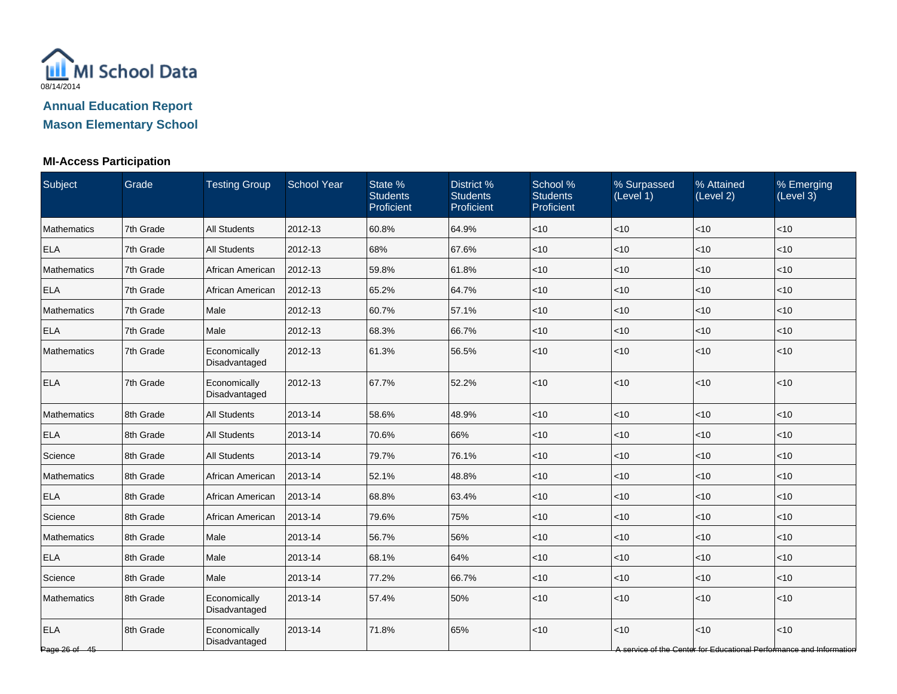

**Mason Elementary School**

## **MI-Access Participation**

| Subject                     | Grade     | <b>Testing Group</b>          | School Year | State %<br><b>Students</b><br>Proficient |       | School %<br><b>Students</b><br>Proficient | % Surpassed<br>(Level 1) | % Attained<br>(Level 2) | % Emerging<br>(Level 3)                                                     |
|-----------------------------|-----------|-------------------------------|-------------|------------------------------------------|-------|-------------------------------------------|--------------------------|-------------------------|-----------------------------------------------------------------------------|
| Mathematics                 | 7th Grade | <b>All Students</b>           | 2012-13     | 60.8%                                    | 64.9% | $<$ 10                                    | $<$ 10                   | < 10                    | $<$ 10                                                                      |
| <b>ELA</b>                  | 7th Grade | <b>All Students</b>           | 2012-13     | 68%                                      | 67.6% | $<$ 10                                    | <10                      | <10                     | <10                                                                         |
| Mathematics                 | 7th Grade | African American              | 2012-13     | 59.8%                                    | 61.8% | $<$ 10                                    | <10                      | <10                     | < 10                                                                        |
| <b>ELA</b>                  | 7th Grade | African American              | 2012-13     | 65.2%                                    | 64.7% | $<$ 10                                    | < 10                     | <10                     | < 10                                                                        |
| Mathematics                 | 7th Grade | Male                          | 2012-13     | 60.7%                                    | 57.1% | $<$ 10                                    | < 10                     | < 10                    | < 10                                                                        |
| <b>ELA</b>                  | 7th Grade | Male                          | 2012-13     | 68.3%                                    | 66.7% | $<$ 10                                    | <10                      | <10                     | $<$ 10                                                                      |
| Mathematics                 | 7th Grade | Economically<br>Disadvantaged | 2012-13     | 61.3%                                    | 56.5% | $<$ 10                                    | <10                      | <10                     | < 10                                                                        |
| <b>ELA</b>                  | 7th Grade | Economically<br>Disadvantaged | 2012-13     | 67.7%                                    | 52.2% | <10                                       | <10                      | <10                     | < 10                                                                        |
| Mathematics                 | 8th Grade | <b>All Students</b>           | 2013-14     | 58.6%                                    | 48.9% | $<$ 10                                    | $<$ 10                   | <10                     | $<$ 10                                                                      |
| <b>ELA</b>                  | 8th Grade | <b>All Students</b>           | 2013-14     | 70.6%                                    | 66%   | $<$ 10                                    | <10                      | < 10                    | $<$ 10                                                                      |
| Science                     | 8th Grade | <b>All Students</b>           | 2013-14     | 79.7%                                    | 76.1% | $<$ 10                                    | <10                      | <10                     | < 10                                                                        |
| Mathematics                 | 8th Grade | African American              | 2013-14     | 52.1%                                    | 48.8% | $<$ 10                                    | < 10                     | < 10                    | < 10                                                                        |
| <b>ELA</b>                  | 8th Grade | African American              | 2013-14     | 68.8%                                    | 63.4% | $<$ 10                                    | < 10                     | < 10                    | < 10                                                                        |
| Science                     | 8th Grade | African American              | 2013-14     | 79.6%                                    | 75%   | $<$ 10                                    | $<$ 10                   | <10                     | $<$ 10                                                                      |
| Mathematics                 | 8th Grade | Male                          | 2013-14     | 56.7%                                    | 56%   | $<$ 10                                    | <10                      | < 10                    | $<$ 10                                                                      |
| <b>ELA</b>                  | 8th Grade | Male                          | 2013-14     | 68.1%                                    | 64%   | $<$ 10                                    | <10                      | < 10                    | < 10                                                                        |
| Science                     | 8th Grade | Male                          | 2013-14     | 77.2%                                    | 66.7% | $<$ 10                                    | <10                      | <10                     | < 10                                                                        |
| Mathematics                 | 8th Grade | Economically<br>Disadvantaged | 2013-14     | 57.4%                                    | 50%   | $<$ 10                                    | <10                      | <10                     | < 10                                                                        |
| <b>ELA</b><br>Page 26 of 45 | 8th Grade | Economically<br>Disadvantaged | 2013-14     | 71.8%                                    | 65%   | $<$ 10                                    | < 10                     | <10                     | < 10<br>A service of the Center for Educational Performance and Information |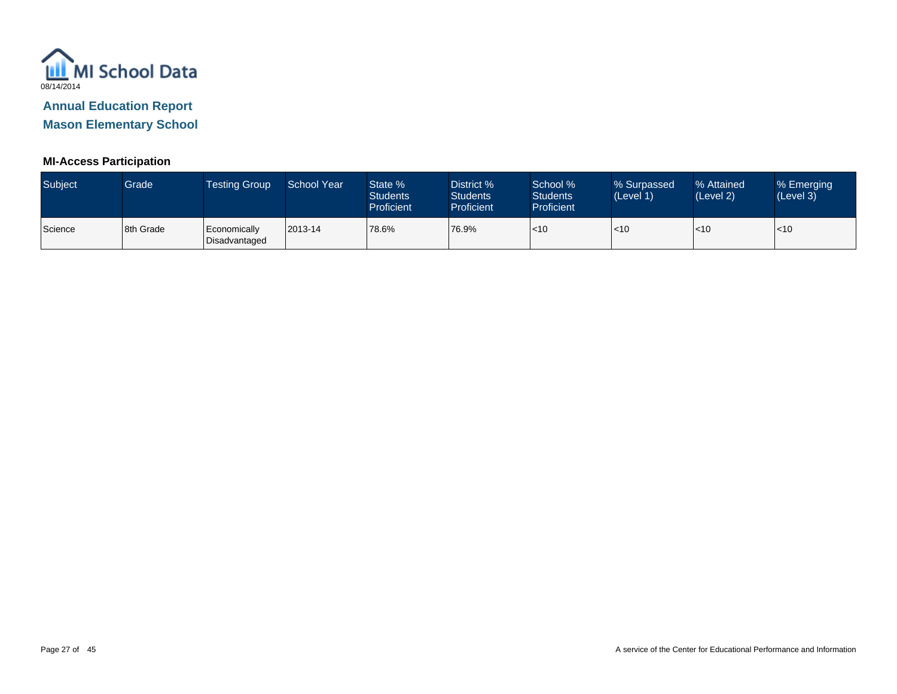

**Mason Elementary School**

### **MI-Access Participation**

| Subject | Grade     | Testing Group                 | School Year | State %<br><b>Students</b><br>Proficient | District %<br><b>Students</b><br><b>Proficient</b> | School %<br><b>Students</b><br><b>Proficient</b> | % Surpassed<br>(Level 1) | % Attained<br>(Level 2) | % Emerging<br>(Level 3) |
|---------|-----------|-------------------------------|-------------|------------------------------------------|----------------------------------------------------|--------------------------------------------------|--------------------------|-------------------------|-------------------------|
| Science | 8th Grade | Economically<br>Disadvantaged | 2013-14     | 78.6%                                    | 76.9%                                              | $\mathsf{I}$ <10                                 | l<10                     | $\mathsf{I}$ <10        | $<$ 10                  |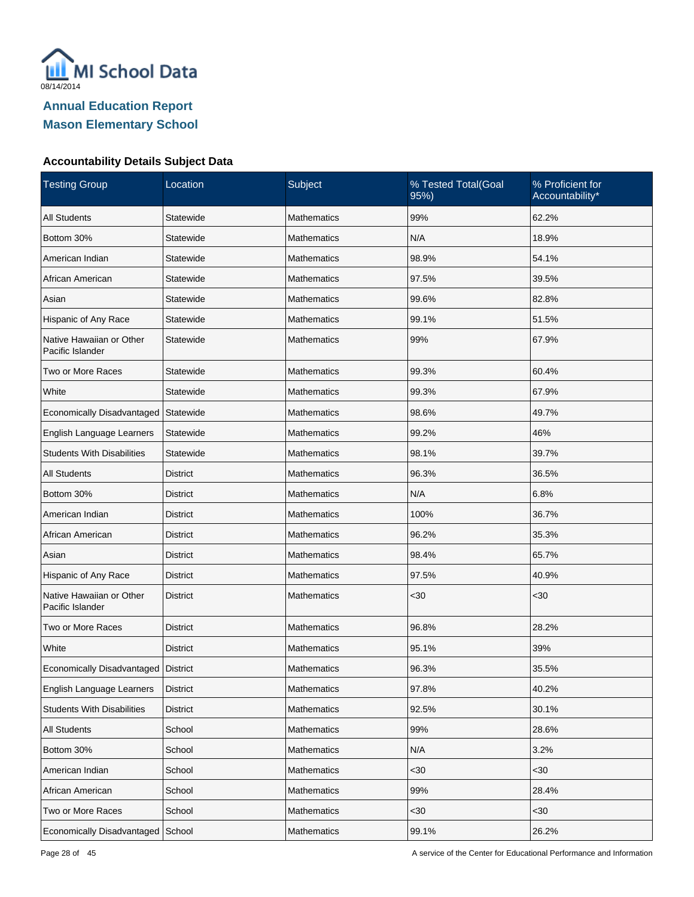

| <b>Testing Group</b>                         | Location        | Subject            | % Tested Total(Goal<br>95%) | % Proficient for<br>Accountability* |
|----------------------------------------------|-----------------|--------------------|-----------------------------|-------------------------------------|
| <b>All Students</b>                          | Statewide       | <b>Mathematics</b> | 99%                         | 62.2%                               |
| Bottom 30%                                   | Statewide       | <b>Mathematics</b> | N/A                         | 18.9%                               |
| American Indian                              | Statewide       | <b>Mathematics</b> | 98.9%                       | 54.1%                               |
| African American                             | Statewide       | <b>Mathematics</b> | 97.5%                       | 39.5%                               |
| Asian                                        | Statewide       | <b>Mathematics</b> | 99.6%                       | 82.8%                               |
| Hispanic of Any Race                         | Statewide       | <b>Mathematics</b> | 99.1%                       | 51.5%                               |
| Native Hawaiian or Other<br>Pacific Islander | Statewide       | <b>Mathematics</b> | 99%                         | 67.9%                               |
| Two or More Races                            | Statewide       | <b>Mathematics</b> | 99.3%                       | 60.4%                               |
| White                                        | Statewide       | <b>Mathematics</b> | 99.3%                       | 67.9%                               |
| Economically Disadvantaged                   | Statewide       | <b>Mathematics</b> | 98.6%                       | 49.7%                               |
| English Language Learners                    | Statewide       | <b>Mathematics</b> | 99.2%                       | 46%                                 |
| <b>Students With Disabilities</b>            | Statewide       | <b>Mathematics</b> | 98.1%                       | 39.7%                               |
| <b>All Students</b>                          | <b>District</b> | <b>Mathematics</b> | 96.3%                       | 36.5%                               |
| Bottom 30%                                   | District        | <b>Mathematics</b> | N/A                         | 6.8%                                |
| American Indian                              | <b>District</b> | <b>Mathematics</b> | 100%                        | 36.7%                               |
| African American                             | District        | <b>Mathematics</b> | 96.2%                       | 35.3%                               |
| Asian                                        | <b>District</b> | <b>Mathematics</b> | 98.4%                       | 65.7%                               |
| Hispanic of Any Race                         | District        | Mathematics        | 97.5%                       | 40.9%                               |
| Native Hawaiian or Other<br>Pacific Islander | <b>District</b> | <b>Mathematics</b> | $30$                        | $30$                                |
| Two or More Races                            | <b>District</b> | <b>Mathematics</b> | 96.8%                       | 28.2%                               |
| White                                        | <b>District</b> | <b>Mathematics</b> | 95.1%                       | 39%                                 |
| Economically Disadvantaged   District        |                 | Mathematics        | 96.3%                       | 35.5%                               |
| English Language Learners                    | <b>District</b> | Mathematics        | 97.8%                       | 40.2%                               |
| <b>Students With Disabilities</b>            | <b>District</b> | Mathematics        | 92.5%                       | 30.1%                               |
| All Students                                 | School          | Mathematics        | 99%                         | 28.6%                               |
| Bottom 30%                                   | School          | Mathematics        | N/A                         | 3.2%                                |
| American Indian                              | School          | Mathematics        | $30$                        | <30                                 |
| African American                             | School          | Mathematics        | 99%                         | 28.4%                               |
| Two or More Races                            | School          | Mathematics        | $30$                        | <30                                 |
| Economically Disadvantaged                   | School          | Mathematics        | 99.1%                       | 26.2%                               |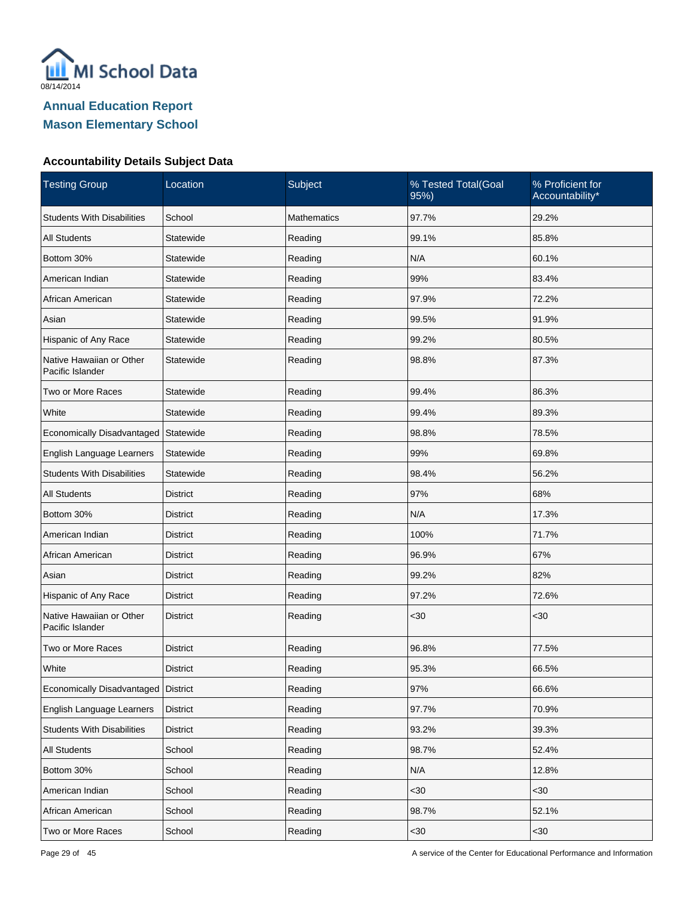

| <b>Testing Group</b>                         | Location        | Subject            | % Tested Total(Goal<br>95%) | % Proficient for<br>Accountability* |
|----------------------------------------------|-----------------|--------------------|-----------------------------|-------------------------------------|
| <b>Students With Disabilities</b>            | School          | <b>Mathematics</b> | 97.7%                       | 29.2%                               |
| <b>All Students</b>                          | Statewide       | Reading            | 99.1%                       | 85.8%                               |
| Bottom 30%                                   | Statewide       | Reading            | N/A                         | 60.1%                               |
| American Indian                              | Statewide       | Reading            | 99%                         | 83.4%                               |
| African American                             | Statewide       | Reading            | 97.9%                       | 72.2%                               |
| Asian                                        | Statewide       | Reading            | 99.5%                       | 91.9%                               |
| Hispanic of Any Race                         | Statewide       | Reading            | 99.2%                       | 80.5%                               |
| Native Hawaiian or Other<br>Pacific Islander | Statewide       | Reading            | 98.8%                       | 87.3%                               |
| Two or More Races                            | Statewide       | Reading            | 99.4%                       | 86.3%                               |
| White                                        | Statewide       | Reading            | 99.4%                       | 89.3%                               |
| Economically Disadvantaged                   | Statewide       | Reading            | 98.8%                       | 78.5%                               |
| English Language Learners                    | Statewide       | Reading            | 99%                         | 69.8%                               |
| <b>Students With Disabilities</b>            | Statewide       | Reading            | 98.4%                       | 56.2%                               |
| <b>All Students</b>                          | <b>District</b> | Reading            | 97%                         | 68%                                 |
| Bottom 30%                                   | <b>District</b> | Reading            | N/A                         | 17.3%                               |
| American Indian                              | <b>District</b> | Reading            | 100%                        | 71.7%                               |
| African American                             | <b>District</b> | Reading            | 96.9%                       | 67%                                 |
| Asian                                        | <b>District</b> | Reading            | 99.2%                       | 82%                                 |
| Hispanic of Any Race                         | <b>District</b> | Reading            | 97.2%                       | 72.6%                               |
| Native Hawaiian or Other<br>Pacific Islander | <b>District</b> | Reading            | $30$                        | <30                                 |
| Two or More Races                            | <b>District</b> | Reading            | 96.8%                       | 77.5%                               |
| White                                        | <b>District</b> | Reading            | 95.3%                       | 66.5%                               |
| Economically Disadvantaged District          |                 | Reading            | 97%                         | 66.6%                               |
| English Language Learners                    | <b>District</b> | Reading            | 97.7%                       | 70.9%                               |
| <b>Students With Disabilities</b>            | <b>District</b> | Reading            | 93.2%                       | 39.3%                               |
| All Students                                 | School          | Reading            | 98.7%                       | 52.4%                               |
| Bottom 30%                                   | School          | Reading            | N/A                         | 12.8%                               |
| American Indian                              | School          | Reading            | $30$                        | <30                                 |
| African American                             | School          | Reading            | 98.7%                       | 52.1%                               |
| Two or More Races                            | School          | Reading            | <30                         | $30$                                |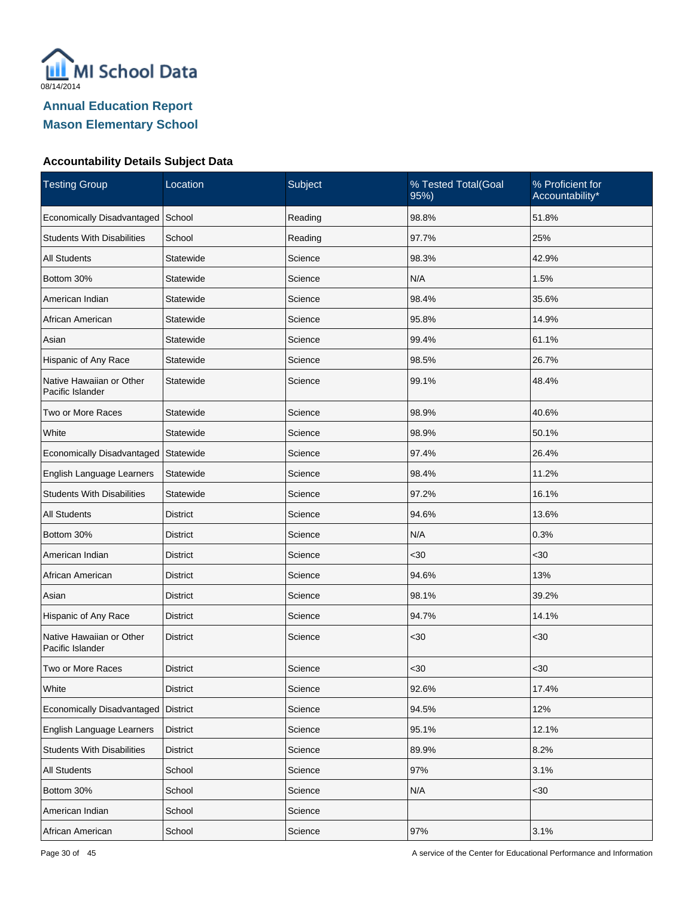

| <b>Testing Group</b>                         | Location        | Subject | % Tested Total(Goal<br>95%) | % Proficient for<br>Accountability* |
|----------------------------------------------|-----------------|---------|-----------------------------|-------------------------------------|
| Economically Disadvantaged                   | School          | Reading | 98.8%                       | 51.8%                               |
| <b>Students With Disabilities</b>            | School          | Reading | 97.7%                       | 25%                                 |
| <b>All Students</b>                          | Statewide       | Science | 98.3%                       | 42.9%                               |
| Bottom 30%                                   | Statewide       | Science | N/A                         | 1.5%                                |
| American Indian                              | Statewide       | Science | 98.4%                       | 35.6%                               |
| African American                             | Statewide       | Science | 95.8%                       | 14.9%                               |
| Asian                                        | Statewide       | Science | 99.4%                       | 61.1%                               |
| Hispanic of Any Race                         | Statewide       | Science | 98.5%                       | 26.7%                               |
| Native Hawaiian or Other<br>Pacific Islander | Statewide       | Science | 99.1%                       | 48.4%                               |
| Two or More Races                            | Statewide       | Science | 98.9%                       | 40.6%                               |
| White                                        | Statewide       | Science | 98.9%                       | 50.1%                               |
| Economically Disadvantaged                   | Statewide       | Science | 97.4%                       | 26.4%                               |
| English Language Learners                    | Statewide       | Science | 98.4%                       | 11.2%                               |
| <b>Students With Disabilities</b>            | Statewide       | Science | 97.2%                       | 16.1%                               |
| <b>All Students</b>                          | <b>District</b> | Science | 94.6%                       | 13.6%                               |
| Bottom 30%                                   | District        | Science | N/A                         | 0.3%                                |
| American Indian                              | <b>District</b> | Science | <30                         | <30                                 |
| African American                             | District        | Science | 94.6%                       | 13%                                 |
| Asian                                        | <b>District</b> | Science | 98.1%                       | 39.2%                               |
| Hispanic of Any Race                         | <b>District</b> | Science | 94.7%                       | 14.1%                               |
| Native Hawaiian or Other<br>Pacific Islander | <b>District</b> | Science | $30$                        | $30$                                |
| Two or More Races                            | <b>District</b> | Science | $30$                        | <30                                 |
| White                                        | <b>District</b> | Science | 92.6%                       | 17.4%                               |
| Economically Disadvantaged                   | <b>District</b> | Science | 94.5%                       | 12%                                 |
| English Language Learners                    | <b>District</b> | Science | 95.1%                       | 12.1%                               |
| <b>Students With Disabilities</b>            | <b>District</b> | Science | 89.9%                       | 8.2%                                |
| All Students                                 | School          | Science | 97%                         | 3.1%                                |
| Bottom 30%                                   | School          | Science | N/A                         | <30                                 |
| American Indian                              | School          | Science |                             |                                     |
| African American                             | School          | Science | 97%                         | 3.1%                                |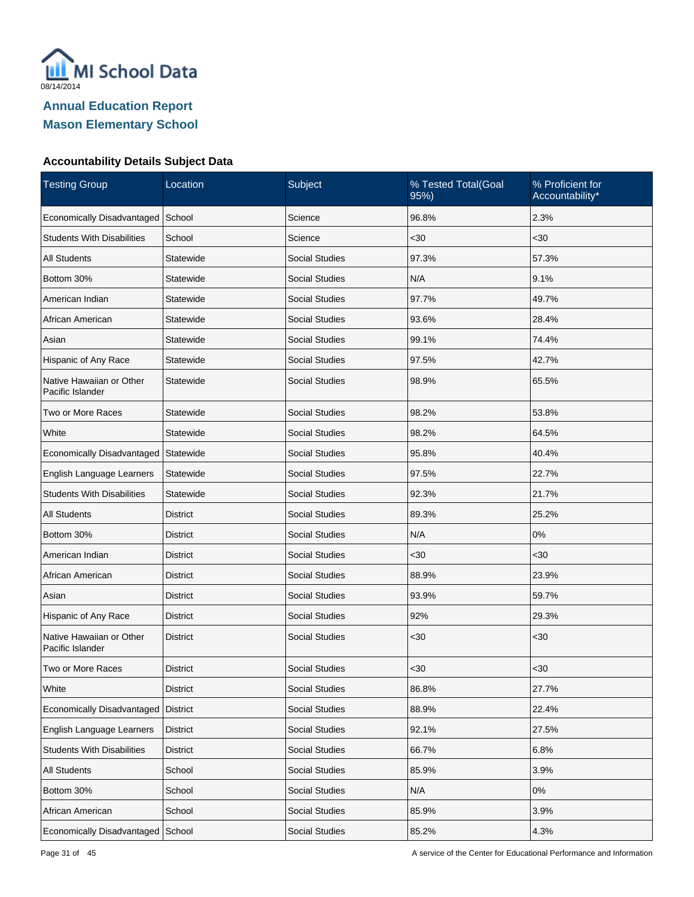

| <b>Testing Group</b>                         | Location<br>Subject<br>% Tested Total(Goal<br>95%) |                       | % Proficient for<br>Accountability* |       |
|----------------------------------------------|----------------------------------------------------|-----------------------|-------------------------------------|-------|
| Economically Disadvantaged                   | School                                             | Science               | 96.8%                               | 2.3%  |
| <b>Students With Disabilities</b>            | School                                             | Science               | $30$                                | $30$  |
| <b>All Students</b>                          | Statewide                                          | <b>Social Studies</b> | 97.3%                               | 57.3% |
| Bottom 30%                                   | Statewide                                          | <b>Social Studies</b> | N/A                                 | 9.1%  |
| American Indian                              | Statewide                                          | <b>Social Studies</b> | 97.7%                               | 49.7% |
| African American                             | Statewide                                          | <b>Social Studies</b> | 93.6%                               | 28.4% |
| Asian                                        | Statewide                                          | <b>Social Studies</b> | 99.1%                               | 74.4% |
| Hispanic of Any Race                         | Statewide                                          | <b>Social Studies</b> | 97.5%                               | 42.7% |
| Native Hawaiian or Other<br>Pacific Islander | Statewide                                          | <b>Social Studies</b> | 98.9%                               | 65.5% |
| Two or More Races                            | Statewide                                          | <b>Social Studies</b> | 98.2%                               | 53.8% |
| White                                        | Statewide                                          | <b>Social Studies</b> | 98.2%                               | 64.5% |
| Economically Disadvantaged                   | Statewide                                          | <b>Social Studies</b> | 95.8%                               | 40.4% |
| English Language Learners                    | Statewide                                          | Social Studies        | 97.5%                               | 22.7% |
| <b>Students With Disabilities</b>            | Statewide                                          | <b>Social Studies</b> | 92.3%                               | 21.7% |
| <b>All Students</b>                          | District                                           | <b>Social Studies</b> | 89.3%                               | 25.2% |
| Bottom 30%                                   | <b>District</b>                                    | <b>Social Studies</b> | N/A                                 | 0%    |
| American Indian                              | <b>District</b>                                    | <b>Social Studies</b> | $30$                                | $30$  |
| African American                             | District                                           | <b>Social Studies</b> | 88.9%                               | 23.9% |
| Asian                                        | <b>District</b>                                    | <b>Social Studies</b> | 93.9%                               | 59.7% |
| Hispanic of Any Race                         | District                                           | <b>Social Studies</b> | 92%                                 | 29.3% |
| Native Hawaiian or Other<br>Pacific Islander | <b>District</b>                                    | <b>Social Studies</b> | <30                                 | <30   |
| Two or More Races                            | <b>District</b>                                    | <b>Social Studies</b> | $30$                                | <30   |
| White                                        | <b>District</b>                                    | <b>Social Studies</b> | 86.8%                               | 27.7% |
| Economically Disadvantaged                   | <b>District</b>                                    | <b>Social Studies</b> | 88.9%                               | 22.4% |
| English Language Learners                    | <b>District</b>                                    | <b>Social Studies</b> | 92.1%                               | 27.5% |
| <b>Students With Disabilities</b>            | <b>District</b>                                    | <b>Social Studies</b> | 66.7%                               | 6.8%  |
| All Students                                 | School                                             | Social Studies        | 85.9%                               | 3.9%  |
| Bottom 30%                                   | School                                             | <b>Social Studies</b> | N/A                                 | $0\%$ |
| African American                             | School                                             | Social Studies        | 85.9%                               | 3.9%  |
| Economically Disadvantaged                   | School                                             | Social Studies        | 85.2%                               | 4.3%  |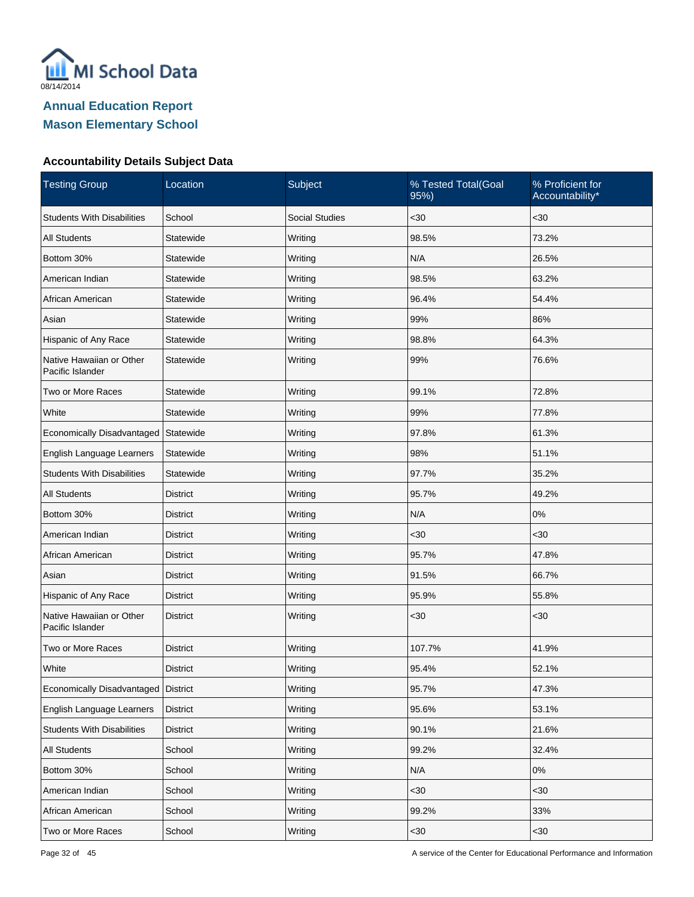

| <b>Testing Group</b>                         | Location        | Subject               | % Tested Total(Goal<br>95%) | % Proficient for<br>Accountability* |
|----------------------------------------------|-----------------|-----------------------|-----------------------------|-------------------------------------|
| <b>Students With Disabilities</b>            | School          | <b>Social Studies</b> | $30$                        | $30$                                |
| <b>All Students</b>                          | Statewide       | Writing               | 98.5%                       | 73.2%                               |
| Bottom 30%                                   | Statewide       | Writing               | N/A                         | 26.5%                               |
| American Indian                              | Statewide       | Writing               | 98.5%                       | 63.2%                               |
| African American                             | Statewide       | Writing               | 96.4%                       | 54.4%                               |
| Asian                                        | Statewide       | Writing               | 99%                         | 86%                                 |
| Hispanic of Any Race                         | Statewide       | Writing               | 98.8%                       | 64.3%                               |
| Native Hawaiian or Other<br>Pacific Islander | Statewide       | Writing               | 99%                         | 76.6%                               |
| Two or More Races                            | Statewide       | Writing               | 99.1%                       | 72.8%                               |
| White                                        | Statewide       | Writing               | 99%                         | 77.8%                               |
| Economically Disadvantaged                   | Statewide       | Writing               | 97.8%                       | 61.3%                               |
| English Language Learners                    | Statewide       | Writing               | 98%                         | 51.1%                               |
| <b>Students With Disabilities</b>            | Statewide       | Writing               | 97.7%                       | 35.2%                               |
| <b>All Students</b>                          | District        | Writing               | 95.7%                       | 49.2%                               |
| Bottom 30%                                   | <b>District</b> | Writing               | N/A                         | $0\%$                               |
| American Indian                              | District        | Writing               | $30$                        | <30                                 |
| African American                             | <b>District</b> | Writing               | 95.7%                       | 47.8%                               |
| Asian                                        | <b>District</b> | Writing               | 91.5%                       | 66.7%                               |
| Hispanic of Any Race                         | <b>District</b> | Writing               | 95.9%                       | 55.8%                               |
| Native Hawaiian or Other<br>Pacific Islander | <b>District</b> | Writing               | $30$                        | $30$                                |
| Two or More Races                            | District        | Writing               | 107.7%                      | 41.9%                               |
| White                                        | <b>District</b> | Writing               | 95.4%                       | 52.1%                               |
| Economically Disadvantaged   District        |                 | Writing               | 95.7%                       | 47.3%                               |
| English Language Learners                    | <b>District</b> | Writing               | 95.6%                       | 53.1%                               |
| <b>Students With Disabilities</b>            | <b>District</b> | Writing               | 90.1%                       | 21.6%                               |
| All Students                                 | School          | Writing               | 99.2%                       | 32.4%                               |
| Bottom 30%                                   | School          | Writing               | N/A                         | $0\%$                               |
| American Indian                              | School          | Writing               | $30$                        | <30                                 |
| African American                             | School          | Writing               | 99.2%                       | 33%                                 |
| Two or More Races                            | School          | Writing               | $30$                        | $30$                                |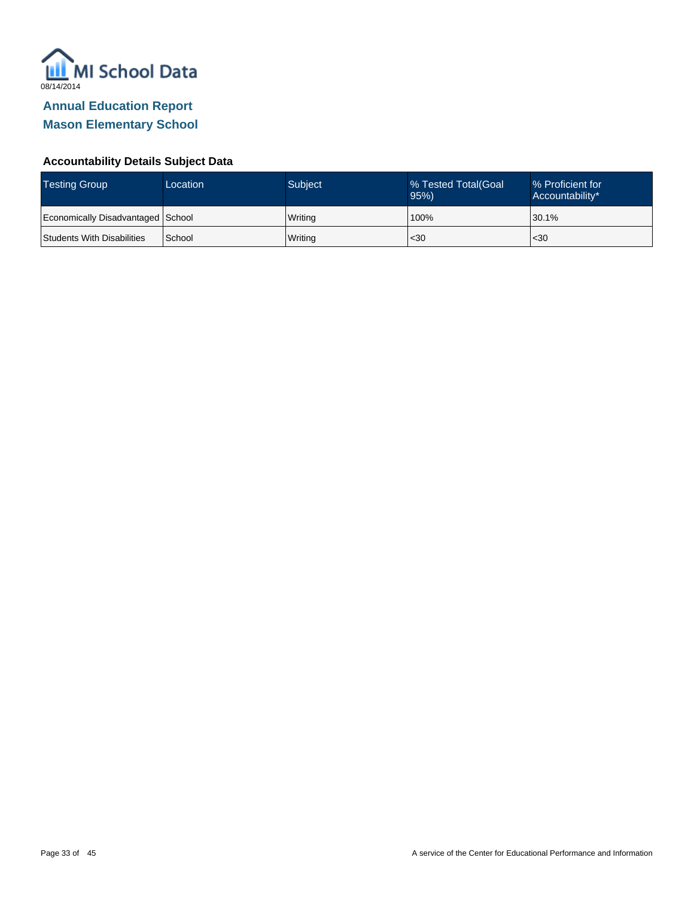

| <b>Testing Group</b>              | Location | Subject | % Tested Total(Goal<br>95% | ■% Proficient for<br>Accountability* |
|-----------------------------------|----------|---------|----------------------------|--------------------------------------|
| Economically Disadvantaged School |          | Writing | 100%                       | 30.1%                                |
| Students With Disabilities        | School   | Writing | $30$                       | $30$                                 |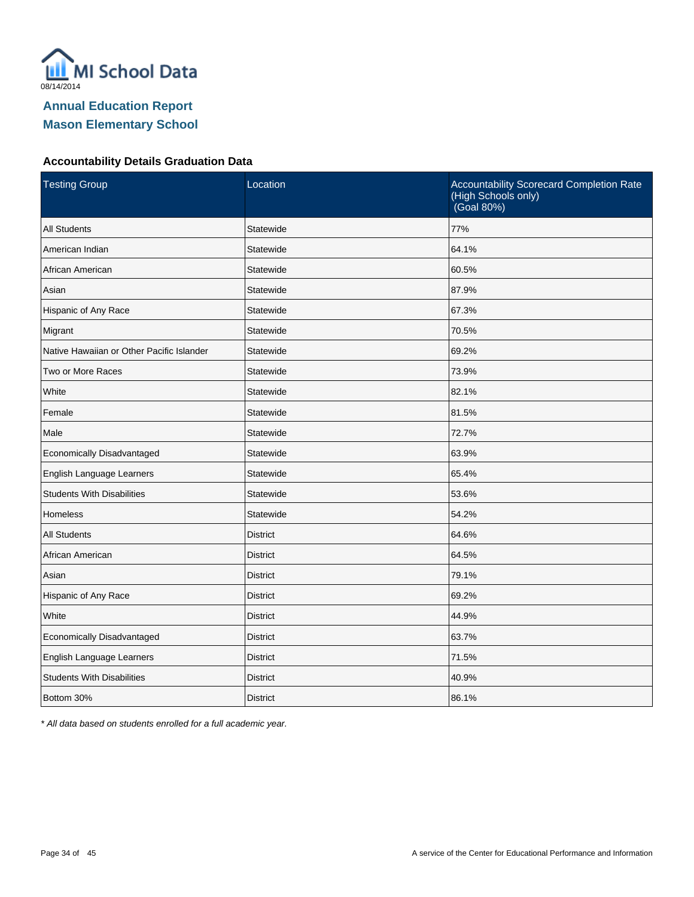

### **Accountability Details Graduation Data**

| <b>Testing Group</b>                      | Location        | Accountability Scorecard Completion Rate<br>(High Schools only)<br>(Goal 80%) |
|-------------------------------------------|-----------------|-------------------------------------------------------------------------------|
| <b>All Students</b>                       | Statewide       | 77%                                                                           |
| American Indian                           | Statewide       | 64.1%                                                                         |
| African American                          | Statewide       | 60.5%                                                                         |
| Asian                                     | Statewide       | 87.9%                                                                         |
| Hispanic of Any Race                      | Statewide       | 67.3%                                                                         |
| Migrant                                   | Statewide       | 70.5%                                                                         |
| Native Hawaiian or Other Pacific Islander | Statewide       | 69.2%                                                                         |
| Two or More Races                         | Statewide       | 73.9%                                                                         |
| White                                     | Statewide       | 82.1%                                                                         |
| Female                                    | Statewide       | 81.5%                                                                         |
| Male                                      | Statewide       | 72.7%                                                                         |
| Economically Disadvantaged                | Statewide       | 63.9%                                                                         |
| English Language Learners                 | Statewide       | 65.4%                                                                         |
| <b>Students With Disabilities</b>         | Statewide       | 53.6%                                                                         |
| Homeless                                  | Statewide       | 54.2%                                                                         |
| <b>All Students</b>                       | <b>District</b> | 64.6%                                                                         |
| African American                          | <b>District</b> | 64.5%                                                                         |
| Asian                                     | <b>District</b> | 79.1%                                                                         |
| Hispanic of Any Race                      | <b>District</b> | 69.2%                                                                         |
| White                                     | <b>District</b> | 44.9%                                                                         |
| Economically Disadvantaged                | <b>District</b> | 63.7%                                                                         |
| English Language Learners                 | <b>District</b> | 71.5%                                                                         |
| <b>Students With Disabilities</b>         | <b>District</b> | 40.9%                                                                         |
| Bottom 30%                                | <b>District</b> | 86.1%                                                                         |

\* All data based on students enrolled for a full academic year.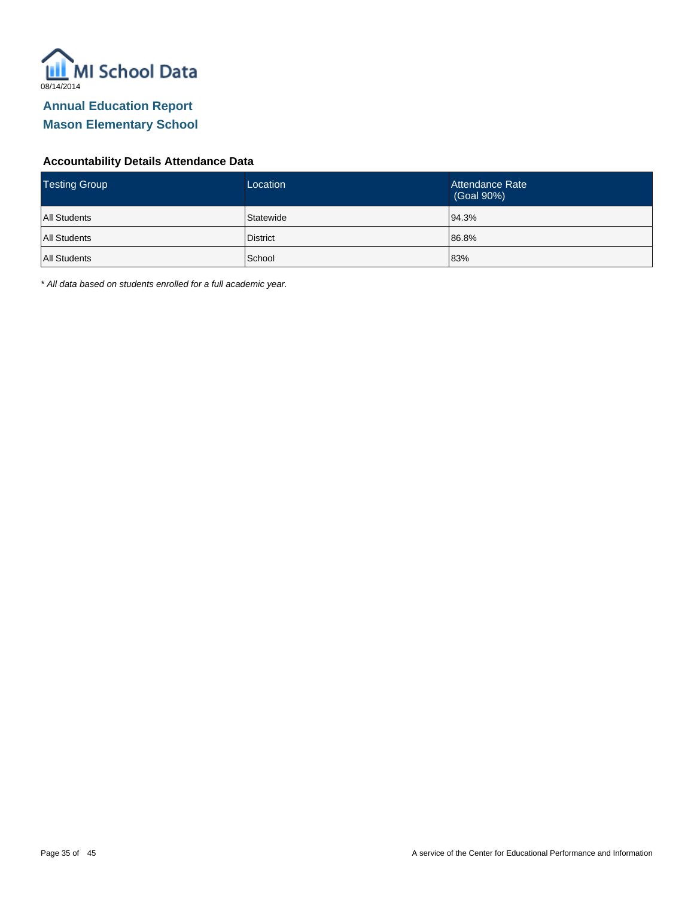

### **Accountability Details Attendance Data**

| <b>Testing Group</b> | Location        | Attendance Rate<br>(Goal 90%) |
|----------------------|-----------------|-------------------------------|
| <b>All Students</b>  | Statewide       | 94.3%                         |
| <b>All Students</b>  | <b>District</b> | 86.8%                         |
| <b>All Students</b>  | School          | 83%                           |

\* All data based on students enrolled for a full academic year.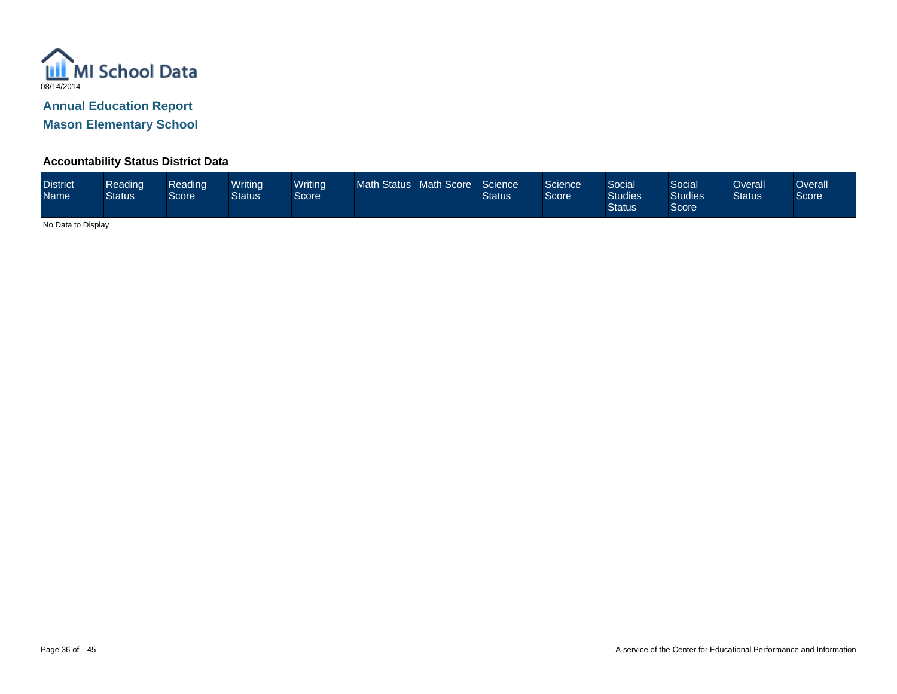

**Mason Elementary School**

### **Accountability Status District Data**

| <b>District</b><br><b>Name</b> | Reading<br><b>Status</b> | Reading<br>Score | Writina<br><b>Status</b> | <b>Writing</b><br>Score <sup>1</sup> | Math Status Math Score |  | Science<br><b>Status</b> | Science<br>Score <sup>1</sup> | Social<br><b>Studies</b><br><b>Status</b> | Social<br><b>Studies</b><br>Score | Overall<br><b>Status</b> | Dverall<br>Score |
|--------------------------------|--------------------------|------------------|--------------------------|--------------------------------------|------------------------|--|--------------------------|-------------------------------|-------------------------------------------|-----------------------------------|--------------------------|------------------|
|--------------------------------|--------------------------|------------------|--------------------------|--------------------------------------|------------------------|--|--------------------------|-------------------------------|-------------------------------------------|-----------------------------------|--------------------------|------------------|

No Data to Display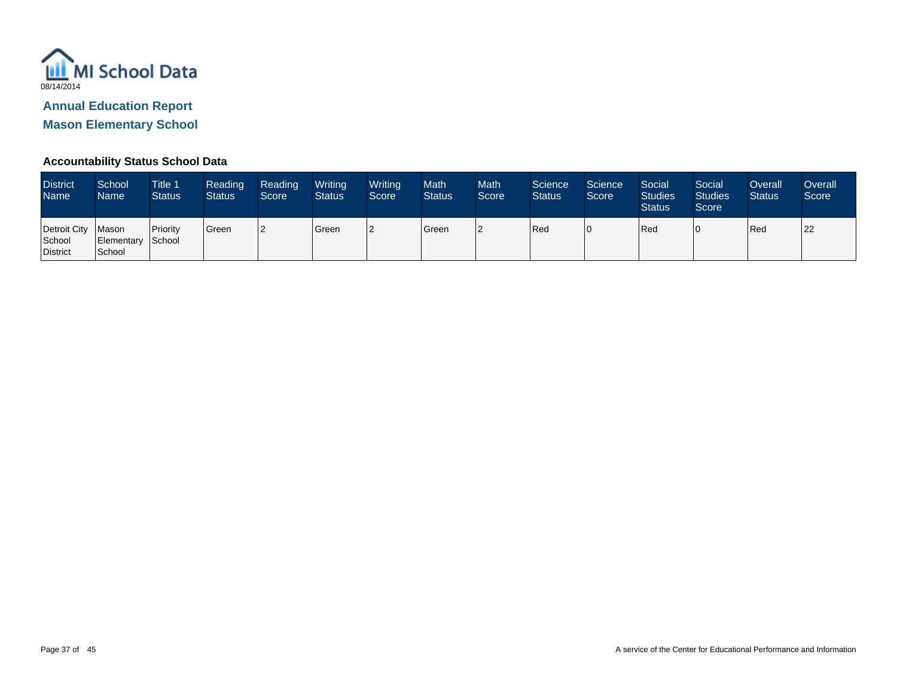

**Mason Elementary School**

### **Accountability Status School Data**

| <b>District</b><br><b>Name</b>            | School<br>Name <sup>1</sup>          | <b>Title 1</b><br><b>Status</b> | Reading<br><b>Status</b> | Reading<br>Score | Writing<br><b>Status</b> | Writing<br>Score | Math<br><b>Status</b> | <b>Math</b><br>Score | Science<br><b>Status</b> | Science<br>Score <sup>1</sup> | Social<br><b>Studies</b><br><b>Status</b> | Social<br><b>Studies</b><br>Score | Overall<br><b>Status</b> | Overall<br>Score |
|-------------------------------------------|--------------------------------------|---------------------------------|--------------------------|------------------|--------------------------|------------------|-----------------------|----------------------|--------------------------|-------------------------------|-------------------------------------------|-----------------------------------|--------------------------|------------------|
| Detroit City<br>School<br><b>District</b> | Mason<br>Elementary School<br>School | Priority                        | Green                    | l2               | Green                    | ה ו              | Green                 | 2                    | Red                      |                               | Red                                       | 0                                 | Red                      | 22               |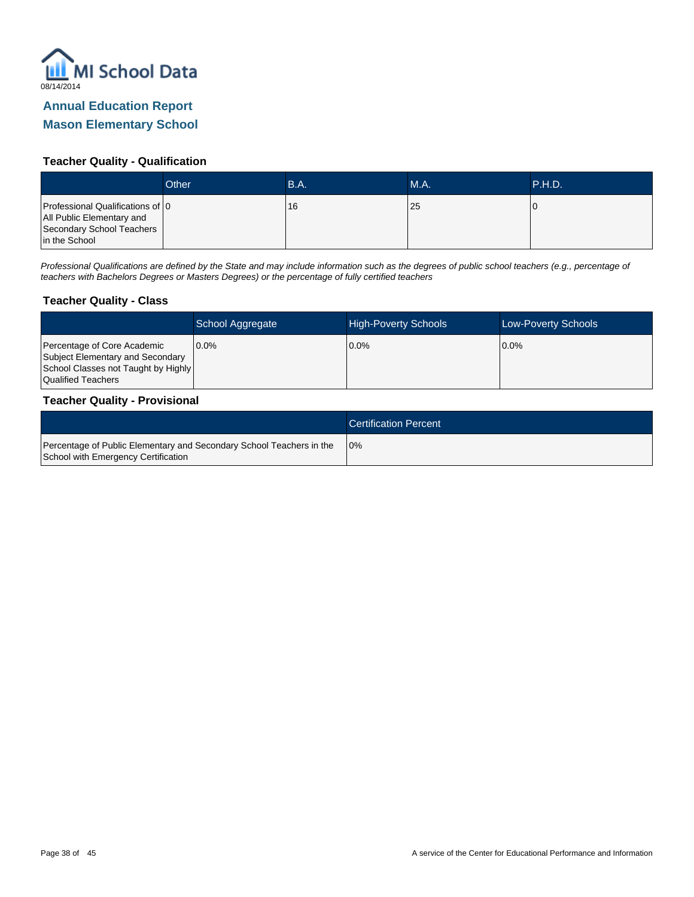

### **Mason Elementary School**

### **Teacher Quality - Qualification**

|                                                                                                             | Other | B.A. | <b>M.A.</b> | P.H.D. |
|-------------------------------------------------------------------------------------------------------------|-------|------|-------------|--------|
| Professional Qualifications of 0<br>All Public Elementary and<br>Secondary School Teachers<br>in the School |       | 16   | 25          |        |

Professional Qualifications are defined by the State and may include information such as the degrees of public school teachers (e.g., percentage of teachers with Bachelors Degrees or Masters Degrees) or the percentage of fully certified teachers

#### **Teacher Quality - Class**

|                                                                                                                              | School Aggregate | <b>High-Poverty Schools</b> | <b>Low-Poverty Schools</b> |
|------------------------------------------------------------------------------------------------------------------------------|------------------|-----------------------------|----------------------------|
| Percentage of Core Academic<br>Subject Elementary and Secondary<br>School Classes not Taught by Highly<br>Qualified Teachers | 10.0%            | 0.0%                        | $0.0\%$                    |

#### **Teacher Quality - Provisional**

|                                                                                                             | <b>Certification Percent</b> |
|-------------------------------------------------------------------------------------------------------------|------------------------------|
| Percentage of Public Elementary and Secondary School Teachers in the<br>School with Emergency Certification | 10%                          |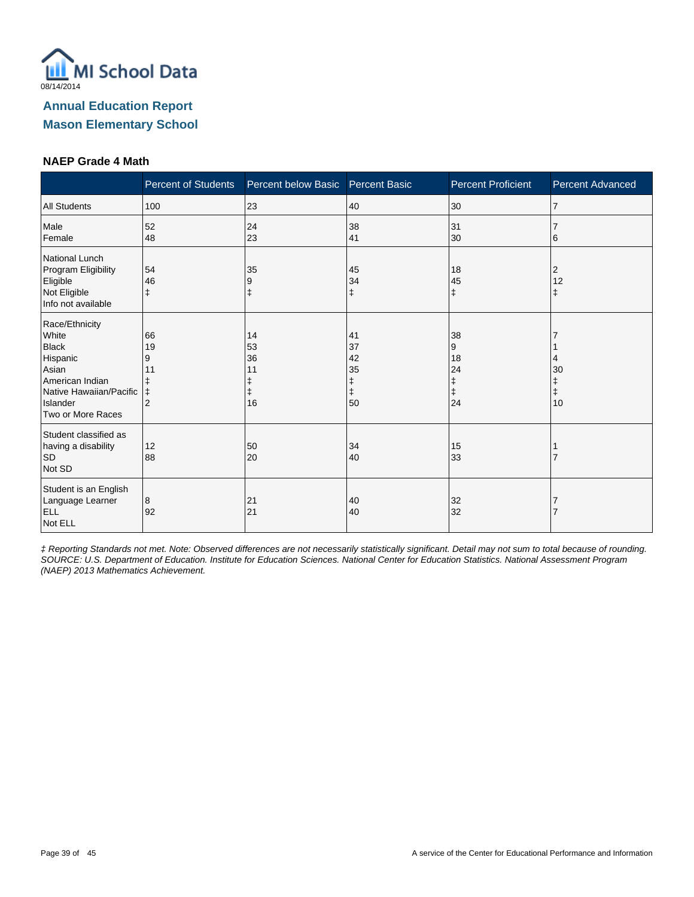

#### **NAEP Grade 4 Math**

|                                                                                                                                             | <b>Percent of Students</b>                 | Percent below Basic Percent Basic |                                               | <b>Percent Proficient</b>      | <b>Percent Advanced</b> |
|---------------------------------------------------------------------------------------------------------------------------------------------|--------------------------------------------|-----------------------------------|-----------------------------------------------|--------------------------------|-------------------------|
| <b>All Students</b>                                                                                                                         | 100                                        | 23                                | 40                                            | 30                             | 7                       |
| Male<br>Female                                                                                                                              | 52<br>48                                   | 24<br>23                          | 38<br>41                                      | 31<br>30                       | 6                       |
| National Lunch<br>Program Eligibility<br>Eligible<br>Not Eligible<br>Info not available                                                     | 54<br>46<br>ŧ                              | 35<br>9                           | 45<br>34<br>$\ddagger$                        | 18<br>45<br>$\ddagger$         | 2<br>12<br>ŧ            |
| Race/Ethnicity<br>White<br><b>Black</b><br>Hispanic<br>Asian<br>American Indian<br>Native Hawaiian/Pacific<br>Islander<br>Two or More Races | 66<br>19<br>9<br>11<br>ŧ<br>$\overline{2}$ | 14<br>53<br>36<br>11<br>16        | 41<br>37<br>42<br>35<br>ŧ<br>$\ddagger$<br>50 | 38<br>9<br>18<br>24<br>ŧ<br>24 | 30<br>ŧ<br>10           |
| Student classified as<br>having a disability<br><b>SD</b><br>Not SD                                                                         | 12<br>88                                   | 50<br>20                          | 34<br>40                                      | 15<br>33                       |                         |
| Student is an English<br>Language Learner<br><b>ELL</b><br>Not ELL                                                                          | 8<br>92                                    | 21<br>21                          | 40<br>40                                      | 32<br>32                       |                         |

‡ Reporting Standards not met. Note: Observed differences are not necessarily statistically significant. Detail may not sum to total because of rounding. SOURCE: U.S. Department of Education. Institute for Education Sciences. National Center for Education Statistics. National Assessment Program (NAEP) 2013 Mathematics Achievement.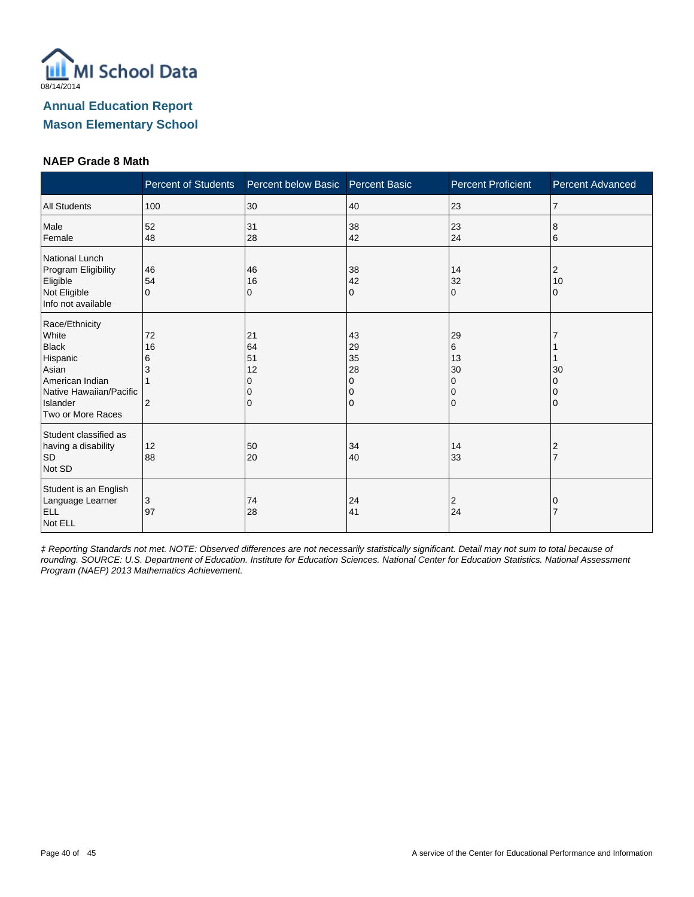

### **NAEP Grade 8 Math**

|                                                                                                                                             | <b>Percent of Students</b> | Percent below Basic              | <b>Percent Basic</b>                | <b>Percent Proficient</b>                   | <b>Percent Advanced</b> |
|---------------------------------------------------------------------------------------------------------------------------------------------|----------------------------|----------------------------------|-------------------------------------|---------------------------------------------|-------------------------|
| <b>All Students</b>                                                                                                                         | 100                        | 30                               | 40                                  | 23                                          | $\overline{7}$          |
| Male<br>Female                                                                                                                              | 52<br>48                   | 31<br>28                         | 38<br>42                            | 23<br>24                                    | 8<br>6                  |
| National Lunch<br>Program Eligibility<br>Eligible<br>Not Eligible<br>Info not available                                                     | 46<br>54<br>$\Omega$       | 46<br>16<br>0                    | 38<br>42<br>0                       | 14<br>32<br>$\Omega$                        | 2<br>10<br>0            |
| Race/Ethnicity<br>White<br><b>Black</b><br>Hispanic<br>Asian<br>American Indian<br>Native Hawaiian/Pacific<br>Islander<br>Two or More Races | 72<br>16<br>6<br>3<br>2    | 21<br>64<br>51<br>12<br>$\Omega$ | 43<br>29<br>35<br>28<br>0<br>0<br>0 | 29<br>6<br>13<br>30<br>$\Omega$<br>0<br>l O | 30<br>0                 |
| Student classified as<br>having a disability<br><b>SD</b><br>Not SD                                                                         | 12<br>88                   | 50<br>20                         | 34<br>40                            | 14<br>33                                    | 2                       |
| Student is an English<br>Language Learner<br>ELL<br>Not ELL                                                                                 | 3<br>97                    | 74<br>28                         | 24<br>41                            | $\overline{2}$<br>24                        | 0                       |

‡ Reporting Standards not met. NOTE: Observed differences are not necessarily statistically significant. Detail may not sum to total because of rounding. SOURCE: U.S. Department of Education. Institute for Education Sciences. National Center for Education Statistics. National Assessment Program (NAEP) 2013 Mathematics Achievement.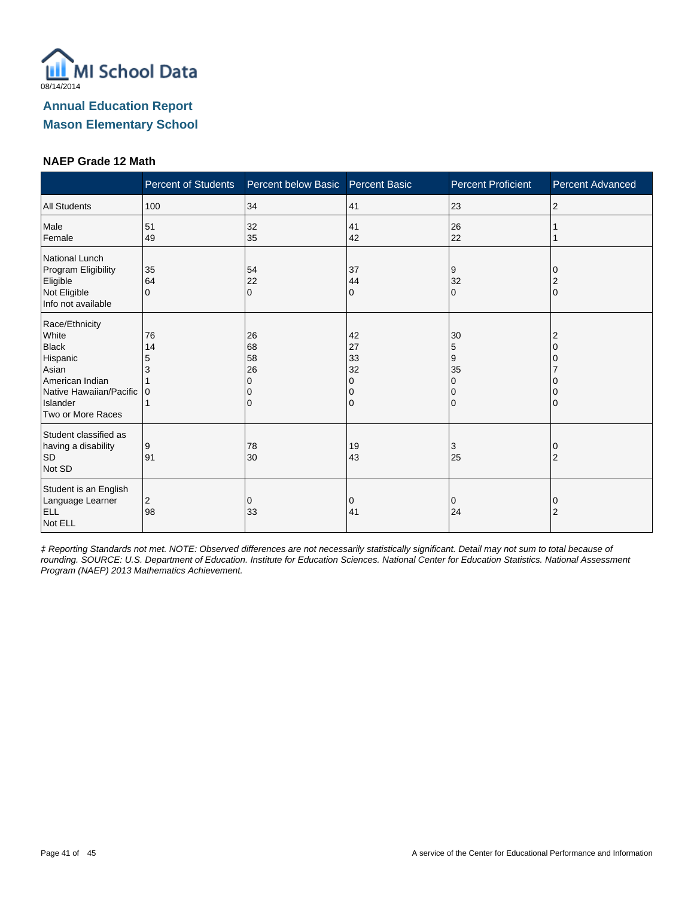

### **NAEP Grade 12 Math**

|                                                                                                                                             | Percent of Students     | Percent below Basic Percent Basic |                                     | <b>Percent Proficient</b>      | <b>Percent Advanced</b> |
|---------------------------------------------------------------------------------------------------------------------------------------------|-------------------------|-----------------------------------|-------------------------------------|--------------------------------|-------------------------|
| <b>All Students</b>                                                                                                                         | 100                     | 34                                | 41                                  | 23                             | $\overline{2}$          |
| Male<br>Female                                                                                                                              | 51<br>49                | 32<br>35                          | 41<br>42                            | 26<br>22                       |                         |
| National Lunch<br>Program Eligibility<br>Eligible<br>Not Eligible<br>Info not available                                                     | 35<br>64<br>$\Omega$    | 54<br>22<br>$\Omega$              | 37<br>44<br>0                       | Ι9<br>32<br>$\Omega$           | $\Omega$                |
| Race/Ethnicity<br>White<br><b>Black</b><br>Hispanic<br>Asian<br>American Indian<br>Native Hawaiian/Pacific<br>Islander<br>Two or More Races | 76<br>14<br>5<br>3<br>0 | 26<br>68<br>58<br>26<br>0         | 42<br>27<br>33<br>32<br>O<br>O<br>0 | 30<br>5<br>9<br>35<br>$\Omega$ |                         |
| Student classified as<br>having a disability<br><b>SD</b><br>Not SD                                                                         | 9<br>91                 | 78<br>30                          | 19<br>43                            | 3<br>25                        | 2                       |
| Student is an English<br>Language Learner<br><b>ELL</b><br>Not ELL                                                                          | 2<br>98                 | 0<br>33                           | 0<br>41                             | 0<br>24                        | O<br>$\overline{2}$     |

‡ Reporting Standards not met. NOTE: Observed differences are not necessarily statistically significant. Detail may not sum to total because of rounding. SOURCE: U.S. Department of Education. Institute for Education Sciences. National Center for Education Statistics. National Assessment Program (NAEP) 2013 Mathematics Achievement.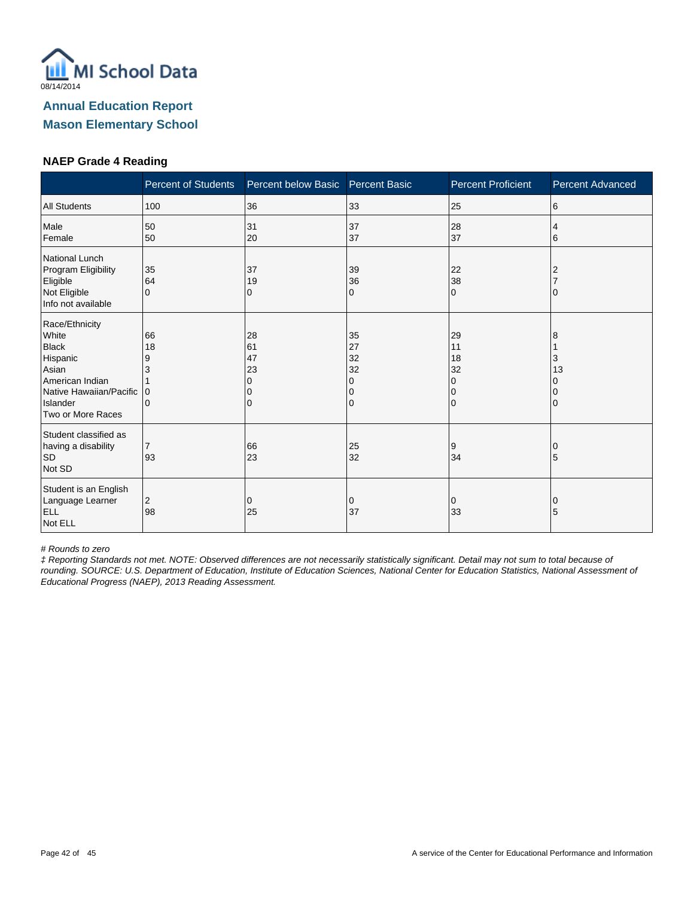

### **NAEP Grade 4 Reading**

|                                                                                                                                             | <b>Percent of Students</b>          | Percent below Basic            | <b>Percent Basic</b>                | <b>Percent Proficient</b>                  | <b>Percent Advanced</b> |
|---------------------------------------------------------------------------------------------------------------------------------------------|-------------------------------------|--------------------------------|-------------------------------------|--------------------------------------------|-------------------------|
| <b>All Students</b>                                                                                                                         | 100                                 | 36                             | 33                                  | 25                                         | 6                       |
| Male<br>Female                                                                                                                              | 50<br>50                            | 31<br>20                       | 37<br>37                            | 28<br>37                                   | 4<br>6                  |
| National Lunch<br>Program Eligibility<br>Eligible<br>Not Eligible<br>Info not available                                                     | 35<br>64<br>$\Omega$                | 37<br>19<br>0                  | 39<br>36<br>0                       | 22<br>38<br>$\Omega$                       | 2                       |
| Race/Ethnicity<br>White<br><b>Black</b><br>Hispanic<br>Asian<br>American Indian<br>Native Hawaiian/Pacific<br>Islander<br>Two or More Races | 66<br>18<br>9<br>3<br>$\Omega$<br>0 | 28<br>61<br>47<br>23<br>n<br>0 | 35<br>27<br>32<br>32<br>0<br>0<br>0 | 29<br>11<br>18<br>32<br>$\Omega$<br>0<br>0 | 8<br>3<br>13            |
| Student classified as<br>having a disability<br><b>SD</b><br>Not SD                                                                         | 7<br>93                             | 66<br>23                       | 25<br>32                            | 9<br>34                                    | 5                       |
| Student is an English<br>Language Learner<br><b>ELL</b><br>Not ELL                                                                          | 2<br>98                             | 0<br>25                        | 0<br>37                             | 0<br>33                                    | O<br>5                  |

# Rounds to zero

‡ Reporting Standards not met. NOTE: Observed differences are not necessarily statistically significant. Detail may not sum to total because of rounding. SOURCE: U.S. Department of Education, Institute of Education Sciences, National Center for Education Statistics, National Assessment of Educational Progress (NAEP), 2013 Reading Assessment.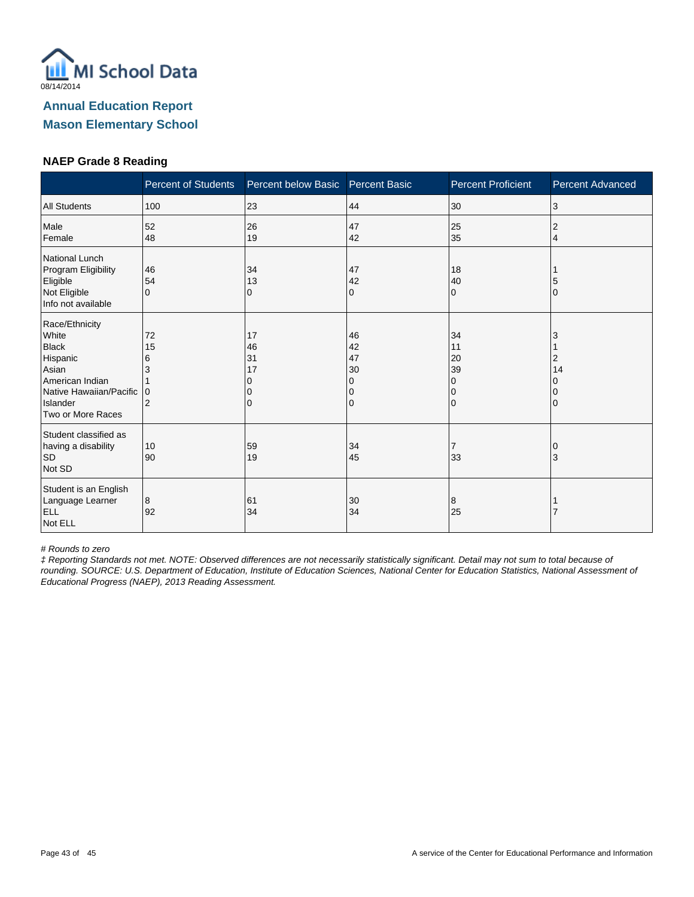

### **NAEP Grade 8 Reading**

|                                                                                                                                             | <b>Percent of Students</b> | Percent below Basic       | <b>Percent Basic</b>                | <b>Percent Proficient</b>                            | <b>Percent Advanced</b> |
|---------------------------------------------------------------------------------------------------------------------------------------------|----------------------------|---------------------------|-------------------------------------|------------------------------------------------------|-------------------------|
| <b>All Students</b>                                                                                                                         | 100                        | 23                        | 44                                  | 30                                                   | 3                       |
| Male<br>Female                                                                                                                              | 52<br>48                   | 26<br>19                  | 47<br>42                            | 25<br>35                                             | 2<br>4                  |
| <b>National Lunch</b><br>Program Eligibility<br>Eligible<br>Not Eligible<br>Info not available                                              | 46<br>54<br>$\Omega$       | 34<br>13<br>0             | 47<br>42<br>0                       | 18<br>40<br>$\mathbf 0$                              | 5<br>$\Omega$           |
| Race/Ethnicity<br>White<br><b>Black</b><br>Hispanic<br>Asian<br>American Indian<br>Native Hawaiian/Pacific<br>Islander<br>Two or More Races | 72<br>15<br>6<br>I٥<br>2   | 17<br>46<br>31<br>17<br>0 | 46<br>42<br>47<br>30<br>0<br>0<br>0 | 34<br>11<br>20<br>39<br>$\Omega$<br>0<br>$\mathbf 0$ | 2<br>14<br>$\Omega$     |
| Student classified as<br>having a disability<br><b>SD</b><br>Not SD                                                                         | 10<br>90                   | 59<br>19                  | 34<br>45                            | $\overline{7}$<br>33                                 | 0<br>3                  |
| Student is an English<br>Language Learner<br><b>ELL</b><br>Not ELL                                                                          | 8<br>92                    | 61<br>34                  | 30<br>34                            | 8<br>25                                              |                         |

# Rounds to zero

‡ Reporting Standards not met. NOTE: Observed differences are not necessarily statistically significant. Detail may not sum to total because of rounding. SOURCE: U.S. Department of Education, Institute of Education Sciences, National Center for Education Statistics, National Assessment of Educational Progress (NAEP), 2013 Reading Assessment.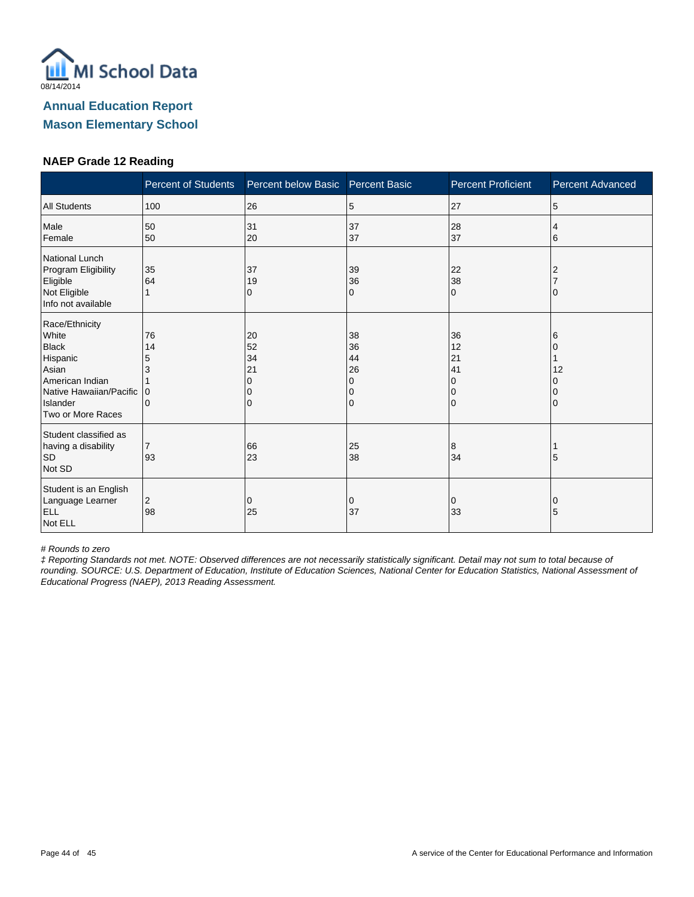

### **NAEP Grade 12 Reading**

|                                                                                                                                             | <b>Percent of Students</b>                    | Percent below Basic            | <b>Percent Basic</b>                | <b>Percent Proficient</b>                                   | <b>Percent Advanced</b> |
|---------------------------------------------------------------------------------------------------------------------------------------------|-----------------------------------------------|--------------------------------|-------------------------------------|-------------------------------------------------------------|-------------------------|
| <b>All Students</b>                                                                                                                         | 100                                           | 26                             | 5                                   | 27                                                          | 5                       |
| Male<br>Female                                                                                                                              | 50<br>50                                      | 31<br>20                       | 37<br>37                            | 28<br>37                                                    | 4<br>6                  |
| National Lunch<br>Program Eligibility<br>Eligible<br>Not Eligible<br>Info not available                                                     | 35<br>64                                      | 37<br>19<br>0                  | 39<br>36<br>0                       | 22<br>38<br>$\Omega$                                        |                         |
| Race/Ethnicity<br>White<br><b>Black</b><br>Hispanic<br>Asian<br>American Indian<br>Native Hawaiian/Pacific<br>Islander<br>Two or More Races | 76<br>14<br>5<br>3<br>$\Omega$<br>$\mathbf 0$ | 20<br>52<br>34<br>21<br>O<br>0 | 38<br>36<br>44<br>26<br>0<br>0<br>0 | 36<br>12<br>21<br>41<br>$\Omega$<br>$\Omega$<br>$\mathbf 0$ | 6<br>12                 |
| Student classified as<br>having a disability<br><b>SD</b><br>Not SD                                                                         | $\overline{7}$<br>93                          | 66<br>23                       | 25<br>38                            | 8<br>34                                                     | 5                       |
| Student is an English<br>Language Learner<br><b>ELL</b><br>Not ELL                                                                          | 2<br>98                                       | 0<br>25                        | 0<br>37                             | 0<br>33                                                     | 0<br>5                  |

# Rounds to zero

‡ Reporting Standards not met. NOTE: Observed differences are not necessarily statistically significant. Detail may not sum to total because of rounding. SOURCE: U.S. Department of Education, Institute of Education Sciences, National Center for Education Statistics, National Assessment of Educational Progress (NAEP), 2013 Reading Assessment.